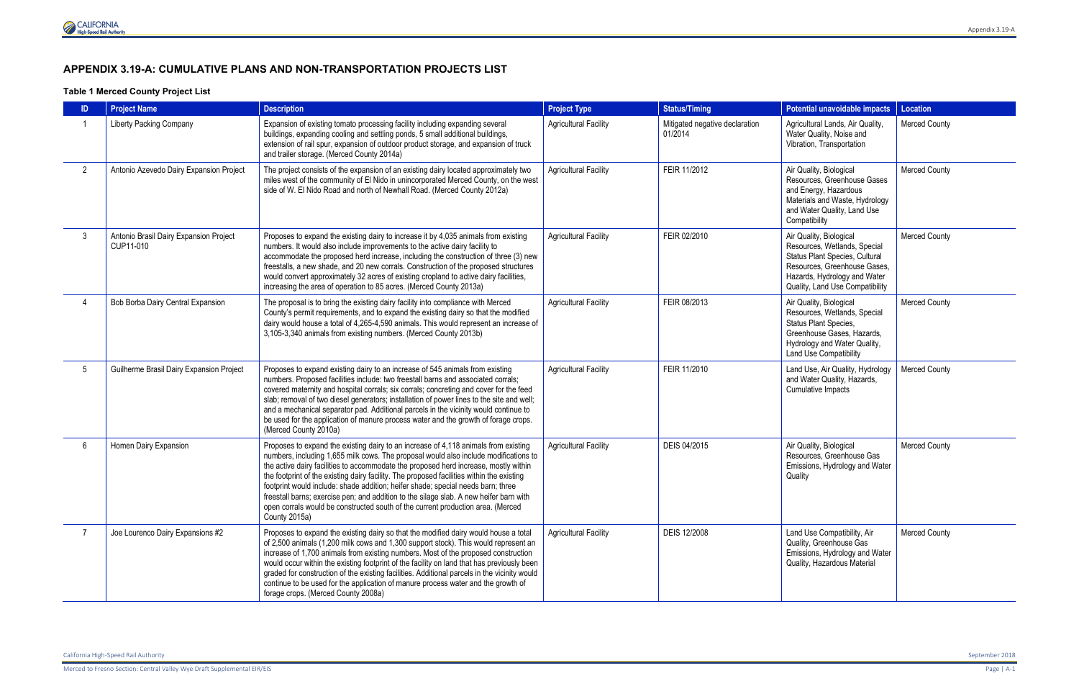Merced to Fresno Section: Central Valley Wye Draft Supplemental EIR/EIS Page | A-1

# **APPENDIX 3.19-A: CUMULATIVE PLANS AND NON-TRANSPORTATION PROJECTS LIST**

### **Table 1 Merced County Project List**

|                 | <b>Project Name</b>                                 | <b>Description</b>                                                                                                                                                                                                                                                                                                                                                                                                                                                                                                                                                                                                                                 | <b>Project Type</b>          | <b>Status/Timing</b>                      | <b>Potential unavoidable impacts</b>                                                                                                                                                         | Location             |
|-----------------|-----------------------------------------------------|----------------------------------------------------------------------------------------------------------------------------------------------------------------------------------------------------------------------------------------------------------------------------------------------------------------------------------------------------------------------------------------------------------------------------------------------------------------------------------------------------------------------------------------------------------------------------------------------------------------------------------------------------|------------------------------|-------------------------------------------|----------------------------------------------------------------------------------------------------------------------------------------------------------------------------------------------|----------------------|
|                 | <b>Liberty Packing Company</b>                      | Expansion of existing tomato processing facility including expanding several<br>buildings, expanding cooling and settling ponds, 5 small additional buildings,<br>extension of rail spur, expansion of outdoor product storage, and expansion of truck<br>and trailer storage. (Merced County 2014a)                                                                                                                                                                                                                                                                                                                                               | <b>Agricultural Facility</b> | Mitigated negative declaration<br>01/2014 | Agricultural Lands, Air Quality,<br>Water Quality, Noise and<br>Vibration, Transportation                                                                                                    | <b>Merced County</b> |
| $\overline{2}$  | Antonio Azevedo Dairy Expansion Project             | The project consists of the expansion of an existing dairy located approximately two<br>miles west of the community of El Nido in unincorporated Merced County, on the west<br>side of W. El Nido Road and north of Newhall Road. (Merced County 2012a)                                                                                                                                                                                                                                                                                                                                                                                            | <b>Agricultural Facility</b> | FEIR 11/2012                              | Air Quality, Biological<br>Resources, Greenhouse Gases<br>and Energy, Hazardous<br>Materials and Waste, Hydrology<br>and Water Quality, Land Use<br>Compatibility                            | <b>Merced County</b> |
| 3               | Antonio Brasil Dairy Expansion Project<br>CUP11-010 | Proposes to expand the existing dairy to increase it by 4,035 animals from existing<br>numbers. It would also include improvements to the active dairy facility to<br>accommodate the proposed herd increase, including the construction of three (3) new<br>freestalls, a new shade, and 20 new corrals. Construction of the proposed structures<br>would convert approximately 32 acres of existing cropland to active dairy facilities,<br>increasing the area of operation to 85 acres. (Merced County 2013a)                                                                                                                                  | <b>Agricultural Facility</b> | FEIR 02/2010                              | Air Quality, Biological<br>Resources, Wetlands, Special<br>Status Plant Species, Cultural<br>Resources, Greenhouse Gases,<br>Hazards, Hydrology and Water<br>Quality, Land Use Compatibility | <b>Merced County</b> |
|                 | Bob Borba Dairy Central Expansion                   | The proposal is to bring the existing dairy facility into compliance with Merced<br>County's permit requirements, and to expand the existing dairy so that the modified<br>dairy would house a total of 4,265-4,590 animals. This would represent an increase of<br>3,105-3,340 animals from existing numbers. (Merced County 2013b)                                                                                                                                                                                                                                                                                                               | <b>Agricultural Facility</b> | FEIR 08/2013                              | Air Quality, Biological<br>Resources, Wetlands, Special<br>Status Plant Species,<br>Greenhouse Gases, Hazards,<br>Hydrology and Water Quality,<br>Land Use Compatibility                     | <b>Merced County</b> |
| $5\overline{)}$ | Guilherme Brasil Dairy Expansion Project            | Proposes to expand existing dairy to an increase of 545 animals from existing<br>numbers. Proposed facilities include: two freestall barns and associated corrals;<br>covered maternity and hospital corrals; six corrals; concreting and cover for the feed<br>slab; removal of two diesel generators; installation of power lines to the site and well;<br>and a mechanical separator pad. Additional parcels in the vicinity would continue to<br>be used for the application of manure process water and the growth of forage crops.<br>(Merced County 2010a)                                                                                  | <b>Agricultural Facility</b> | FEIR 11/2010                              | Land Use, Air Quality, Hydrology<br>and Water Quality, Hazards,<br>Cumulative Impacts                                                                                                        | <b>Merced County</b> |
| 6               | Homen Dairy Expansion                               | Proposes to expand the existing dairy to an increase of 4,118 animals from existing<br>numbers, including 1,655 milk cows. The proposal would also include modifications to<br>the active dairy facilities to accommodate the proposed herd increase, mostly within<br>the footprint of the existing dairy facility. The proposed facilities within the existing<br>footprint would include: shade addition; heifer shade; special needs barn; three<br>freestall barns; exercise pen; and addition to the silage slab. A new heifer barn with<br>open corrals would be constructed south of the current production area. (Merced<br>County 2015a) | <b>Agricultural Facility</b> | DEIS 04/2015                              | Air Quality, Biological<br>Resources, Greenhouse Gas<br>Emissions, Hydrology and Water<br>Quality                                                                                            | <b>Merced County</b> |
| -7              | Joe Lourenco Dairy Expansions #2                    | Proposes to expand the existing dairy so that the modified dairy would house a total<br>of 2,500 animals (1,200 milk cows and 1,300 support stock). This would represent an<br>increase of 1,700 animals from existing numbers. Most of the proposed construction<br>would occur within the existing footprint of the facility on land that has previously been<br>graded for construction of the existing facilities. Additional parcels in the vicinity would<br>continue to be used for the application of manure process water and the growth of<br>forage crops. (Merced County 2008a)                                                        | <b>Agricultural Facility</b> | DEIS 12/2008                              | Land Use Compatibility, Air<br>Quality, Greenhouse Gas<br>Emissions, Hydrology and Water<br>Quality, Hazardous Material                                                                      | <b>Merced County</b> |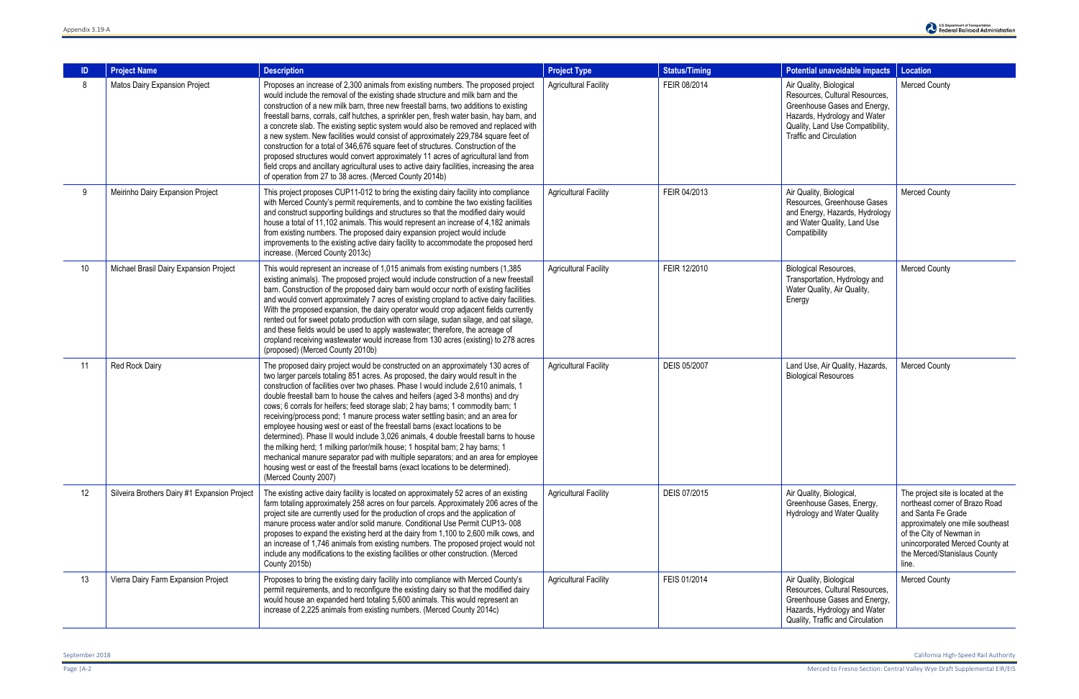| ID | <b>Project Name</b>                          | <b>Description</b>                                                                                                                                                                                                                                                                                                                                                                                                                                                                                                                                                                                                                                                                                                                                                                                                                                                                                                                                                             | <b>Project Type</b>          | <b>Status/Timing</b> | Potential unavoidable impacts                                                                                                                                                                   | Location                                                                                                                                                                                                                               |
|----|----------------------------------------------|--------------------------------------------------------------------------------------------------------------------------------------------------------------------------------------------------------------------------------------------------------------------------------------------------------------------------------------------------------------------------------------------------------------------------------------------------------------------------------------------------------------------------------------------------------------------------------------------------------------------------------------------------------------------------------------------------------------------------------------------------------------------------------------------------------------------------------------------------------------------------------------------------------------------------------------------------------------------------------|------------------------------|----------------------|-------------------------------------------------------------------------------------------------------------------------------------------------------------------------------------------------|----------------------------------------------------------------------------------------------------------------------------------------------------------------------------------------------------------------------------------------|
| 8  | Matos Dairy Expansion Project                | Proposes an increase of 2,300 animals from existing numbers. The proposed project<br>would include the removal of the existing shade structure and milk barn and the<br>construction of a new milk barn, three new freestall barns, two additions to existing<br>freestall barns, corrals, calf hutches, a sprinkler pen, fresh water basin, hay barn, and<br>a concrete slab. The existing septic system would also be removed and replaced with<br>a new system. New facilities would consist of approximately 229,784 square feet of<br>construction for a total of 346,676 square feet of structures. Construction of the<br>proposed structures would convert approximately 11 acres of agricultural land from<br>field crops and ancillary agricultural uses to active dairy facilities, increasing the area<br>of operation from 27 to 38 acres. (Merced County 2014b)                                                                                                  | <b>Agricultural Facility</b> | FEIR 08/2014         | Air Quality, Biological<br>Resources, Cultural Resources,<br>Greenhouse Gases and Energy,<br>Hazards, Hydrology and Water<br>Quality, Land Use Compatibility,<br><b>Traffic and Circulation</b> | <b>Merced County</b>                                                                                                                                                                                                                   |
| 9  | Meirinho Dairy Expansion Project             | This project proposes CUP11-012 to bring the existing dairy facility into compliance<br>with Merced County's permit requirements, and to combine the two existing facilities<br>and construct supporting buildings and structures so that the modified dairy would<br>house a total of 11,102 animals. This would represent an increase of 4,182 animals<br>from existing numbers. The proposed dairy expansion project would include<br>improvements to the existing active dairy facility to accommodate the proposed herd<br>increase. (Merced County 2013c)                                                                                                                                                                                                                                                                                                                                                                                                                | <b>Agricultural Facility</b> | FEIR 04/2013         | Air Quality, Biological<br>Resources, Greenhouse Gases<br>and Energy, Hazards, Hydrology<br>and Water Quality, Land Use<br>Compatibility                                                        | <b>Merced County</b>                                                                                                                                                                                                                   |
| 10 | Michael Brasil Dairy Expansion Project       | This would represent an increase of 1,015 animals from existing numbers (1,385<br>existing animals). The proposed project would include construction of a new freestall<br>barn. Construction of the proposed dairy barn would occur north of existing facilities<br>and would convert approximately 7 acres of existing cropland to active dairy facilities.<br>With the proposed expansion, the dairy operator would crop adjacent fields currently<br>rented out for sweet potato production with corn silage, sudan silage, and oat silage,<br>and these fields would be used to apply wastewater; therefore, the acreage of<br>cropland receiving wastewater would increase from 130 acres (existing) to 278 acres<br>(proposed) (Merced County 2010b)                                                                                                                                                                                                                    | <b>Agricultural Facility</b> | FEIR 12/2010         | <b>Biological Resources,</b><br>Transportation, Hydrology and<br>Water Quality, Air Quality,<br>Energy                                                                                          | <b>Merced County</b>                                                                                                                                                                                                                   |
| 11 | Red Rock Dairy                               | The proposed dairy project would be constructed on an approximately 130 acres of<br>two larger parcels totaling 851 acres. As proposed, the dairy would result in the<br>construction of facilities over two phases. Phase I would include 2,610 animals, 1<br>double freestall barn to house the calves and heifers (aged 3-8 months) and dry<br>cows; 6 corrals for heifers; feed storage slab; 2 hay barns; 1 commodity barn; 1<br>receiving/process pond; 1 manure process water settling basin; and an area for<br>employee housing west or east of the freestall barns (exact locations to be<br>determined). Phase II would include 3,026 animals, 4 double freestall barns to house<br>the milking herd; 1 milking parlor/milk house; 1 hospital barn; 2 hay barns; 1<br>mechanical manure separator pad with multiple separators; and an area for employee<br>housing west or east of the freestall barns (exact locations to be determined).<br>(Merced County 2007) | <b>Agricultural Facility</b> | DEIS 05/2007         | Land Use, Air Quality, Hazards,<br><b>Biological Resources</b>                                                                                                                                  | <b>Merced County</b>                                                                                                                                                                                                                   |
| 12 | Silveira Brothers Dairy #1 Expansion Project | The existing active dairy facility is located on approximately 52 acres of an existing<br>farm totaling approximately 258 acres on four parcels. Approximately 206 acres of the<br>project site are currently used for the production of crops and the application of<br>manure process water and/or solid manure. Conditional Use Permit CUP13-008<br>proposes to expand the existing herd at the dairy from 1,100 to 2,600 milk cows, and<br>an increase of 1,746 animals from existing numbers. The proposed project would not<br>include any modifications to the existing facilities or other construction. (Merced<br>County 2015b)                                                                                                                                                                                                                                                                                                                                      | <b>Agricultural Facility</b> | DEIS 07/2015         | Air Quality, Biological,<br>Greenhouse Gases, Energy,<br>Hydrology and Water Quality                                                                                                            | The project site is located at the<br>northeast corner of Brazo Road<br>and Santa Fe Grade<br>approximately one mile southeast<br>of the City of Newman in<br>unincorporated Merced County at<br>the Merced/Stanislaus County<br>line. |
| 13 | Vierra Dairy Farm Expansion Project          | Proposes to bring the existing dairy facility into compliance with Merced County's<br>permit requirements, and to reconfigure the existing dairy so that the modified dairy<br>would house an expanded herd totaling 5,600 animals. This would represent an<br>increase of 2,225 animals from existing numbers. (Merced County 2014c)                                                                                                                                                                                                                                                                                                                                                                                                                                                                                                                                                                                                                                          | <b>Agricultural Facility</b> | FEIS 01/2014         | Air Quality, Biological<br>Resources, Cultural Resources,<br>Greenhouse Gases and Energy,<br>Hazards, Hydrology and Water<br>Quality, Traffic and Circulation                                   | <b>Merced County</b>                                                                                                                                                                                                                   |

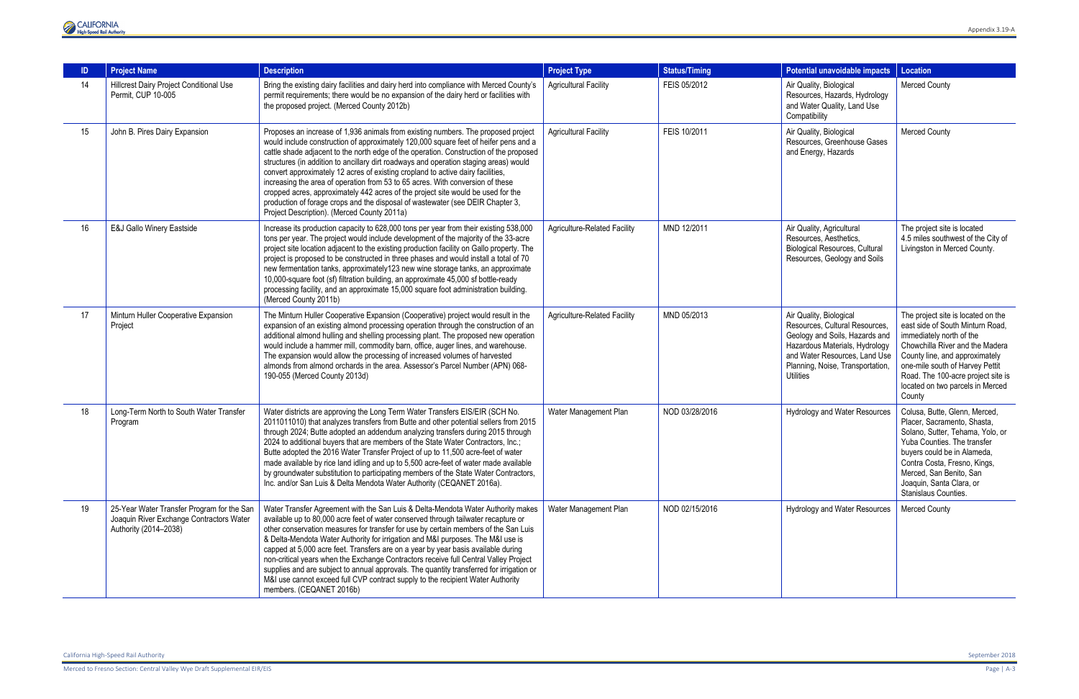

|    | <b>Project Name</b>                                                                                             | <b>Description</b>                                                                                                                                                                                                                                                                                                                                                                                                                                                                                                                                                                                                                                                                                                                                     | <b>Project Type</b>                 | <b>Status/Timing</b> | Potential unavoidable impacts                                                                                                                                                                                          | <b>Location</b>                                                                                                                                                                                                                                                                                |
|----|-----------------------------------------------------------------------------------------------------------------|--------------------------------------------------------------------------------------------------------------------------------------------------------------------------------------------------------------------------------------------------------------------------------------------------------------------------------------------------------------------------------------------------------------------------------------------------------------------------------------------------------------------------------------------------------------------------------------------------------------------------------------------------------------------------------------------------------------------------------------------------------|-------------------------------------|----------------------|------------------------------------------------------------------------------------------------------------------------------------------------------------------------------------------------------------------------|------------------------------------------------------------------------------------------------------------------------------------------------------------------------------------------------------------------------------------------------------------------------------------------------|
| 14 | Hillcrest Dairy Project Conditional Use<br>Permit, CUP 10-005                                                   | Bring the existing dairy facilities and dairy herd into compliance with Merced County's<br>permit requirements; there would be no expansion of the dairy herd or facilities with<br>the proposed project. (Merced County 2012b)                                                                                                                                                                                                                                                                                                                                                                                                                                                                                                                        | <b>Agricultural Facility</b>        | FEIS 05/2012         | Air Quality, Biological<br>Resources, Hazards, Hydrology<br>and Water Quality, Land Use<br>Compatibility                                                                                                               | <b>Merced County</b>                                                                                                                                                                                                                                                                           |
| 15 | John B. Pires Dairy Expansion                                                                                   | Proposes an increase of 1,936 animals from existing numbers. The proposed project<br>would include construction of approximately 120,000 square feet of heifer pens and a<br>cattle shade adjacent to the north edge of the operation. Construction of the proposed<br>structures (in addition to ancillary dirt roadways and operation staging areas) would<br>convert approximately 12 acres of existing cropland to active dairy facilities,<br>increasing the area of operation from 53 to 65 acres. With conversion of these<br>cropped acres, approximately 442 acres of the project site would be used for the<br>production of forage crops and the disposal of wastewater (see DEIR Chapter 3,<br>Project Description). (Merced County 2011a) | <b>Agricultural Facility</b>        | FEIS 10/2011         | Air Quality, Biological<br>Resources, Greenhouse Gases<br>and Energy, Hazards                                                                                                                                          | <b>Merced County</b>                                                                                                                                                                                                                                                                           |
| 16 | <b>E&amp;J Gallo Winery Eastside</b>                                                                            | Increase its production capacity to 628,000 tons per year from their existing 538,000<br>tons per year. The project would include development of the majority of the 33-acre<br>project site location adjacent to the existing production facility on Gallo property. The<br>project is proposed to be constructed in three phases and would install a total of 70<br>new fermentation tanks, approximately123 new wine storage tanks, an approximate<br>10,000-square foot (sf) filtration building, an approximate 45,000 sf bottle-ready<br>processing facility, and an approximate 15,000 square foot administration building.<br>(Merced County 2011b)                                                                                            | <b>Agriculture-Related Facility</b> | MND 12/2011          | Air Quality, Agricultural<br>Resources, Aesthetics,<br><b>Biological Resources, Cultural</b><br>Resources, Geology and Soils                                                                                           | The project site is located<br>4.5 miles southwest of the City of<br>Livingston in Merced County.                                                                                                                                                                                              |
| 17 | Minturn Huller Cooperative Expansion<br>Project                                                                 | The Minturn Huller Cooperative Expansion (Cooperative) project would result in the<br>expansion of an existing almond processing operation through the construction of an<br>additional almond hulling and shelling processing plant. The proposed new operation<br>would include a hammer mill, commodity barn, office, auger lines, and warehouse.<br>The expansion would allow the processing of increased volumes of harvested<br>almonds from almond orchards in the area. Assessor's Parcel Number (APN) 068-<br>190-055 (Merced County 2013d)                                                                                                                                                                                                   | <b>Agriculture-Related Facility</b> | MND 05/2013          | Air Quality, Biological<br>Resources, Cultural Resources,<br>Geology and Soils, Hazards and<br>Hazardous Materials, Hydrology<br>and Water Resources, Land Use<br>Planning, Noise, Transportation,<br><b>Utilities</b> | The project site is located on the<br>east side of South Minturn Road,<br>immediately north of the<br>Chowchilla River and the Madera<br>County line, and approximately<br>one-mile south of Harvey Pettit<br>Road. The 100-acre project site is<br>located on two parcels in Merced<br>County |
| 18 | Long-Term North to South Water Transfer<br>Program                                                              | Water districts are approving the Long Term Water Transfers EIS/EIR (SCH No.<br>2011011010) that analyzes transfers from Butte and other potential sellers from 2015<br>through 2024; Butte adopted an addendum analyzing transfers during 2015 through<br>2024 to additional buyers that are members of the State Water Contractors, Inc.;<br>Butte adopted the 2016 Water Transfer Project of up to 11,500 acre-feet of water<br>made available by rice land idling and up to 5,500 acre-feet of water made available<br>by groundwater substitution to participating members of the State Water Contractors,<br>Inc. and/or San Luis & Delta Mendota Water Authority (CEQANET 2016a).                                                               | Water Management Plan               | NOD 03/28/2016       | <b>Hydrology and Water Resources</b>                                                                                                                                                                                   | Colusa, Butte, Glenn, Merced,<br>Placer, Sacramento, Shasta,<br>Solano, Sutter, Tehama, Yolo, or<br>Yuba Counties. The transfer<br>buyers could be in Alameda,<br>Contra Costa, Fresno, Kings,<br>Merced, San Benito, San<br>Joaquin, Santa Clara, or<br>Stanislaus Counties.                  |
| 19 | 25-Year Water Transfer Program for the San<br>Joaquin River Exchange Contractors Water<br>Authority (2014-2038) | Water Transfer Agreement with the San Luis & Delta-Mendota Water Authority makes<br>available up to 80,000 acre feet of water conserved through tailwater recapture or<br>other conservation measures for transfer for use by certain members of the San Luis<br>& Delta-Mendota Water Authority for irrigation and M&I purposes. The M&I use is<br>capped at 5,000 acre feet. Transfers are on a year by year basis available during<br>non-critical years when the Exchange Contractors receive full Central Valley Project<br>supplies and are subject to annual approvals. The quantity transferred for irrigation or<br>M&I use cannot exceed full CVP contract supply to the recipient Water Authority<br>members. (CEQANET 2016b)               | Water Management Plan               | NOD 02/15/2016       | <b>Hydrology and Water Resources</b>                                                                                                                                                                                   | <b>Merced County</b>                                                                                                                                                                                                                                                                           |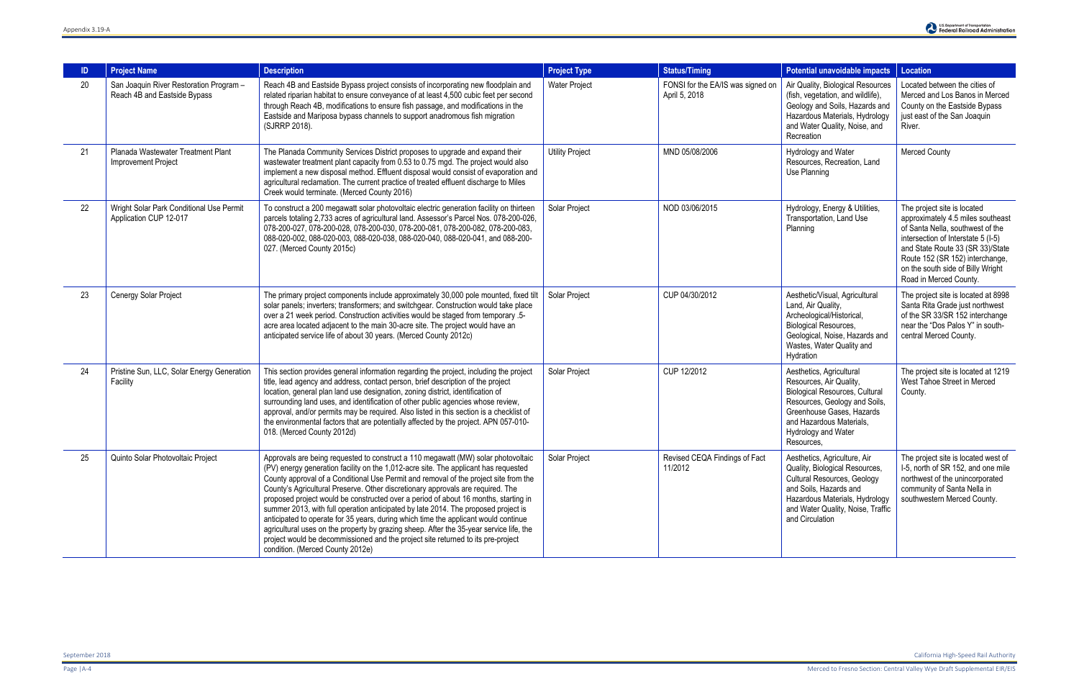| ID | <b>Project Name</b>                                                     | <b>Description</b>                                                                                                                                                                                                                                                                                                                                                                                                                                                                                                                                                                                                                                                                                                                                                                                                                         | <b>Project Type</b>    | <b>Status/Timing</b>                               | Potential unavoidable impacts                                                                                                                                                                                               | <b>Location</b>                                                                                                                                                                                                                                                                  |
|----|-------------------------------------------------------------------------|--------------------------------------------------------------------------------------------------------------------------------------------------------------------------------------------------------------------------------------------------------------------------------------------------------------------------------------------------------------------------------------------------------------------------------------------------------------------------------------------------------------------------------------------------------------------------------------------------------------------------------------------------------------------------------------------------------------------------------------------------------------------------------------------------------------------------------------------|------------------------|----------------------------------------------------|-----------------------------------------------------------------------------------------------------------------------------------------------------------------------------------------------------------------------------|----------------------------------------------------------------------------------------------------------------------------------------------------------------------------------------------------------------------------------------------------------------------------------|
| 20 | San Joaquin River Restoration Program -<br>Reach 4B and Eastside Bypass | Reach 4B and Eastside Bypass project consists of incorporating new floodplain and<br>related riparian habitat to ensure conveyance of at least 4,500 cubic feet per second<br>through Reach 4B, modifications to ensure fish passage, and modifications in the<br>Eastside and Mariposa bypass channels to support anadromous fish migration<br>(SJRRP 2018).                                                                                                                                                                                                                                                                                                                                                                                                                                                                              | <b>Water Project</b>   | FONSI for the EA/IS was signed on<br>April 5, 2018 | Air Quality, Biological Resources<br>(fish, vegetation, and wildlife),<br>Geology and Soils, Hazards and<br>Hazardous Materials, Hydrology<br>and Water Quality, Noise, and<br>Recreation                                   | Located between the cities of<br>Merced and Los Banos in Merced<br>County on the Eastside Bypass<br>just east of the San Joaquin<br>River.                                                                                                                                       |
| 21 | Planada Wastewater Treatment Plant<br><b>Improvement Project</b>        | The Planada Community Services District proposes to upgrade and expand their<br>wastewater treatment plant capacity from 0.53 to 0.75 mgd. The project would also<br>implement a new disposal method. Effluent disposal would consist of evaporation and<br>agricultural reclamation. The current practice of treated effluent discharge to Miles<br>Creek would terminate. (Merced County 2016)                                                                                                                                                                                                                                                                                                                                                                                                                                           | <b>Utility Project</b> | MND 05/08/2006                                     | Hydrology and Water<br>Resources, Recreation, Land<br>Use Planning                                                                                                                                                          | Merced County                                                                                                                                                                                                                                                                    |
| 22 | Wright Solar Park Conditional Use Permit<br>Application CUP 12-017      | To construct a 200 megawatt solar photovoltaic electric generation facility on thirteen<br>parcels totaling 2,733 acres of agricultural land. Assessor's Parcel Nos. 078-200-026,<br>078-200-027, 078-200-028, 078-200-030, 078-200-081, 078-200-082, 078-200-083,<br>088-020-002, 088-020-003, 088-020-038, 088-020-040, 088-020-041, and 088-200-<br>027. (Merced County 2015c)                                                                                                                                                                                                                                                                                                                                                                                                                                                          | Solar Project          | NOD 03/06/2015                                     | Hydrology, Energy & Utilities,<br>Transportation, Land Use<br>Planning                                                                                                                                                      | The project site is located<br>approximately 4.5 miles southeast<br>of Santa Nella, southwest of the<br>intersection of Interstate 5 (I-5)<br>and State Route 33 (SR 33)/State<br>Route 152 (SR 152) interchange,<br>on the south side of Billy Wright<br>Road in Merced County. |
| 23 | Cenergy Solar Project                                                   | The primary project components include approximately 30,000 pole mounted, fixed tilt<br>solar panels; inverters; transformers; and switchgear. Construction would take place<br>over a 21 week period. Construction activities would be staged from temporary .5-<br>acre area located adjacent to the main 30-acre site. The project would have an<br>anticipated service life of about 30 years. (Merced County 2012c)                                                                                                                                                                                                                                                                                                                                                                                                                   | Solar Project          | CUP 04/30/2012                                     | Aesthetic/Visual, Agricultural<br>Land, Air Quality,<br>Archeological/Historical,<br><b>Biological Resources,</b><br>Geological, Noise, Hazards and<br>Wastes, Water Quality and<br>Hydration                               | The project site is located at 8998<br>Santa Rita Grade just northwest<br>of the SR 33/SR 152 interchange<br>near the "Dos Palos Y" in south-<br>central Merced County.                                                                                                          |
| 24 | Pristine Sun, LLC, Solar Energy Generation<br>Facility                  | This section provides general information regarding the project, including the project<br>title, lead agency and address, contact person, brief description of the project<br>location, general plan land use designation, zoning district, identification of<br>surrounding land uses, and identification of other public agencies whose review,<br>approval, and/or permits may be required. Also listed in this section is a checklist of<br>the environmental factors that are potentially affected by the project. APN 057-010-<br>018. (Merced County 2012d)                                                                                                                                                                                                                                                                         | Solar Project          | CUP 12/2012                                        | Aesthetics, Agricultural<br>Resources, Air Quality,<br><b>Biological Resources, Cultural</b><br>Resources, Geology and Soils,<br>Greenhouse Gases, Hazards<br>and Hazardous Materials,<br>Hydrology and Water<br>Resources, | The project site is located at 1219<br>West Tahoe Street in Merced<br>County.                                                                                                                                                                                                    |
| 25 | Quinto Solar Photovoltaic Project                                       | Approvals are being requested to construct a 110 megawatt (MW) solar photovoltaic<br>(PV) energy generation facility on the 1,012-acre site. The applicant has requested<br>County approval of a Conditional Use Permit and removal of the project site from the<br>County's Agricultural Preserve. Other discretionary approvals are required. The<br>proposed project would be constructed over a period of about 16 months, starting in<br>summer 2013, with full operation anticipated by late 2014. The proposed project is<br>anticipated to operate for 35 years, during which time the applicant would continue<br>agricultural uses on the property by grazing sheep. After the 35-year service life, the<br>project would be decommissioned and the project site returned to its pre-project<br>condition. (Merced County 2012e) | Solar Project          | Revised CEQA Findings of Fact<br>11/2012           | Aesthetics, Agriculture, Air<br>Quality, Biological Resources,<br><b>Cultural Resources, Geology</b><br>and Soils, Hazards and<br>Hazardous Materials, Hydrology<br>and Water Quality, Noise, Traffic<br>and Circulation    | The project site is located west of<br>I-5, north of SR 152, and one mile<br>northwest of the unincorporated<br>community of Santa Nella in<br>southwestern Merced County.                                                                                                       |

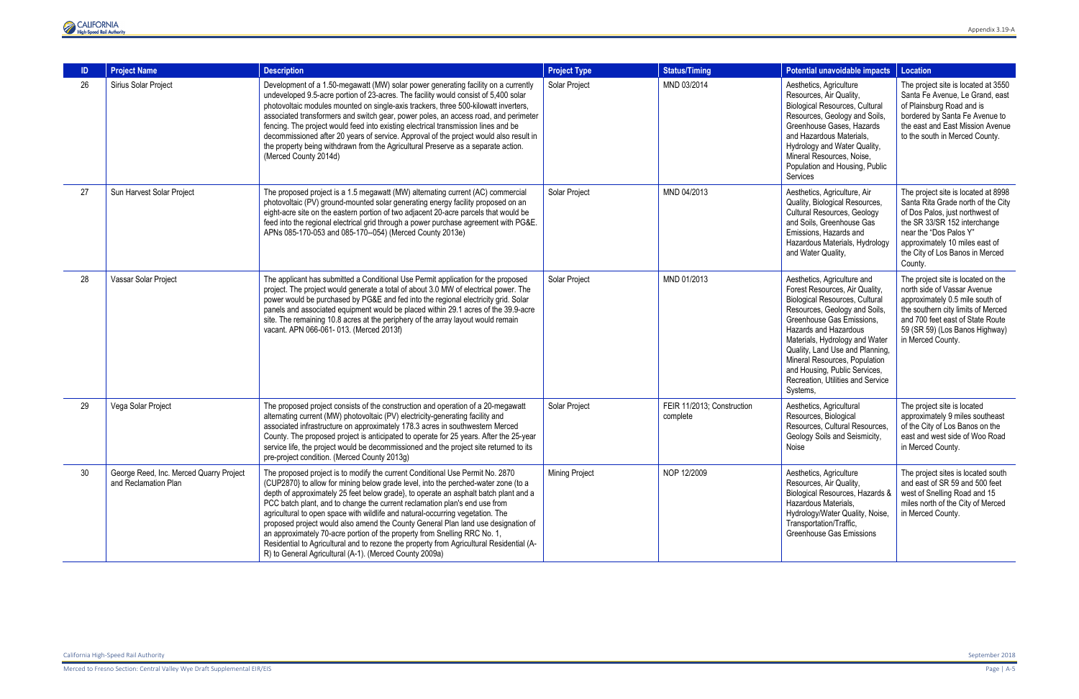

| -ID | <b>Project Name</b>                                             | <b>Description</b>                                                                                                                                                                                                                                                                                                                                                                                                                                                                                                                                                                                                                                                                                                                                   | <b>Project Type</b> | <b>Status/Timing</b>                   | Potential unavoidable impacts                                                                                                                                                                                                                                                                                                                                                  | <b>Location</b>                                                                                                                                                                                                                                        |
|-----|-----------------------------------------------------------------|------------------------------------------------------------------------------------------------------------------------------------------------------------------------------------------------------------------------------------------------------------------------------------------------------------------------------------------------------------------------------------------------------------------------------------------------------------------------------------------------------------------------------------------------------------------------------------------------------------------------------------------------------------------------------------------------------------------------------------------------------|---------------------|----------------------------------------|--------------------------------------------------------------------------------------------------------------------------------------------------------------------------------------------------------------------------------------------------------------------------------------------------------------------------------------------------------------------------------|--------------------------------------------------------------------------------------------------------------------------------------------------------------------------------------------------------------------------------------------------------|
| 26  | Sirius Solar Project                                            | Development of a 1.50-megawatt (MW) solar power generating facility on a currently<br>undeveloped 9.5-acre portion of 23-acres. The facility would consist of 5,400 solar<br>photovoltaic modules mounted on single-axis trackers, three 500-kilowatt inverters,<br>associated transformers and switch gear, power poles, an access road, and perimeter<br>fencing. The project would feed into existing electrical transmission lines and be<br>decommissioned after 20 years of service. Approval of the project would also result in<br>the property being withdrawn from the Agricultural Preserve as a separate action.<br>(Merced County 2014d)                                                                                                | Solar Project       | MND 03/2014                            | Aesthetics, Agriculture<br>Resources, Air Quality,<br><b>Biological Resources, Cultural</b><br>Resources, Geology and Soils,<br>Greenhouse Gases, Hazards<br>and Hazardous Materials,<br>Hydrology and Water Quality,<br>Mineral Resources, Noise,<br>Population and Housing, Public<br>Services                                                                               | The project site is located at 3550<br>Santa Fe Avenue, Le Grand, east<br>of Plainsburg Road and is<br>bordered by Santa Fe Avenue to<br>the east and East Mission Avenue<br>to the south in Merced County.                                            |
| 27  | Sun Harvest Solar Project                                       | The proposed project is a 1.5 megawatt (MW) alternating current (AC) commercial<br>photovoltaic (PV) ground-mounted solar generating energy facility proposed on an<br>eight-acre site on the eastern portion of two adjacent 20-acre parcels that would be<br>feed into the regional electrical grid through a power purchase agreement with PG&E.<br>APNs 085-170-053 and 085-170--054) (Merced County 2013e)                                                                                                                                                                                                                                                                                                                                      | Solar Project       | MND 04/2013                            | Aesthetics, Agriculture, Air<br>Quality, Biological Resources,<br><b>Cultural Resources, Geology</b><br>and Soils, Greenhouse Gas<br>Emissions, Hazards and<br>Hazardous Materials, Hydrology<br>and Water Quality,                                                                                                                                                            | The project site is located at 8998<br>Santa Rita Grade north of the City<br>of Dos Palos, just northwest of<br>the SR 33/SR 152 interchange<br>near the "Dos Palos Y"<br>approximately 10 miles east of<br>the City of Los Banos in Merced<br>County. |
| 28  | Vassar Solar Project                                            | The applicant has submitted a Conditional Use Permit application for the proposed<br>project. The project would generate a total of about 3.0 MW of electrical power. The<br>power would be purchased by PG&E and fed into the regional electricity grid. Solar<br>panels and associated equipment would be placed within 29.1 acres of the 39.9-acre<br>site. The remaining 10.8 acres at the periphery of the array layout would remain<br>vacant. APN 066-061-013. (Merced 2013f)                                                                                                                                                                                                                                                                 | Solar Project       | MND 01/2013                            | Aesthetics, Agriculture and<br>Forest Resources, Air Quality,<br>Biological Resources, Cultural<br>Resources, Geology and Soils,<br>Greenhouse Gas Emissions.<br>Hazards and Hazardous<br>Materials, Hydrology and Water<br>Quality, Land Use and Planning,<br>Mineral Resources, Population<br>and Housing, Public Services,<br>Recreation, Utilities and Service<br>Systems, | The project site is located on the<br>north side of Vassar Avenue<br>approximately 0.5 mile south of<br>the southern city limits of Merced<br>and 700 feet east of State Route<br>59 (SR 59) (Los Banos Highway)<br>in Merced County.                  |
| 29  | Vega Solar Project                                              | The proposed project consists of the construction and operation of a 20-megawatt<br>alternating current (MW) photovoltaic (PV) electricity-generating facility and<br>associated infrastructure on approximately 178.3 acres in southwestern Merced<br>County. The proposed project is anticipated to operate for 25 years. After the 25-year<br>service life, the project would be decommissioned and the project site returned to its<br>pre-project condition. (Merced County 2013g)                                                                                                                                                                                                                                                              | Solar Project       | FEIR 11/2013; Construction<br>complete | Aesthetics, Agricultural<br>Resources, Biological<br>Resources, Cultural Resources,<br>Geology Soils and Seismicity,<br>Noise                                                                                                                                                                                                                                                  | The project site is located<br>approximately 9 miles southeast<br>of the City of Los Banos on the<br>east and west side of Woo Road<br>in Merced County.                                                                                               |
| 30  | George Reed, Inc. Merced Quarry Project<br>and Reclamation Plan | The proposed project is to modify the current Conditional Use Permit No. 2870<br>(CUP2870) to allow for mining below grade level, into the perched-water zone (to a<br>depth of approximately 25 feet below grade}, to operate an asphalt batch plant and a<br>PCC batch plant, and to change the current reclamation plan's end use from<br>agricultural to open space with wildlife and natural-occurring vegetation. The<br>proposed project would also amend the County General Plan land use designation of<br>an approximately 70-acre portion of the property from Snelling RRC No. 1,<br>Residential to Agricultural and to rezone the property from Agricultural Residential (A-<br>R) to General Agricultural (A-1). (Merced County 2009a) | Mining Project      | NOP 12/2009                            | Aesthetics, Agriculture<br>Resources, Air Quality,<br>Biological Resources, Hazards &<br>Hazardous Materials,<br>Hydrology/Water Quality, Noise,<br>Transportation/Traffic,<br><b>Greenhouse Gas Emissions</b>                                                                                                                                                                 | The project sites is located south<br>and east of SR 59 and 500 feet<br>west of Snelling Road and 15<br>miles north of the City of Merced<br>in Merced County.                                                                                         |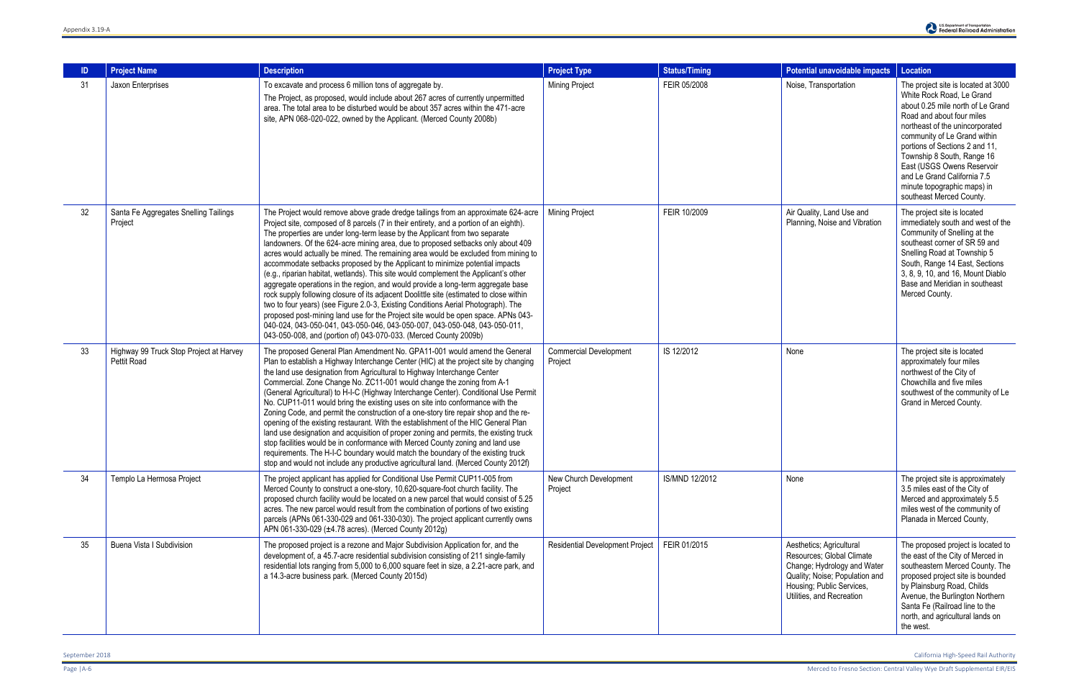| ID | <b>Project Name</b>                                           | <b>Description</b>                                                                                                                                                                                                                                                                                                                                                                                                                                                                                                                                                                                                                                                                                                                                                                                                                                                                                                                                                                                                                                                                                                     | <b>Project Type</b>                      | <b>Status/Timing</b> | Potential unavoidable impacts                                                                                                                                                    | <b>Location</b>                                                                                                                                                                                                                                                                                                                                                                               |
|----|---------------------------------------------------------------|------------------------------------------------------------------------------------------------------------------------------------------------------------------------------------------------------------------------------------------------------------------------------------------------------------------------------------------------------------------------------------------------------------------------------------------------------------------------------------------------------------------------------------------------------------------------------------------------------------------------------------------------------------------------------------------------------------------------------------------------------------------------------------------------------------------------------------------------------------------------------------------------------------------------------------------------------------------------------------------------------------------------------------------------------------------------------------------------------------------------|------------------------------------------|----------------------|----------------------------------------------------------------------------------------------------------------------------------------------------------------------------------|-----------------------------------------------------------------------------------------------------------------------------------------------------------------------------------------------------------------------------------------------------------------------------------------------------------------------------------------------------------------------------------------------|
| 31 | Jaxon Enterprises                                             | To excavate and process 6 million tons of aggregate by.<br>The Project, as proposed, would include about 267 acres of currently unpermitted<br>area. The total area to be disturbed would be about 357 acres within the 471-acre<br>site, APN 068-020-022, owned by the Applicant. (Merced County 2008b)                                                                                                                                                                                                                                                                                                                                                                                                                                                                                                                                                                                                                                                                                                                                                                                                               | <b>Mining Project</b>                    | FEIR 05/2008         | Noise, Transportation                                                                                                                                                            | The project site is located at 3000<br>White Rock Road, Le Grand<br>about 0.25 mile north of Le Grand<br>Road and about four miles<br>northeast of the unincorporated<br>community of Le Grand within<br>portions of Sections 2 and 11,<br>Township 8 South, Range 16<br>East (USGS Owens Reservoir<br>and Le Grand California 7.5<br>minute topographic maps) in<br>southeast Merced County. |
| 32 | Santa Fe Aggregates Snelling Tailings<br>Project              | The Project would remove above grade dredge tailings from an approximate 624-acre<br>Project site, composed of 8 parcels (7 in their entirety, and a portion of an eighth).<br>The properties are under long-term lease by the Applicant from two separate<br>landowners. Of the 624-acre mining area, due to proposed setbacks only about 409<br>acres would actually be mined. The remaining area would be excluded from mining to<br>accommodate setbacks proposed by the Applicant to minimize potential impacts<br>(e.g., riparian habitat, wetlands). This site would complement the Applicant's other<br>aggregate operations in the region, and would provide a long-term aggregate base<br>rock supply following closure of its adjacent Doolittle site (estimated to close within<br>two to four years) (see Figure 2.0-3, Existing Conditions Aerial Photograph). The<br>proposed post-mining land use for the Project site would be open space. APNs 043-<br>040-024, 043-050-041, 043-050-046, 043-050-007, 043-050-048, 043-050-011,<br>043-050-008, and (portion of) 043-070-033. (Merced County 2009b) | <b>Mining Project</b>                    | FEIR 10/2009         | Air Quality, Land Use and<br>Planning, Noise and Vibration                                                                                                                       | The project site is located<br>immediately south and west of the<br>Community of Snelling at the<br>southeast corner of SR 59 and<br>Snelling Road at Township 5<br>South, Range 14 East, Sections<br>3, 8, 9, 10, and 16, Mount Diablo<br>Base and Meridian in southeast<br>Merced County.                                                                                                   |
| 33 | Highway 99 Truck Stop Project at Harvey<br><b>Pettit Road</b> | The proposed General Plan Amendment No. GPA11-001 would amend the General<br>Plan to establish a Highway Interchange Center (HIC) at the project site by changing<br>the land use designation from Agricultural to Highway Interchange Center<br>Commercial. Zone Change No. ZC11-001 would change the zoning from A-1<br>(General Agricultural) to H-I-C (Highway Interchange Center). Conditional Use Permit<br>No. CUP11-011 would bring the existing uses on site into conformance with the<br>Zoning Code, and permit the construction of a one-story tire repair shop and the re-<br>opening of the existing restaurant. With the establishment of the HIC General Plan<br>land use designation and acquisition of proper zoning and permits, the existing truck<br>stop facilities would be in conformance with Merced County zoning and land use<br>requirements. The H-I-C boundary would match the boundary of the existing truck<br>stop and would not include any productive agricultural land. (Merced County 2012f)                                                                                      | <b>Commercial Development</b><br>Project | IS 12/2012           | None                                                                                                                                                                             | The project site is located<br>approximately four miles<br>northwest of the City of<br>Chowchilla and five miles<br>southwest of the community of Le<br>Grand in Merced County.                                                                                                                                                                                                               |
| 34 | Templo La Hermosa Project                                     | The project applicant has applied for Conditional Use Permit CUP11-005 from<br>Merced County to construct a one-story, 10,620-square-foot church facility. The<br>proposed church facility would be located on a new parcel that would consist of 5.25<br>acres. The new parcel would result from the combination of portions of two existing<br>parcels (APNs 061-330-029 and 061-330-030). The project applicant currently owns<br>APN 061-330-029 (±4.78 acres). (Merced County 2012g)                                                                                                                                                                                                                                                                                                                                                                                                                                                                                                                                                                                                                              | New Church Development<br>Project        | IS/MND 12/2012       | None                                                                                                                                                                             | The project site is approximately<br>3.5 miles east of the City of<br>Merced and approximately 5.5<br>miles west of the community of<br>Planada in Merced County,                                                                                                                                                                                                                             |
| 35 | Buena Vista I Subdivision                                     | The proposed project is a rezone and Major Subdivision Application for, and the<br>development of, a 45.7-acre residential subdivision consisting of 211 single-family<br>residential lots ranging from 5,000 to 6,000 square feet in size, a 2.21-acre park, and<br>a 14.3-acre business park. (Merced County 2015d)                                                                                                                                                                                                                                                                                                                                                                                                                                                                                                                                                                                                                                                                                                                                                                                                  | Residential Development Project          | FEIR 01/2015         | Aesthetics; Agricultural<br>Resources; Global Climate<br>Change; Hydrology and Water<br>Quality; Noise; Population and<br>Housing; Public Services,<br>Utilities, and Recreation | The proposed project is located to<br>the east of the City of Merced in<br>southeastern Merced County. The<br>proposed project site is bounded<br>by Plainsburg Road, Childs<br>Avenue, the Burlington Northern<br>Santa Fe (Railroad line to the<br>north, and agricultural lands on<br>the west.                                                                                            |

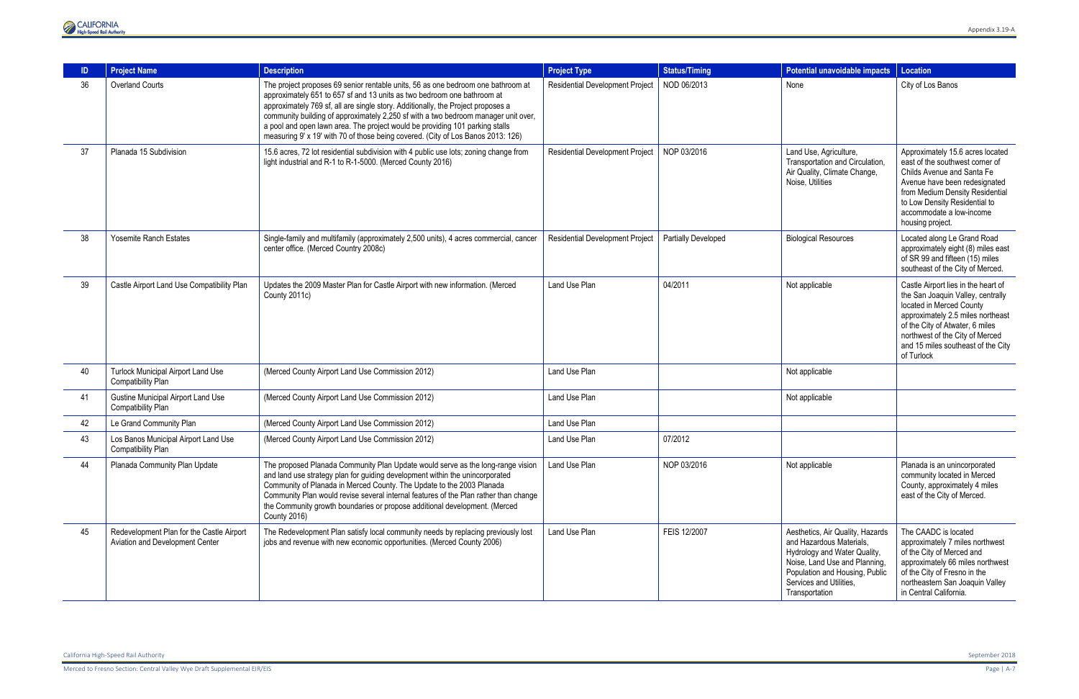

|    | <b>Project Name</b>                                                          | <b>Description</b>                                                                                                                                                                                                                                                                                                                                                                                                                                                                                        | <b>Project Type</b>                    | <b>Status/Timing</b>       | <b>Potential unavoidable impacts</b>                                                                                                                                                                         | <b>Location</b>                                                                                                                                                                                                                                                     |
|----|------------------------------------------------------------------------------|-----------------------------------------------------------------------------------------------------------------------------------------------------------------------------------------------------------------------------------------------------------------------------------------------------------------------------------------------------------------------------------------------------------------------------------------------------------------------------------------------------------|----------------------------------------|----------------------------|--------------------------------------------------------------------------------------------------------------------------------------------------------------------------------------------------------------|---------------------------------------------------------------------------------------------------------------------------------------------------------------------------------------------------------------------------------------------------------------------|
| 36 | <b>Overland Courts</b>                                                       | The project proposes 69 senior rentable units, 56 as one bedroom one bathroom at<br>approximately 651 to 657 sf and 13 units as two bedroom one bathroom at<br>approximately 769 sf, all are single story. Additionally, the Project proposes a<br>community building of approximately 2,250 sf with a two bedroom manager unit over,<br>a pool and open lawn area. The project would be providing 101 parking stalls<br>measuring 9' x 19' with 70 of those being covered. (City of Los Banos 2013: 126) | <b>Residential Development Project</b> | NOD 06/2013                | None                                                                                                                                                                                                         | City of Los Banos                                                                                                                                                                                                                                                   |
| 37 | Planada 15 Subdivision                                                       | 15.6 acres, 72 lot residential subdivision with 4 public use lots; zoning change from<br>light industrial and R-1 to R-1-5000. (Merced County 2016)                                                                                                                                                                                                                                                                                                                                                       | <b>Residential Development Project</b> | NOP 03/2016                | Land Use, Agriculture,<br>Transportation and Circulation,<br>Air Quality, Climate Change,<br>Noise, Utilities                                                                                                | Approximately 15.6 acres located<br>east of the southwest corner of<br>Childs Avenue and Santa Fe<br>Avenue have been redesignated<br>from Medium Density Residential<br>to Low Density Residential to<br>accommodate a low-income<br>housing project.              |
| 38 | <b>Yosemite Ranch Estates</b>                                                | Single-family and multifamily (approximately 2,500 units), 4 acres commercial, cancer<br>center office. (Merced Country 2008c)                                                                                                                                                                                                                                                                                                                                                                            | <b>Residential Development Project</b> | <b>Partially Developed</b> | <b>Biological Resources</b>                                                                                                                                                                                  | Located along Le Grand Road<br>approximately eight (8) miles east<br>of SR 99 and fifteen (15) miles<br>southeast of the City of Merced.                                                                                                                            |
| 39 | Castle Airport Land Use Compatibility Plan                                   | Updates the 2009 Master Plan for Castle Airport with new information. (Merced<br>County 2011c)                                                                                                                                                                                                                                                                                                                                                                                                            | Land Use Plan                          | 04/2011                    | Not applicable                                                                                                                                                                                               | Castle Airport lies in the heart of<br>the San Joaquin Valley, centrally<br>located in Merced County<br>approximately 2.5 miles northeast<br>of the City of Atwater, 6 miles<br>northwest of the City of Merced<br>and 15 miles southeast of the City<br>of Turlock |
| 40 | <b>Turlock Municipal Airport Land Use</b><br>Compatibility Plan              | (Merced County Airport Land Use Commission 2012)                                                                                                                                                                                                                                                                                                                                                                                                                                                          | Land Use Plan                          |                            | Not applicable                                                                                                                                                                                               |                                                                                                                                                                                                                                                                     |
| 41 | <b>Gustine Municipal Airport Land Use</b><br>Compatibility Plan              | (Merced County Airport Land Use Commission 2012)                                                                                                                                                                                                                                                                                                                                                                                                                                                          | Land Use Plan                          |                            | Not applicable                                                                                                                                                                                               |                                                                                                                                                                                                                                                                     |
| 42 | Le Grand Community Plan                                                      | (Merced County Airport Land Use Commission 2012)                                                                                                                                                                                                                                                                                                                                                                                                                                                          | Land Use Plan                          |                            |                                                                                                                                                                                                              |                                                                                                                                                                                                                                                                     |
| 43 | Los Banos Municipal Airport Land Use<br><b>Compatibility Plan</b>            | (Merced County Airport Land Use Commission 2012)                                                                                                                                                                                                                                                                                                                                                                                                                                                          | Land Use Plan                          | 07/2012                    |                                                                                                                                                                                                              |                                                                                                                                                                                                                                                                     |
| 44 | Planada Community Plan Update                                                | The proposed Planada Community Plan Update would serve as the long-range vision<br>and land use strategy plan for guiding development within the unincorporated<br>Community of Planada in Merced County. The Update to the 2003 Planada<br>Community Plan would revise several internal features of the Plan rather than change<br>the Community growth boundaries or propose additional development. (Merced<br><b>County 2016)</b>                                                                     | Land Use Plan                          | NOP 03/2016                | Not applicable                                                                                                                                                                                               | Planada is an unincorporated<br>community located in Merced<br>County, approximately 4 miles<br>east of the City of Merced.                                                                                                                                         |
| 45 | Redevelopment Plan for the Castle Airport<br>Aviation and Development Center | The Redevelopment Plan satisfy local community needs by replacing previously lost<br>jobs and revenue with new economic opportunities. (Merced County 2006)                                                                                                                                                                                                                                                                                                                                               | Land Use Plan                          | FEIS 12/2007               | Aesthetics, Air Quality, Hazards<br>and Hazardous Materials,<br>Hydrology and Water Quality,<br>Noise, Land Use and Planning,<br>Population and Housing, Public<br>Services and Utilities,<br>Transportation | The CAADC is located<br>approximately 7 miles northwest<br>of the City of Merced and<br>approximately 66 miles northwest<br>of the City of Fresno in the<br>northeastern San Joaquin Valley<br>in Central California.                                               |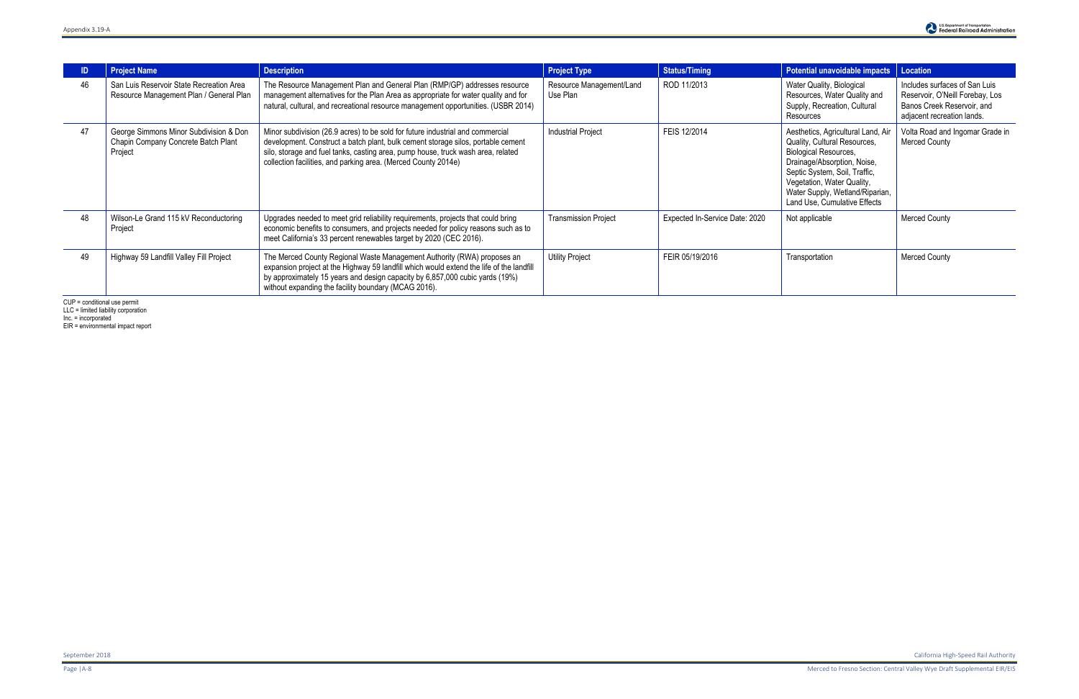|    | <b>Project Name</b>                                                                      | <b>Description</b>                                                                                                                                                                                                                                                                                                       | <b>Project Type</b>                  | <b>Status/Timing</b>           | Potential unavoidable impacts                                                                                                                                                                                                                                       | Location                                                                                                                     |
|----|------------------------------------------------------------------------------------------|--------------------------------------------------------------------------------------------------------------------------------------------------------------------------------------------------------------------------------------------------------------------------------------------------------------------------|--------------------------------------|--------------------------------|---------------------------------------------------------------------------------------------------------------------------------------------------------------------------------------------------------------------------------------------------------------------|------------------------------------------------------------------------------------------------------------------------------|
| 46 | San Luis Reservoir State Recreation Area<br>Resource Management Plan / General Plan      | The Resource Management Plan and General Plan (RMP/GP) addresses resource<br>management alternatives for the Plan Area as appropriate for water quality and for<br>natural, cultural, and recreational resource management opportunities. (USBR 2014)                                                                    | Resource Management/Land<br>Use Plan | ROD 11/2013                    | Water Quality, Biological<br>Resources, Water Quality and<br>Supply, Recreation, Cultural<br>Resources                                                                                                                                                              | Includes surfaces of San Luis<br>Reservoir, O'Neill Forebay, Los<br>Banos Creek Reservoir, and<br>adjacent recreation lands. |
| 47 | George Simmons Minor Subdivision & Don<br>Chapin Company Concrete Batch Plant<br>Project | Minor subdivision (26.9 acres) to be sold for future industrial and commercial<br>development. Construct a batch plant, bulk cement storage silos, portable cement<br>silo, storage and fuel tanks, casting area, pump house, truck wash area, related<br>collection facilities, and parking area. (Merced County 2014e) | <b>Industrial Project</b>            | FEIS 12/2014                   | Aesthetics, Agricultural Land, Air<br>Quality, Cultural Resources,<br><b>Biological Resources,</b><br>Drainage/Absorption, Noise,<br>Septic System, Soil, Traffic,<br>Vegetation, Water Quality,<br>Water Supply, Wetland/Riparian,<br>Land Use, Cumulative Effects | Volta Road and Ingomar Grade in<br>Merced County                                                                             |
| 48 | Wilson-Le Grand 115 kV Reconductoring<br>Project                                         | Upgrades needed to meet grid reliability requirements, projects that could bring<br>economic benefits to consumers, and projects needed for policy reasons such as to<br>meet California's 33 percent renewables target by 2020 (CEC 2016).                                                                              | <b>Transmission Project</b>          | Expected In-Service Date: 2020 | Not applicable                                                                                                                                                                                                                                                      | <b>Merced County</b>                                                                                                         |
| 49 | Highway 59 Landfill Valley Fill Project                                                  | The Merced County Regional Waste Management Authority (RWA) proposes an<br>expansion project at the Highway 59 landfill which would extend the life of the landfill<br>by approximately 15 years and design capacity by 6,857,000 cubic yards (19%)<br>without expanding the facility boundary (MCAG 2016).              | <b>Utility Project</b>               | FEIR 05/19/2016                | Transportation                                                                                                                                                                                                                                                      | <b>Merced County</b>                                                                                                         |

CUP = conditional use permit

LLC = limited liability corporation

Inc. = incorporated

EIR = environmental impact report

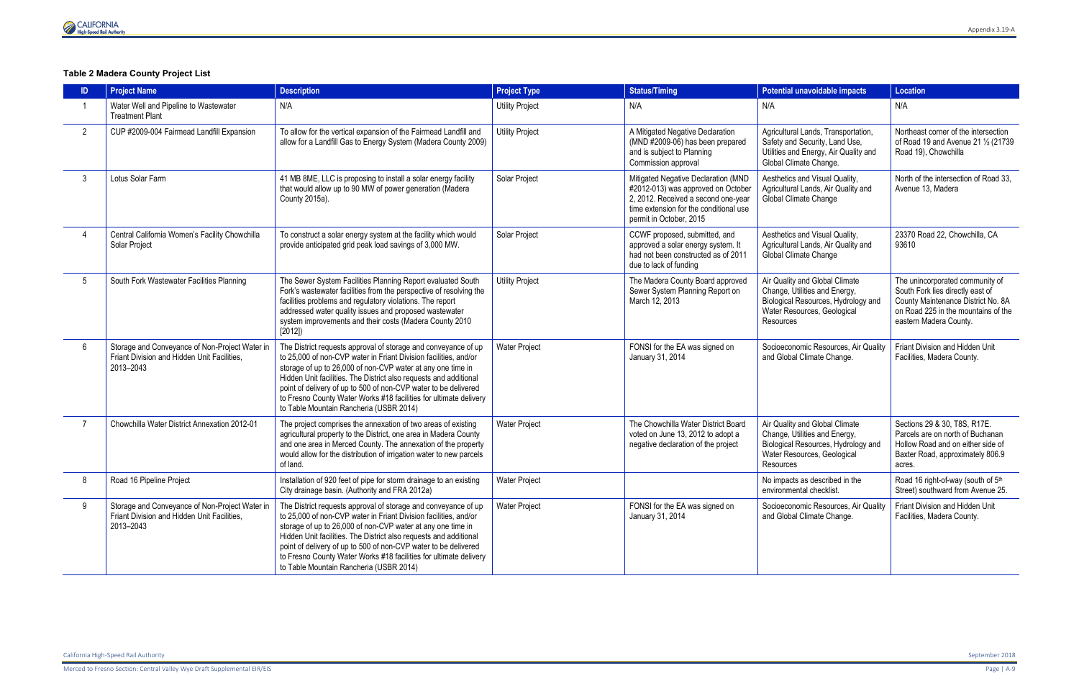

# **Table 2 Madera County Project List**

|                | <b>Project Name</b>                                                                                        | <b>Description</b>                                                                                                                                                                                                                                                                                                                                                                                                                                        | <b>Project Type</b>    | <b>Status/Timing</b>                                                                                                                                                                  | Potential unavoidable impacts                                                                                                                      | Location                                                                                                                                                                   |
|----------------|------------------------------------------------------------------------------------------------------------|-----------------------------------------------------------------------------------------------------------------------------------------------------------------------------------------------------------------------------------------------------------------------------------------------------------------------------------------------------------------------------------------------------------------------------------------------------------|------------------------|---------------------------------------------------------------------------------------------------------------------------------------------------------------------------------------|----------------------------------------------------------------------------------------------------------------------------------------------------|----------------------------------------------------------------------------------------------------------------------------------------------------------------------------|
|                | Water Well and Pipeline to Wastewater<br><b>Treatment Plant</b>                                            | N/A                                                                                                                                                                                                                                                                                                                                                                                                                                                       | <b>Utility Project</b> | N/A                                                                                                                                                                                   | N/A                                                                                                                                                | N/A                                                                                                                                                                        |
| $\overline{2}$ | CUP #2009-004 Fairmead Landfill Expansion                                                                  | To allow for the vertical expansion of the Fairmead Landfill and<br>allow for a Landfill Gas to Energy System (Madera County 2009)                                                                                                                                                                                                                                                                                                                        | <b>Utility Project</b> | A Mitigated Negative Declaration<br>(MND #2009-06) has been prepared<br>and is subject to Planning<br>Commission approval                                                             | Agricultural Lands, Transportation,<br>Safety and Security, Land Use,<br>Utilities and Energy, Air Quality and<br>Global Climate Change.           | Northeast corner of the intersection<br>of Road 19 and Avenue 21 1/2 (21739<br>Road 19), Chowchilla                                                                        |
|                | Lotus Solar Farm                                                                                           | 41 MB 8ME, LLC is proposing to install a solar energy facility<br>that would allow up to 90 MW of power generation (Madera<br>County 2015a).                                                                                                                                                                                                                                                                                                              | Solar Project          | Mitigated Negative Declaration (MND<br>#2012-013) was approved on October<br>2, 2012. Received a second one-year<br>time extension for the conditional use<br>permit in October, 2015 | Aesthetics and Visual Quality,<br>Agricultural Lands, Air Quality and<br>Global Climate Change                                                     | North of the intersection of Road 33.<br>Avenue 13, Madera                                                                                                                 |
|                | Central California Women's Facility Chowchilla<br>Solar Project                                            | To construct a solar energy system at the facility which would<br>provide anticipated grid peak load savings of 3,000 MW.                                                                                                                                                                                                                                                                                                                                 | Solar Project          | CCWF proposed, submitted, and<br>approved a solar energy system. It<br>had not been constructed as of 2011<br>due to lack of funding                                                  | Aesthetics and Visual Quality,<br>Agricultural Lands, Air Quality and<br>Global Climate Change                                                     | 23370 Road 22, Chowchilla, CA<br>93610                                                                                                                                     |
|                | South Fork Wastewater Facilities Planning                                                                  | The Sewer System Facilities Planning Report evaluated South<br>Fork's wastewater facilities from the perspective of resolving the<br>facilities problems and regulatory violations. The report<br>addressed water quality issues and proposed wastewater<br>system improvements and their costs (Madera County 2010<br>[2012]                                                                                                                             | <b>Utility Project</b> | The Madera County Board approved<br>Sewer System Planning Report on<br>March 12, 2013                                                                                                 | Air Quality and Global Climate<br>Change, Utilities and Energy,<br>Biological Resources, Hydrology and<br>Water Resources, Geological<br>Resources | The unincorporated community of<br>South Fork lies directly east of<br>County Maintenance District No. 8A<br>on Road 225 in the mountains of the<br>eastern Madera County. |
| 6              | Storage and Conveyance of Non-Project Water in<br>Friant Division and Hidden Unit Facilities.<br>2013-2043 | The District requests approval of storage and conveyance of up<br>to 25,000 of non-CVP water in Friant Division facilities, and/or<br>storage of up to 26,000 of non-CVP water at any one time in<br>Hidden Unit facilities. The District also requests and additional<br>point of delivery of up to 500 of non-CVP water to be delivered<br>to Fresno County Water Works #18 facilities for ultimate delivery<br>to Table Mountain Rancheria (USBR 2014) | <b>Water Project</b>   | FONSI for the EA was signed on<br>January 31, 2014                                                                                                                                    | Socioeconomic Resources, Air Quality<br>and Global Climate Change.                                                                                 | Friant Division and Hidden Unit<br>Facilities, Madera County.                                                                                                              |
|                | Chowchilla Water District Annexation 2012-01                                                               | The project comprises the annexation of two areas of existing<br>agricultural property to the District, one area in Madera County<br>and one area in Merced County. The annexation of the property<br>would allow for the distribution of irrigation water to new parcels<br>of land.                                                                                                                                                                     | <b>Water Project</b>   | The Chowchilla Water District Board<br>voted on June 13, 2012 to adopt a<br>negative declaration of the project                                                                       | Air Quality and Global Climate<br>Change, Utilities and Energy,<br>Biological Resources, Hydrology and<br>Water Resources, Geological<br>Resources | Sections 29 & 30, T8S, R17E.<br>Parcels are on north of Buchanan<br>Hollow Road and on either side of<br>Baxter Road, approximately 806.9<br>acres.                        |
|                | Road 16 Pipeline Project                                                                                   | Installation of 920 feet of pipe for storm drainage to an existing<br>City drainage basin. (Authority and FRA 2012a)                                                                                                                                                                                                                                                                                                                                      | <b>Water Project</b>   |                                                                                                                                                                                       | No impacts as described in the<br>environmental checklist.                                                                                         | Road 16 right-of-way (south of 5th<br>Street) southward from Avenue 25.                                                                                                    |
| 9              | Storage and Conveyance of Non-Project Water in<br>Friant Division and Hidden Unit Facilities,<br>2013-2043 | The District requests approval of storage and conveyance of up<br>to 25,000 of non-CVP water in Friant Division facilities, and/or<br>storage of up to 26,000 of non-CVP water at any one time in<br>Hidden Unit facilities. The District also requests and additional<br>point of delivery of up to 500 of non-CVP water to be delivered<br>to Fresno County Water Works #18 facilities for ultimate delivery<br>to Table Mountain Rancheria (USBR 2014) | <b>Water Project</b>   | FONSI for the EA was signed on<br>January 31, 2014                                                                                                                                    | Socioeconomic Resources, Air Quality<br>and Global Climate Change.                                                                                 | Friant Division and Hidden Unit<br>Facilities, Madera County.                                                                                                              |

California High-Speed Rail Authority September 2018

Merced to Fresno Section: Central Valley Wye Draft Supplemental EIR/EIS Page | A-9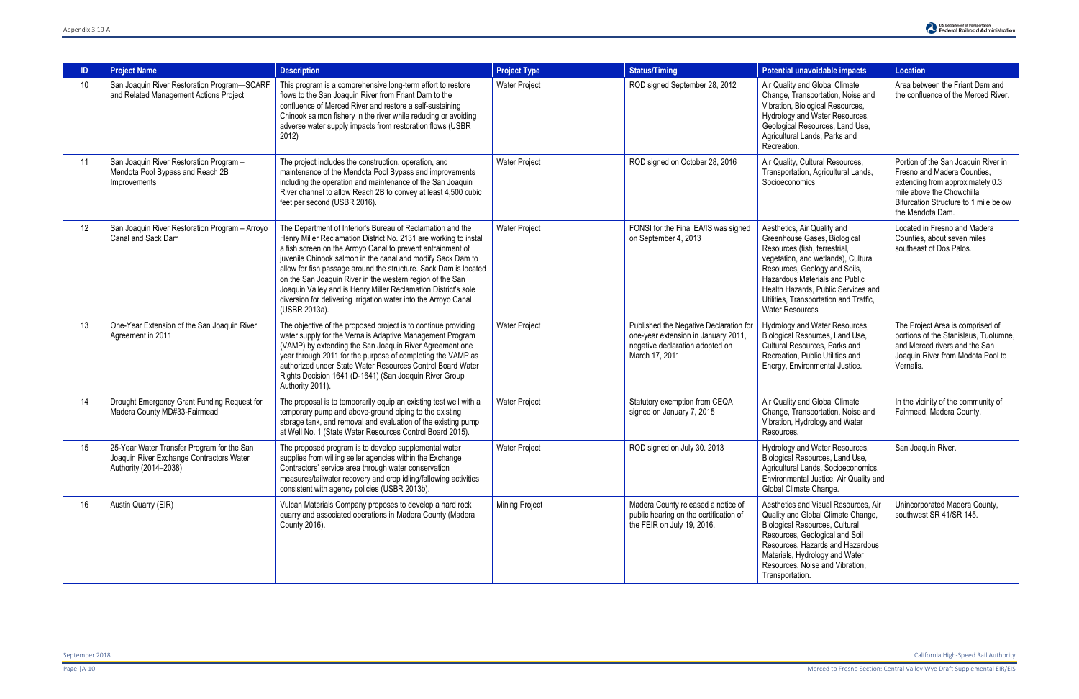| <b>ID</b> | <b>Project Name</b>                                                                                             | <b>Description</b>                                                                                                                                                                                                                                                                                                                                                                                                                                                                                                                                   | <b>Project Type</b>  | <b>Status/Timing</b>                                                                                                               | Potential unavoidable impacts                                                                                                                                                                                                                                                                                            | <b>Location</b>                                                                                                                                                                                  |
|-----------|-----------------------------------------------------------------------------------------------------------------|------------------------------------------------------------------------------------------------------------------------------------------------------------------------------------------------------------------------------------------------------------------------------------------------------------------------------------------------------------------------------------------------------------------------------------------------------------------------------------------------------------------------------------------------------|----------------------|------------------------------------------------------------------------------------------------------------------------------------|--------------------------------------------------------------------------------------------------------------------------------------------------------------------------------------------------------------------------------------------------------------------------------------------------------------------------|--------------------------------------------------------------------------------------------------------------------------------------------------------------------------------------------------|
| 10        | San Joaquin River Restoration Program-SCARF<br>and Related Management Actions Project                           | This program is a comprehensive long-term effort to restore<br>flows to the San Joaquin River from Friant Dam to the<br>confluence of Merced River and restore a self-sustaining<br>Chinook salmon fishery in the river while reducing or avoiding<br>adverse water supply impacts from restoration flows (USBR<br>2012)                                                                                                                                                                                                                             | <b>Water Project</b> | ROD signed September 28, 2012                                                                                                      | Air Quality and Global Climate<br>Change, Transportation, Noise and<br>Vibration, Biological Resources,<br>Hydrology and Water Resources,<br>Geological Resources, Land Use,<br>Agricultural Lands, Parks and<br>Recreation.                                                                                             | Area between the Friant Dam and<br>the confluence of the Merced River.                                                                                                                           |
| 11        | San Joaquin River Restoration Program -<br>Mendota Pool Bypass and Reach 2B<br>Improvements                     | The project includes the construction, operation, and<br>maintenance of the Mendota Pool Bypass and improvements<br>including the operation and maintenance of the San Joaquin<br>River channel to allow Reach 2B to convey at least 4,500 cubic<br>feet per second (USBR 2016).                                                                                                                                                                                                                                                                     | <b>Water Project</b> | ROD signed on October 28, 2016                                                                                                     | Air Quality, Cultural Resources,<br>Transportation, Agricultural Lands,<br>Socioeconomics                                                                                                                                                                                                                                | Portion of the San Joaquin River in<br>Fresno and Madera Counties,<br>extending from approximately 0.3<br>mile above the Chowchilla<br>Bifurcation Structure to 1 mile below<br>the Mendota Dam. |
| 12        | San Joaquin River Restoration Program - Arroyo<br>Canal and Sack Dam                                            | The Department of Interior's Bureau of Reclamation and the<br>Henry Miller Reclamation District No. 2131 are working to install<br>a fish screen on the Arroyo Canal to prevent entrainment of<br>juvenile Chinook salmon in the canal and modify Sack Dam to<br>allow for fish passage around the structure. Sack Dam is located<br>on the San Joaquin River in the western region of the San<br>Joaquin Valley and is Henry Miller Reclamation District's sole<br>diversion for delivering irrigation water into the Arroyo Canal<br>(USBR 2013a). | <b>Water Project</b> | FONSI for the Final EA/IS was signed<br>on September 4, 2013                                                                       | Aesthetics, Air Quality and<br>Greenhouse Gases, Biological<br>Resources (fish, terrestrial,<br>vegetation, and wetlands), Cultural<br>Resources, Geology and Soils,<br><b>Hazardous Materials and Public</b><br>Health Hazards, Public Services and<br>Utilities, Transportation and Traffic,<br><b>Water Resources</b> | Located in Fresno and Madera<br>Counties, about seven miles<br>southeast of Dos Palos.                                                                                                           |
| 13        | One-Year Extension of the San Joaquin River<br>Agreement in 2011                                                | The objective of the proposed project is to continue providing<br>water supply for the Vernalis Adaptive Management Program<br>(VAMP) by extending the San Joaquin River Agreement one<br>year through 2011 for the purpose of completing the VAMP as<br>authorized under State Water Resources Control Board Water<br>Rights Decision 1641 (D-1641) (San Joaquin River Group<br>Authority 2011).                                                                                                                                                    | <b>Water Project</b> | Published the Negative Declaration for<br>one-year extension in January 2011,<br>negative declaration adopted on<br>March 17, 2011 | Hydrology and Water Resources,<br>Biological Resources, Land Use,<br>Cultural Resources, Parks and<br>Recreation, Public Utilities and<br>Energy, Environmental Justice.                                                                                                                                                 | The Project Area is comprised of<br>portions of the Stanislaus, Tuolumne,<br>and Merced rivers and the San<br>Joaquin River from Modota Pool to<br>Vernalis.                                     |
| 14        | Drought Emergency Grant Funding Request for<br>Madera County MD#33-Fairmead                                     | The proposal is to temporarily equip an existing test well with a<br>temporary pump and above-ground piping to the existing<br>storage tank, and removal and evaluation of the existing pump<br>at Well No. 1 (State Water Resources Control Board 2015).                                                                                                                                                                                                                                                                                            | <b>Water Project</b> | Statutory exemption from CEQA<br>signed on January 7, 2015                                                                         | Air Quality and Global Climate<br>Change, Transportation, Noise and<br>Vibration, Hydrology and Water<br>Resources.                                                                                                                                                                                                      | In the vicinity of the community of<br>Fairmead, Madera County.                                                                                                                                  |
| 15        | 25-Year Water Transfer Program for the San<br>Joaquin River Exchange Contractors Water<br>Authority (2014-2038) | The proposed program is to develop supplemental water<br>supplies from willing seller agencies within the Exchange<br>Contractors' service area through water conservation<br>measures/tailwater recovery and crop idling/fallowing activities<br>consistent with agency policies (USBR 2013b).                                                                                                                                                                                                                                                      | <b>Water Project</b> | ROD signed on July 30. 2013                                                                                                        | Hydrology and Water Resources,<br>Biological Resources, Land Use,<br>Agricultural Lands, Socioeconomics,<br>Environmental Justice, Air Quality and<br>Global Climate Change.                                                                                                                                             | San Joaquin River.                                                                                                                                                                               |
| 16        | Austin Quarry (EIR)                                                                                             | Vulcan Materials Company proposes to develop a hard rock<br>quarry and associated operations in Madera County (Madera<br>County 2016).                                                                                                                                                                                                                                                                                                                                                                                                               | Mining Project       | Madera County released a notice of<br>public hearing on the certification of<br>the FEIR on July 19, 2016.                         | Aesthetics and Visual Resources, Air<br>Quality and Global Climate Change,<br><b>Biological Resources, Cultural</b><br>Resources, Geological and Soil<br>Resources, Hazards and Hazardous<br>Materials, Hydrology and Water<br>Resources, Noise and Vibration,<br>Transportation.                                        | Unincorporated Madera County,<br>southwest SR 41/SR 145.                                                                                                                                         |

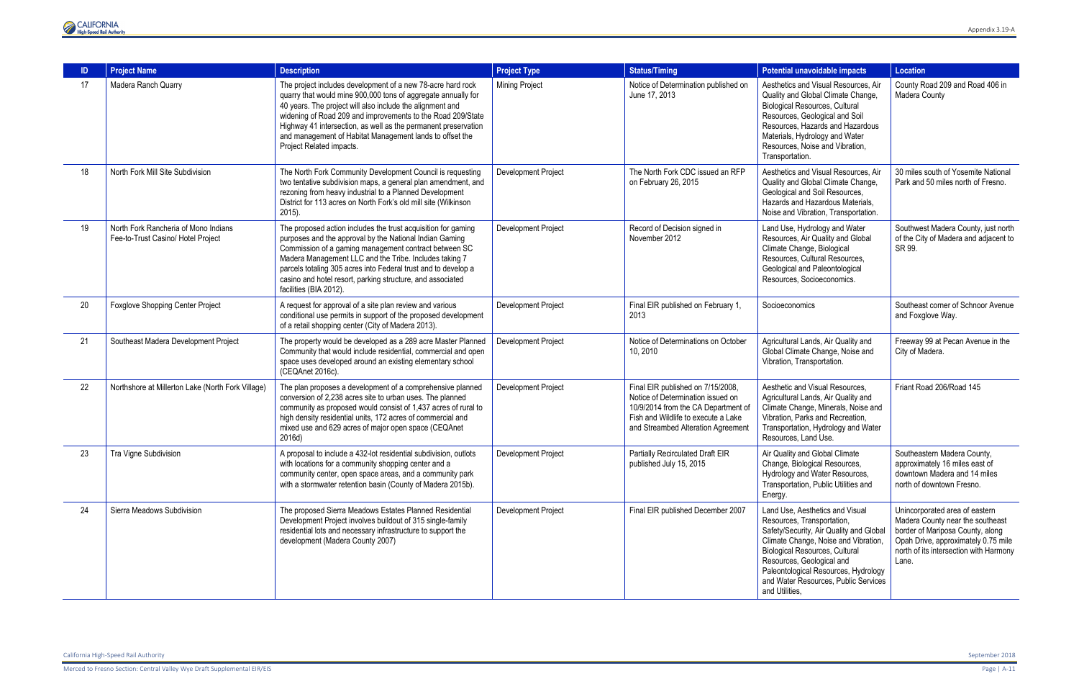Merced to Fresno Section: Central Valley Wye Draft Supplemental EIR/EIS Page | A-11



|    | <b>Project Name</b>                                                        | <b>Description</b>                                                                                                                                                                                                                                                                                                                                                                                                 | <b>Project Type</b>        | <b>Status/Timing</b>                                                                                                                                                                       | Potential unavoidable impacts                                                                                                                                                                                                                                                                                            | <b>Location</b>                                                                                                                                                                                  |
|----|----------------------------------------------------------------------------|--------------------------------------------------------------------------------------------------------------------------------------------------------------------------------------------------------------------------------------------------------------------------------------------------------------------------------------------------------------------------------------------------------------------|----------------------------|--------------------------------------------------------------------------------------------------------------------------------------------------------------------------------------------|--------------------------------------------------------------------------------------------------------------------------------------------------------------------------------------------------------------------------------------------------------------------------------------------------------------------------|--------------------------------------------------------------------------------------------------------------------------------------------------------------------------------------------------|
| 17 | Madera Ranch Quarry                                                        | The project includes development of a new 78-acre hard rock<br>quarry that would mine 900,000 tons of aggregate annually for<br>40 years. The project will also include the alignment and<br>widening of Road 209 and improvements to the Road 209/State<br>Highway 41 intersection, as well as the permanent preservation<br>and management of Habitat Management lands to offset the<br>Project Related impacts. | <b>Mining Project</b>      | Notice of Determination published on<br>June 17, 2013                                                                                                                                      | Aesthetics and Visual Resources, Air<br>Quality and Global Climate Change,<br><b>Biological Resources, Cultural</b><br>Resources, Geological and Soil<br>Resources, Hazards and Hazardous<br>Materials, Hydrology and Water<br>Resources, Noise and Vibration,<br>Transportation.                                        | County Road 209 and Road 406 in<br>Madera County                                                                                                                                                 |
| 18 | North Fork Mill Site Subdivision                                           | The North Fork Community Development Council is requesting<br>two tentative subdivision maps, a general plan amendment, and<br>rezoning from heavy industrial to a Planned Development<br>District for 113 acres on North Fork's old mill site (Wilkinson<br>$2015$ ).                                                                                                                                             | Development Project        | The North Fork CDC issued an RFP<br>on February 26, 2015                                                                                                                                   | Aesthetics and Visual Resources, Air<br>Quality and Global Climate Change,<br>Geological and Soil Resources,<br>Hazards and Hazardous Materials,<br>Noise and Vibration, Transportation.                                                                                                                                 | 30 miles south of Yosemite National<br>Park and 50 miles north of Fresno.                                                                                                                        |
| 19 | North Fork Rancheria of Mono Indians<br>Fee-to-Trust Casino/ Hotel Project | The proposed action includes the trust acquisition for gaming<br>purposes and the approval by the National Indian Gaming<br>Commission of a gaming management contract between SC<br>Madera Management LLC and the Tribe. Includes taking 7<br>parcels totaling 305 acres into Federal trust and to develop a<br>casino and hotel resort, parking structure, and associated<br>facilities (BIA 2012).              | <b>Development Project</b> | Record of Decision signed in<br>November 2012                                                                                                                                              | Land Use, Hydrology and Water<br>Resources, Air Quality and Global<br>Climate Change, Biological<br>Resources, Cultural Resources,<br>Geological and Paleontological<br>Resources, Socioeconomics.                                                                                                                       | Southwest Madera County, just north<br>of the City of Madera and adjacent to<br>SR 99.                                                                                                           |
| 20 | <b>Foxglove Shopping Center Project</b>                                    | A request for approval of a site plan review and various<br>conditional use permits in support of the proposed development<br>of a retail shopping center (City of Madera 2013).                                                                                                                                                                                                                                   | Development Project        | Final EIR published on February 1,<br>2013                                                                                                                                                 | Socioeconomics                                                                                                                                                                                                                                                                                                           | Southeast corner of Schnoor Avenue<br>and Foxglove Way.                                                                                                                                          |
| 21 | Southeast Madera Development Project                                       | The property would be developed as a 289 acre Master Planned<br>Community that would include residential, commercial and open<br>space uses developed around an existing elementary school<br>(CEQAnet 2016c).                                                                                                                                                                                                     | Development Project        | Notice of Determinations on October<br>10, 2010                                                                                                                                            | Agricultural Lands, Air Quality and<br>Global Climate Change, Noise and<br>Vibration, Transportation.                                                                                                                                                                                                                    | Freeway 99 at Pecan Avenue in the<br>City of Madera.                                                                                                                                             |
| 22 | Northshore at Millerton Lake (North Fork Village)                          | The plan proposes a development of a comprehensive planned<br>conversion of 2,238 acres site to urban uses. The planned<br>community as proposed would consist of 1,437 acres of rural to<br>high density residential units, 172 acres of commercial and<br>mixed use and 629 acres of major open space (CEQAnet<br>2016d)                                                                                         | Development Project        | Final EIR published on 7/15/2008,<br>Notice of Determination issued on<br>10/9/2014 from the CA Department of<br>Fish and Wildlife to execute a Lake<br>and Streambed Alteration Agreement | Aesthetic and Visual Resources.<br>Agricultural Lands, Air Quality and<br>Climate Change, Minerals, Noise and<br>Vibration, Parks and Recreation,<br>Transportation, Hydrology and Water<br>Resources, Land Use.                                                                                                         | Friant Road 206/Road 145                                                                                                                                                                         |
| 23 | Tra Vigne Subdivision                                                      | A proposal to include a 432-lot residential subdivision, outlots<br>with locations for a community shopping center and a<br>community center, open space areas, and a community park<br>with a stormwater retention basin (County of Madera 2015b).                                                                                                                                                                | Development Project        | <b>Partially Recirculated Draft EIR</b><br>published July 15, 2015                                                                                                                         | Air Quality and Global Climate<br>Change, Biological Resources,<br>Hydrology and Water Resources,<br>Transportation, Public Utilities and<br>Energy.                                                                                                                                                                     | Southeastern Madera County,<br>approximately 16 miles east of<br>downtown Madera and 14 miles<br>north of downtown Fresno.                                                                       |
| 24 | Sierra Meadows Subdivision                                                 | The proposed Sierra Meadows Estates Planned Residential<br>Development Project involves buildout of 315 single-family<br>residential lots and necessary infrastructure to support the<br>development (Madera County 2007)                                                                                                                                                                                          | Development Project        | Final EIR published December 2007                                                                                                                                                          | Land Use, Aesthetics and Visual<br>Resources, Transportation,<br>Safety/Security, Air Quality and Global<br>Climate Change, Noise and Vibration,<br><b>Biological Resources, Cultural</b><br>Resources, Geological and<br>Paleontological Resources, Hydrology<br>and Water Resources, Public Services<br>and Utilities, | Unincorporated area of eastern<br>Madera County near the southeast<br>border of Mariposa County, along<br>Opah Drive, approximately 0.75 mile<br>north of its intersection with Harmony<br>Lane. |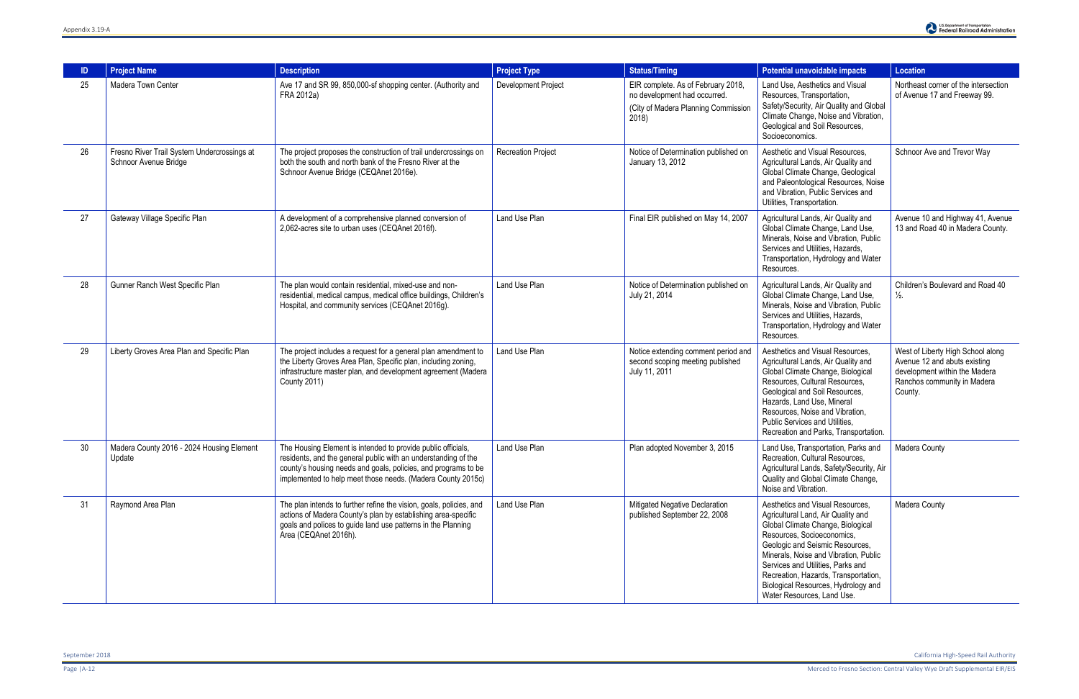|    | <b>Project Name</b>                                                  | <b>Description</b>                                                                                                                                                                                                                                              | <b>Project Type</b>       | <b>Status/Timing</b>                                                                                              | Potential unavoidable impacts                                                                                                                                                                                                                                                                                                                                           | <b>Location</b>                                                                                                                              |
|----|----------------------------------------------------------------------|-----------------------------------------------------------------------------------------------------------------------------------------------------------------------------------------------------------------------------------------------------------------|---------------------------|-------------------------------------------------------------------------------------------------------------------|-------------------------------------------------------------------------------------------------------------------------------------------------------------------------------------------------------------------------------------------------------------------------------------------------------------------------------------------------------------------------|----------------------------------------------------------------------------------------------------------------------------------------------|
| 25 | Madera Town Center                                                   | Ave 17 and SR 99, 850,000-sf shopping center. (Authority and<br>FRA 2012a)                                                                                                                                                                                      | Development Project       | EIR complete. As of February 2018,<br>no development had occurred.<br>(City of Madera Planning Commission<br>2018 | Land Use, Aesthetics and Visual<br>Resources, Transportation,<br>Safety/Security, Air Quality and Global<br>Climate Change, Noise and Vibration,<br>Geological and Soil Resources,<br>Socioeconomics.                                                                                                                                                                   | Northeast corner of the intersection<br>of Avenue 17 and Freeway 99.                                                                         |
| 26 | Fresno River Trail System Undercrossings at<br>Schnoor Avenue Bridge | The project proposes the construction of trail undercrossings on<br>both the south and north bank of the Fresno River at the<br>Schnoor Avenue Bridge (CEQAnet 2016e).                                                                                          | <b>Recreation Project</b> | Notice of Determination published on<br>January 13, 2012                                                          | Aesthetic and Visual Resources,<br>Agricultural Lands, Air Quality and<br>Global Climate Change, Geological<br>and Paleontological Resources, Noise<br>and Vibration, Public Services and<br>Utilities, Transportation.                                                                                                                                                 | Schnoor Ave and Trevor Way                                                                                                                   |
| 27 | Gateway Village Specific Plan                                        | A development of a comprehensive planned conversion of<br>2,062-acres site to urban uses (CEQAnet 2016f).                                                                                                                                                       | Land Use Plan             | Final EIR published on May 14, 2007                                                                               | Agricultural Lands, Air Quality and<br>Global Climate Change, Land Use,<br>Minerals, Noise and Vibration, Public<br>Services and Utilities, Hazards,<br>Transportation, Hydrology and Water<br>Resources.                                                                                                                                                               | Avenue 10 and Highway 41, Avenue<br>13 and Road 40 in Madera County.                                                                         |
| 28 | Gunner Ranch West Specific Plan                                      | The plan would contain residential, mixed-use and non-<br>residential, medical campus, medical office buildings, Children's<br>Hospital, and community services (CEQAnet 2016g).                                                                                | Land Use Plan             | Notice of Determination published on<br>July 21, 2014                                                             | Agricultural Lands, Air Quality and<br>Global Climate Change, Land Use,<br>Minerals, Noise and Vibration, Public<br>Services and Utilities, Hazards,<br>Transportation, Hydrology and Water<br>Resources.                                                                                                                                                               | Children's Boulevard and Road 40<br>$\frac{1}{2}$ .                                                                                          |
| 29 | Liberty Groves Area Plan and Specific Plan                           | The project includes a request for a general plan amendment to<br>the Liberty Groves Area Plan, Specific plan, including zoning,<br>infrastructure master plan, and development agreement (Madera<br><b>County 2011)</b>                                        | Land Use Plan             | Notice extending comment period and<br>second scoping meeting published<br>July 11, 2011                          | Aesthetics and Visual Resources,<br>Agricultural Lands, Air Quality and<br>Global Climate Change, Biological<br>Resources, Cultural Resources,<br>Geological and Soil Resources,<br>Hazards, Land Use, Mineral<br>Resources, Noise and Vibration,<br>Public Services and Utilities.<br>Recreation and Parks, Transportation.                                            | West of Liberty High School along<br>Avenue 12 and abuts existing<br>development within the Madera<br>Ranchos community in Madera<br>County. |
| 30 | Madera County 2016 - 2024 Housing Element<br>Update                  | The Housing Element is intended to provide public officials,<br>residents, and the general public with an understanding of the<br>county's housing needs and goals, policies, and programs to be<br>implemented to help meet those needs. (Madera County 2015c) | Land Use Plan             | Plan adopted November 3, 2015                                                                                     | Land Use, Transportation, Parks and<br>Recreation, Cultural Resources,<br>Agricultural Lands, Safety/Security, Air<br>Quality and Global Climate Change,<br>Noise and Vibration.                                                                                                                                                                                        | <b>Madera County</b>                                                                                                                         |
| 31 | Raymond Area Plan                                                    | The plan intends to further refine the vision, goals, policies, and<br>actions of Madera County's plan by establishing area-specific<br>goals and polices to guide land use patterns in the Planning<br>Area (CEQAnet 2016h).                                   | Land Use Plan             | Mitigated Negative Declaration<br>published September 22, 2008                                                    | Aesthetics and Visual Resources.<br>Agricultural Land, Air Quality and<br>Global Climate Change, Biological<br>Resources, Socioeconomics,<br>Geologic and Seismic Resources,<br>Minerals, Noise and Vibration, Public<br>Services and Utilities, Parks and<br>Recreation, Hazards, Transportation,<br>Biological Resources, Hydrology and<br>Water Resources, Land Use. | Madera County                                                                                                                                |

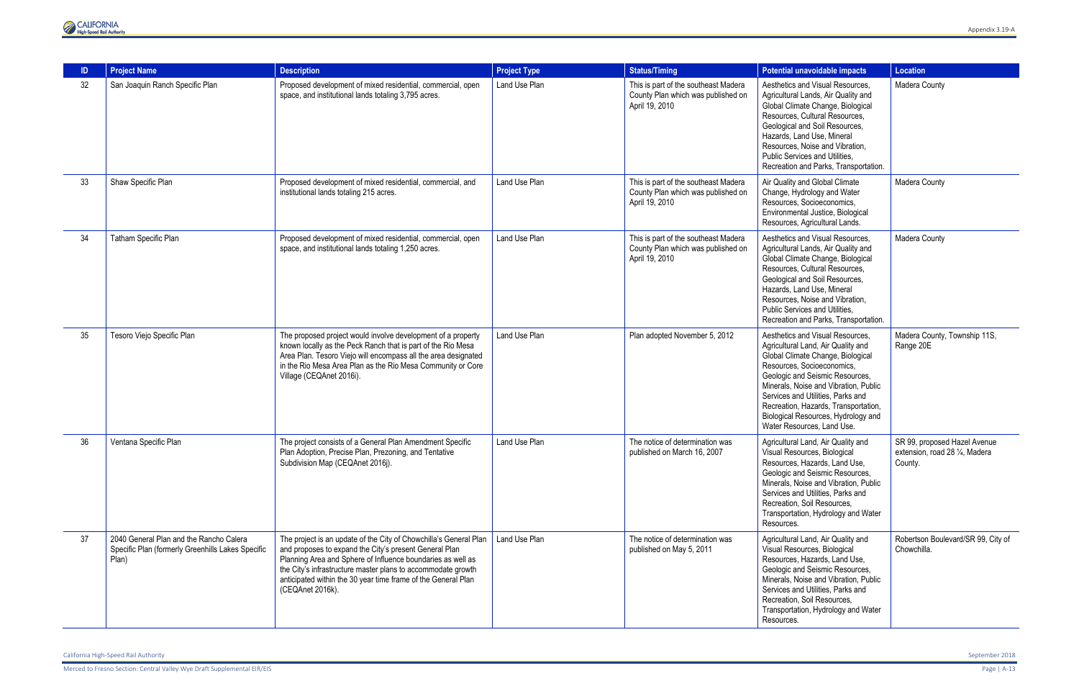

|    | <b>Project Name</b>                                                                                   | <b>Description</b>                                                                                                                                                                                                                                                                                                                              | <b>Project Type</b> | <b>Status/Timing</b>                                                                         | Potential unavoidable impacts                                                                                                                                                                                                                                                                                                                                           | <b>Location</b>                                                           |
|----|-------------------------------------------------------------------------------------------------------|-------------------------------------------------------------------------------------------------------------------------------------------------------------------------------------------------------------------------------------------------------------------------------------------------------------------------------------------------|---------------------|----------------------------------------------------------------------------------------------|-------------------------------------------------------------------------------------------------------------------------------------------------------------------------------------------------------------------------------------------------------------------------------------------------------------------------------------------------------------------------|---------------------------------------------------------------------------|
| 32 | San Joaquin Ranch Specific Plan                                                                       | Proposed development of mixed residential, commercial, open<br>space, and institutional lands totaling 3,795 acres.                                                                                                                                                                                                                             | Land Use Plan       | This is part of the southeast Madera<br>County Plan which was published on<br>April 19, 2010 | Aesthetics and Visual Resources,<br>Agricultural Lands, Air Quality and<br>Global Climate Change, Biological<br>Resources, Cultural Resources,<br>Geological and Soil Resources,<br>Hazards, Land Use, Mineral<br>Resources, Noise and Vibration,<br>Public Services and Utilities.<br>Recreation and Parks, Transportation.                                            | Madera County                                                             |
| 33 | Shaw Specific Plan                                                                                    | Proposed development of mixed residential, commercial, and<br>institutional lands totaling 215 acres.                                                                                                                                                                                                                                           | Land Use Plan       | This is part of the southeast Madera<br>County Plan which was published on<br>April 19, 2010 | Air Quality and Global Climate<br>Change, Hydrology and Water<br>Resources, Socioeconomics,<br>Environmental Justice, Biological<br>Resources, Agricultural Lands.                                                                                                                                                                                                      | Madera County                                                             |
| 34 | Tatham Specific Plan                                                                                  | Proposed development of mixed residential, commercial, open<br>space, and institutional lands totaling 1,250 acres.                                                                                                                                                                                                                             | Land Use Plan       | This is part of the southeast Madera<br>County Plan which was published on<br>April 19, 2010 | Aesthetics and Visual Resources.<br>Agricultural Lands, Air Quality and<br>Global Climate Change, Biological<br>Resources, Cultural Resources,<br>Geological and Soil Resources,<br>Hazards, Land Use, Mineral<br>Resources, Noise and Vibration,<br>Public Services and Utilities.<br>Recreation and Parks, Transportation.                                            | Madera County                                                             |
| 35 | Tesoro Viejo Specific Plan                                                                            | The proposed project would involve development of a property<br>known locally as the Peck Ranch that is part of the Rio Mesa<br>Area Plan. Tesoro Viejo will encompass all the area designated<br>in the Rio Mesa Area Plan as the Rio Mesa Community or Core<br>Village (CEQAnet 2016i).                                                       | Land Use Plan       | Plan adopted November 5, 2012                                                                | Aesthetics and Visual Resources,<br>Agricultural Land, Air Quality and<br>Global Climate Change, Biological<br>Resources, Socioeconomics,<br>Geologic and Seismic Resources,<br>Minerals, Noise and Vibration, Public<br>Services and Utilities, Parks and<br>Recreation, Hazards, Transportation,<br>Biological Resources, Hydrology and<br>Water Resources, Land Use. | Madera County, Township 11S,<br>Range 20E                                 |
| 36 | Ventana Specific Plan                                                                                 | The project consists of a General Plan Amendment Specific<br>Plan Adoption, Precise Plan, Prezoning, and Tentative<br>Subdivision Map (CEQAnet 2016j).                                                                                                                                                                                          | Land Use Plan       | The notice of determination was<br>published on March 16, 2007                               | Agricultural Land, Air Quality and<br>Visual Resources, Biological<br>Resources, Hazards, Land Use,<br>Geologic and Seismic Resources,<br>Minerals, Noise and Vibration, Public<br>Services and Utilities. Parks and<br>Recreation, Soil Resources,<br>Transportation, Hydrology and Water<br>Resources.                                                                | SR 99, proposed Hazel Avenue<br>extension, road 28 1/4, Madera<br>County. |
| 37 | 2040 General Plan and the Rancho Calera<br>Specific Plan (formerly Greenhills Lakes Specific<br>Plan) | The project is an update of the City of Chowchilla's General Plan<br>and proposes to expand the City's present General Plan<br>Planning Area and Sphere of Influence boundaries as well as<br>the City's infrastructure master plans to accommodate growth<br>anticipated within the 30 year time frame of the General Plan<br>(CEQAnet 2016k). | Land Use Plan       | The notice of determination was<br>published on May 5, 2011                                  | Agricultural Land, Air Quality and<br>Visual Resources, Biological<br>Resources, Hazards, Land Use,<br>Geologic and Seismic Resources,<br>Minerals, Noise and Vibration, Public<br>Services and Utilities, Parks and<br>Recreation, Soil Resources,<br>Transportation, Hydrology and Water<br>Resources.                                                                | Robertson Boulevard/SR 99, City of<br>Chowchilla.                         |

California High-Speed Rail Authority September 2018

Merced to Fresno Section: Central Valley Wye Draft Supplemental EIR/EIS Page | A-13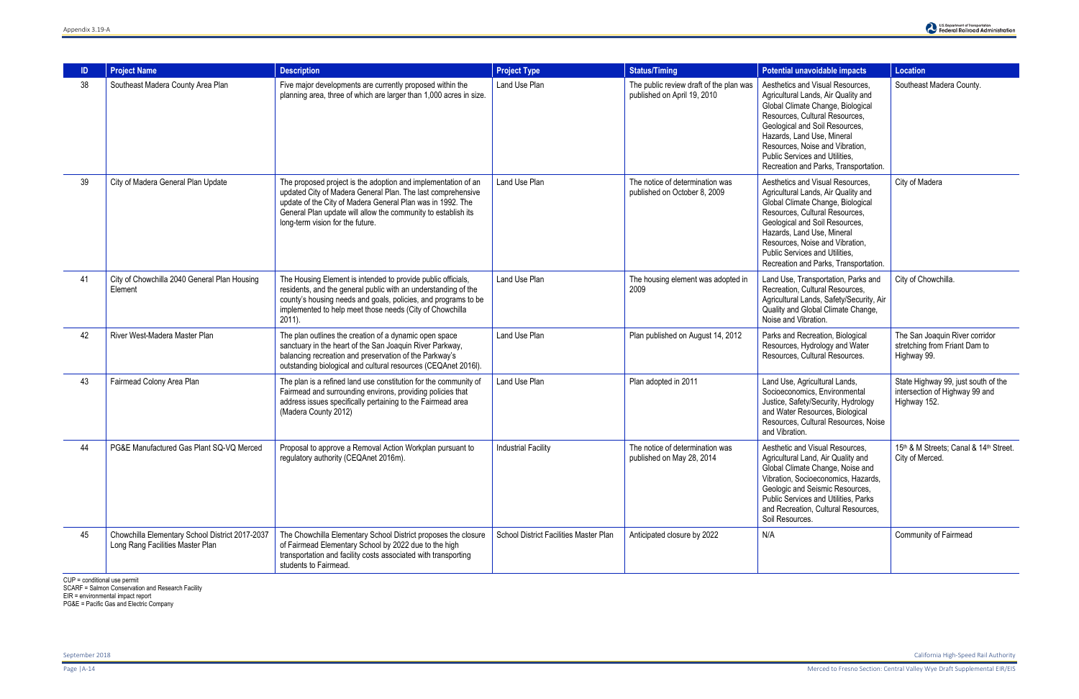| <b>ID</b> | <b>Project Name</b>                                                                 | <b>Description</b>                                                                                                                                                                                                                                                                              | <b>Project Type</b>                    | <b>Status/Timing</b>                                                   | Potential unavoidable impacts                                                                                                                                                                                                                                                                                                | Location                                                                              |
|-----------|-------------------------------------------------------------------------------------|-------------------------------------------------------------------------------------------------------------------------------------------------------------------------------------------------------------------------------------------------------------------------------------------------|----------------------------------------|------------------------------------------------------------------------|------------------------------------------------------------------------------------------------------------------------------------------------------------------------------------------------------------------------------------------------------------------------------------------------------------------------------|---------------------------------------------------------------------------------------|
| 38        | Southeast Madera County Area Plan                                                   | Five major developments are currently proposed within the<br>planning area, three of which are larger than 1,000 acres in size.                                                                                                                                                                 | Land Use Plan                          | The public review draft of the plan was<br>published on April 19, 2010 | Aesthetics and Visual Resources,<br>Agricultural Lands, Air Quality and<br>Global Climate Change, Biological<br>Resources, Cultural Resources,<br>Geological and Soil Resources,<br>Hazards, Land Use, Mineral<br>Resources, Noise and Vibration,<br>Public Services and Utilities.<br>Recreation and Parks, Transportation. | Southeast Madera County.                                                              |
| 39        | City of Madera General Plan Update                                                  | The proposed project is the adoption and implementation of an<br>updated City of Madera General Plan. The last comprehensive<br>update of the City of Madera General Plan was in 1992. The<br>General Plan update will allow the community to establish its<br>long-term vision for the future. | Land Use Plan                          | The notice of determination was<br>published on October 8, 2009        | Aesthetics and Visual Resources,<br>Agricultural Lands, Air Quality and<br>Global Climate Change, Biological<br>Resources, Cultural Resources,<br>Geological and Soil Resources,<br>Hazards, Land Use, Mineral<br>Resources, Noise and Vibration,<br>Public Services and Utilities.<br>Recreation and Parks, Transportation. | City of Madera                                                                        |
| 41        | City of Chowchilla 2040 General Plan Housing<br>Element                             | The Housing Element is intended to provide public officials,<br>residents, and the general public with an understanding of the<br>county's housing needs and goals, policies, and programs to be<br>implemented to help meet those needs (City of Chowchilla<br>$2011$ ).                       | Land Use Plan                          | The housing element was adopted in<br>2009                             | Land Use, Transportation, Parks and<br>Recreation, Cultural Resources,<br>Agricultural Lands, Safety/Security, Air<br>Quality and Global Climate Change,<br>Noise and Vibration.                                                                                                                                             | City of Chowchilla.                                                                   |
| 42        | River West-Madera Master Plan                                                       | The plan outlines the creation of a dynamic open space<br>sanctuary in the heart of the San Joaquin River Parkway,<br>balancing recreation and preservation of the Parkway's<br>outstanding biological and cultural resources (CEQAnet 2016I).                                                  | Land Use Plan                          | Plan published on August 14, 2012                                      | Parks and Recreation, Biological<br>Resources, Hydrology and Water<br>Resources, Cultural Resources.                                                                                                                                                                                                                         | The San Joaquin River corridor<br>stretching from Friant Dam to<br>Highway 99.        |
| 43        | Fairmead Colony Area Plan                                                           | The plan is a refined land use constitution for the community of<br>Fairmead and surrounding environs, providing policies that<br>address issues specifically pertaining to the Fairmead area<br>(Madera County 2012)                                                                           | Land Use Plan                          | Plan adopted in 2011                                                   | Land Use, Agricultural Lands,<br>Socioeconomics, Environmental<br>Justice, Safety/Security, Hydrology<br>and Water Resources, Biological<br>Resources, Cultural Resources, Noise<br>and Vibration.                                                                                                                           | State Highway 99, just south of the<br>intersection of Highway 99 and<br>Highway 152. |
| 44        | PG&E Manufactured Gas Plant SQ-VQ Merced                                            | Proposal to approve a Removal Action Workplan pursuant to<br>regulatory authority (CEQAnet 2016m).                                                                                                                                                                                              | <b>Industrial Facility</b>             | The notice of determination was<br>published on May 28, 2014           | Aesthetic and Visual Resources,<br>Agricultural Land, Air Quality and<br>Global Climate Change, Noise and<br>Vibration, Socioeconomics, Hazards,<br>Geologic and Seismic Resources,<br>Public Services and Utilities, Parks<br>and Recreation, Cultural Resources,<br>Soil Resources.                                        | 15th & M Streets; Canal & 14th Street.<br>City of Merced.                             |
| 45        | Chowchilla Elementary School District 2017-2037<br>Long Rang Facilities Master Plan | The Chowchilla Elementary School District proposes the closure<br>of Fairmead Elementary School by 2022 due to the high<br>transportation and facility costs associated with transporting<br>students to Fairmead.                                                                              | School District Facilities Master Plan | Anticipated closure by 2022                                            | N/A                                                                                                                                                                                                                                                                                                                          | Community of Fairmead                                                                 |

CUP = conditional use permit

SCARF = Salmon Conservation and Research Facility

EIR = environmental impact report

PG&E = Pacific Gas and Electric Company

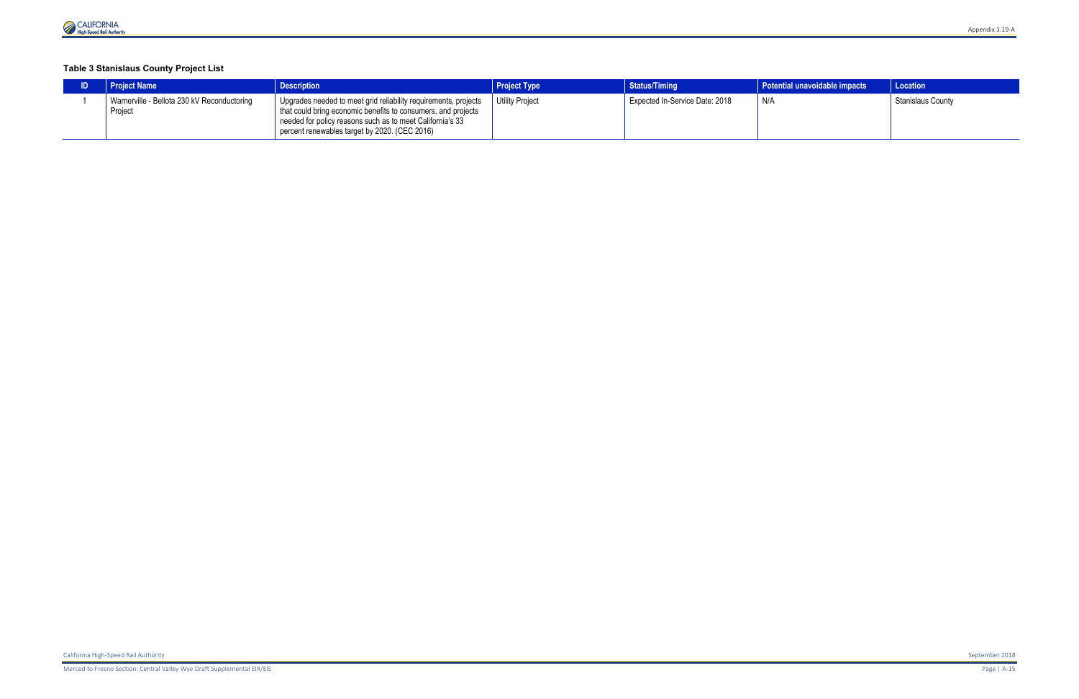#### **Table 3 Stanislaus County Project List**

| <b>Project Name</b>                                    | <b>Description</b>                                                                                                                                                                                                                             | <b>Project Type</b> | <b>Status/Timing</b>           | Potential unavoidable impacts | <b>Location</b>          |
|--------------------------------------------------------|------------------------------------------------------------------------------------------------------------------------------------------------------------------------------------------------------------------------------------------------|---------------------|--------------------------------|-------------------------------|--------------------------|
| Warnerville - Bellota 230 kV Reconductoring<br>Project | Upgrades needed to meet grid reliability requirements, projects<br>that could bring economic benefits to consumers, and projects<br>needed for policy reasons such as to meet California's 33<br>percent renewables target by 2020. (CEC 2016) | Utility Project     | Expected In-Service Date: 2018 | N/F                           | <b>Stanislaus County</b> |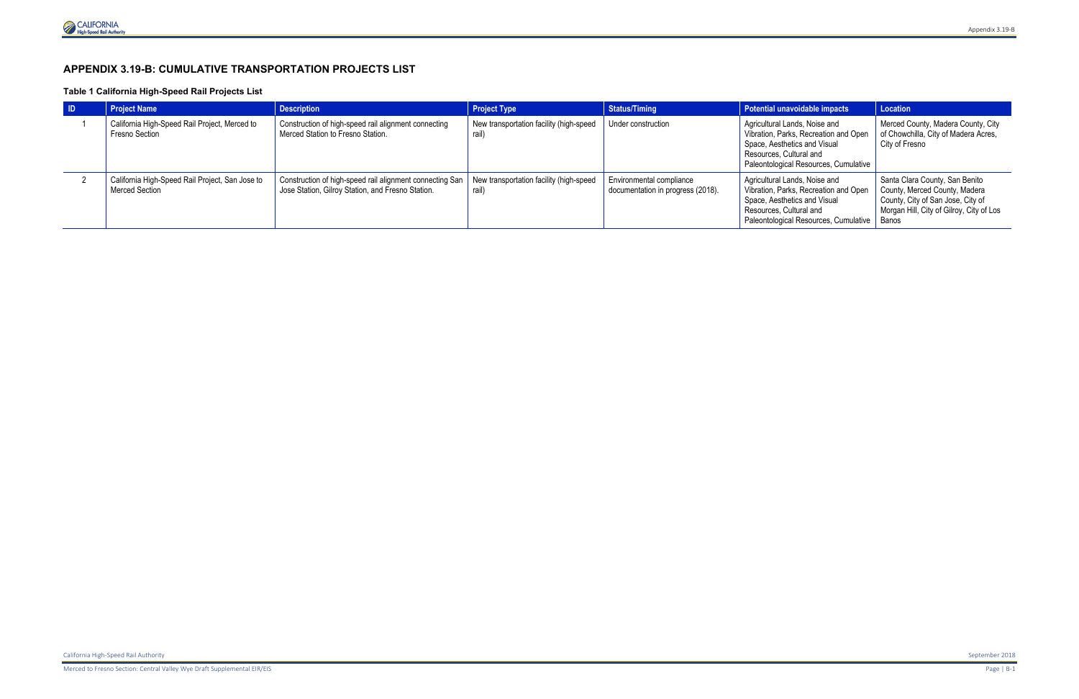# **APPENDIX 3.19-B: CUMULATIVE TRANSPORTATION PROJECTS LIST**

#### **Table 1 California High-Speed Rail Projects List**

| <b>ID</b> | <b>Project Name</b>                                               | <b>Description</b>                                                                                            | <b>Project Type</b>                             | <b>Status/Timing</b>                                          | Potential unavoidable impacts                                                                                                                                              | Location                                                                                                                                                  |
|-----------|-------------------------------------------------------------------|---------------------------------------------------------------------------------------------------------------|-------------------------------------------------|---------------------------------------------------------------|----------------------------------------------------------------------------------------------------------------------------------------------------------------------------|-----------------------------------------------------------------------------------------------------------------------------------------------------------|
|           | California High-Speed Rail Project, Merced to<br>Fresno Section   | Construction of high-speed rail alignment connecting<br>Merced Station to Fresno Station.                     | New transportation facility (high-speed<br>rail | Under construction                                            | Agricultural Lands, Noise and<br>Vibration, Parks, Recreation and Open<br>Space, Aesthetics and Visual<br>Resources, Cultural and<br>Paleontological Resources, Cumulative | Merced County, Madera County, City<br>of Chowchilla, City of Madera Acres,<br>City of Fresno                                                              |
|           | California High-Speed Rail Project, San Jose to<br>Merced Section | Construction of high-speed rail alignment connecting San<br>Jose Station, Gilroy Station, and Fresno Station. | New transportation facility (high-speed<br>rail | Environmental compliance<br>documentation in progress (2018). | Agricultural Lands, Noise and<br>Vibration, Parks, Recreation and Open<br>Space, Aesthetics and Visual<br>Resources, Cultural and<br>Paleontological Resources, Cumulative | Santa Clara County, San Benito<br>County, Merced County, Madera<br>County, City of San Jose, City of<br>Morgan Hill, City of Gilroy, City of Los<br>Banos |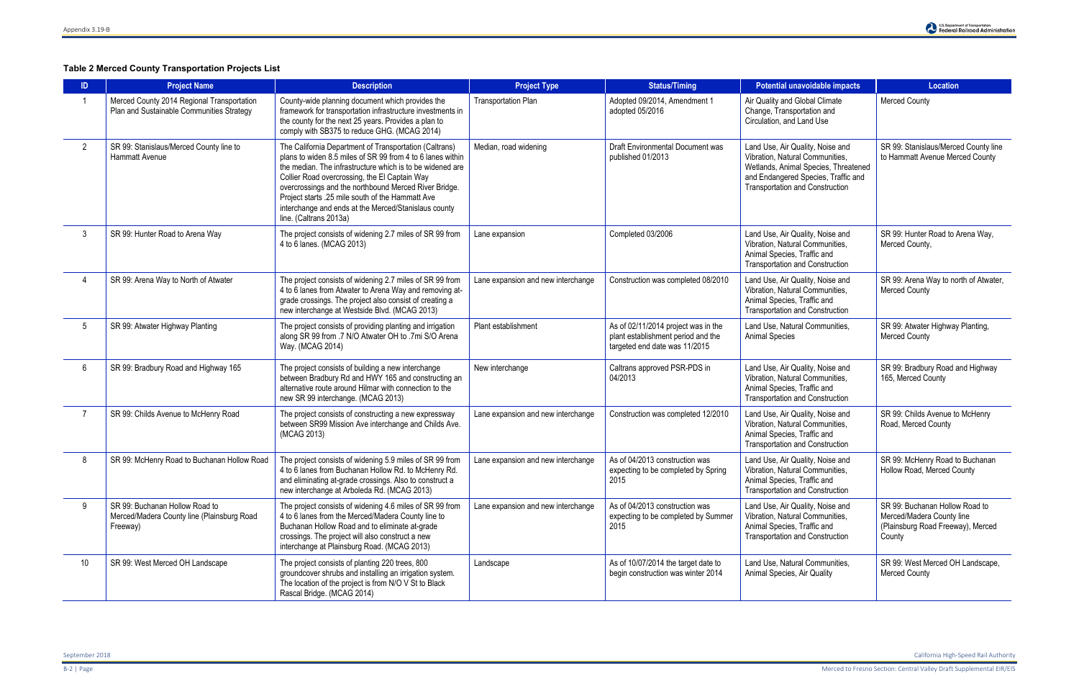## **Table 2 Merced County Transportation Projects List**

| ID             | <b>Project Name</b>                                                                      | <b>Description</b>                                                                                                                                                                                                                                                                                                                                                                                                                | <b>Project Type</b>                | <b>Status/Timing</b>                                                                                                                                                                                                          | <b>Potential unavoidable impacts</b>                                                                                                                                                         | <b>Location</b>                                                                                            |
|----------------|------------------------------------------------------------------------------------------|-----------------------------------------------------------------------------------------------------------------------------------------------------------------------------------------------------------------------------------------------------------------------------------------------------------------------------------------------------------------------------------------------------------------------------------|------------------------------------|-------------------------------------------------------------------------------------------------------------------------------------------------------------------------------------------------------------------------------|----------------------------------------------------------------------------------------------------------------------------------------------------------------------------------------------|------------------------------------------------------------------------------------------------------------|
|                | Merced County 2014 Regional Transportation<br>Plan and Sustainable Communities Strategy  | County-wide planning document which provides the<br>framework for transportation infrastructure investments in<br>the county for the next 25 years. Provides a plan to<br>comply with SB375 to reduce GHG. (MCAG 2014)                                                                                                                                                                                                            | <b>Transportation Plan</b>         | Adopted 09/2014, Amendment 1<br>adopted 05/2016                                                                                                                                                                               | Air Quality and Global Climate<br>Change, Transportation and<br>Circulation, and Land Use                                                                                                    | <b>Merced County</b>                                                                                       |
| $\overline{2}$ | SR 99: Stanislaus/Merced County line to<br><b>Hammatt Avenue</b>                         | The California Department of Transportation (Caltrans)<br>plans to widen 8.5 miles of SR 99 from 4 to 6 lanes within<br>the median. The infrastructure which is to be widened are<br>Collier Road overcrossing, the El Captain Way<br>overcrossings and the northbound Merced River Bridge.<br>Project starts .25 mile south of the Hammatt Ave<br>interchange and ends at the Merced/Stanislaus county<br>line. (Caltrans 2013a) | Median, road widening              | Draft Environmental Document was<br>published 01/2013                                                                                                                                                                         | Land Use, Air Quality, Noise and<br>Vibration, Natural Communities,<br>Wetlands, Animal Species, Threatened<br>and Endangered Species, Traffic and<br><b>Transportation and Construction</b> | SR 99: Stanislaus/Merced County line<br>to Hammatt Avenue Merced County                                    |
| 3              | SR 99: Hunter Road to Arena Way                                                          | The project consists of widening 2.7 miles of SR 99 from<br>4 to 6 lanes. (MCAG 2013)                                                                                                                                                                                                                                                                                                                                             | Lane expansion                     | Completed 03/2006<br>Land Use, Air Quality, Noise and<br>Vibration, Natural Communities,<br>Animal Species, Traffic and<br><b>Transportation and Construction</b>                                                             |                                                                                                                                                                                              | SR 99: Hunter Road to Arena Way,<br>Merced County,                                                         |
|                | SR 99: Arena Way to North of Atwater                                                     | The project consists of widening 2.7 miles of SR 99 from<br>4 to 6 lanes from Atwater to Arena Way and removing at-<br>grade crossings. The project also consist of creating a<br>new interchange at Westside Blvd. (MCAG 2013)                                                                                                                                                                                                   | Lane expansion and new interchange | Construction was completed 08/2010<br>Land Use, Air Quality, Noise and<br>Vibration, Natural Communities,<br>Animal Species, Traffic and<br><b>Transportation and Construction</b>                                            |                                                                                                                                                                                              | SR 99: Arena Way to north of Atwater,<br><b>Merced County</b>                                              |
| 5              | SR 99: Atwater Highway Planting                                                          | The project consists of providing planting and irrigation<br>along SR 99 from .7 N/O Atwater OH to .7mi S/O Arena<br>Way. (MCAG 2014)                                                                                                                                                                                                                                                                                             | Plant establishment                | As of 02/11/2014 project was in the<br>plant establishment period and the<br>targeted end date was 11/2015                                                                                                                    | Land Use, Natural Communities,<br><b>Animal Species</b>                                                                                                                                      | SR 99: Atwater Highway Planting,<br><b>Merced County</b>                                                   |
| -6             | SR 99: Bradbury Road and Highway 165                                                     | The project consists of building a new interchange<br>between Bradbury Rd and HWY 165 and constructing an<br>alternative route around Hilmar with connection to the<br>new SR 99 interchange. (MCAG 2013)                                                                                                                                                                                                                         | New interchange                    | Caltrans approved PSR-PDS in<br>04/2013                                                                                                                                                                                       | Land Use, Air Quality, Noise and<br>Vibration, Natural Communities,<br>Animal Species, Traffic and<br><b>Transportation and Construction</b>                                                 | SR 99: Bradbury Road and Highway<br>165, Merced County                                                     |
|                | SR 99: Childs Avenue to McHenry Road                                                     | The project consists of constructing a new expressway<br>between SR99 Mission Ave interchange and Childs Ave.<br>(MCAG 2013)                                                                                                                                                                                                                                                                                                      | Lane expansion and new interchange | Construction was completed 12/2010                                                                                                                                                                                            | Land Use, Air Quality, Noise and<br>Vibration, Natural Communities,<br>Animal Species, Traffic and<br><b>Transportation and Construction</b>                                                 | SR 99: Childs Avenue to McHenry<br>Road, Merced County                                                     |
| -8             | SR 99: McHenry Road to Buchanan Hollow Road                                              | The project consists of widening 5.9 miles of SR 99 from<br>4 to 6 lanes from Buchanan Hollow Rd. to McHenry Rd.<br>and eliminating at-grade crossings. Also to construct a<br>new interchange at Arboleda Rd. (MCAG 2013)                                                                                                                                                                                                        | Lane expansion and new interchange | As of 04/2013 construction was<br>Land Use, Air Quality, Noise and<br>Vibration, Natural Communities,<br>expecting to be completed by Spring<br>2015<br>Animal Species, Traffic and<br><b>Transportation and Construction</b> |                                                                                                                                                                                              | SR 99: McHenry Road to Buchanan<br>Hollow Road, Merced County                                              |
| -9             | SR 99: Buchanan Hollow Road to<br>Merced/Madera County line (Plainsburg Road<br>Freeway) | The project consists of widening 4.6 miles of SR 99 from<br>4 to 6 lanes from the Merced/Madera County line to<br>Buchanan Hollow Road and to eliminate at-grade<br>crossings. The project will also construct a new<br>interchange at Plainsburg Road. (MCAG 2013)                                                                                                                                                               | Lane expansion and new interchange | As of 04/2013 construction was<br>expecting to be completed by Summer<br>2015                                                                                                                                                 | Land Use, Air Quality, Noise and<br>Vibration, Natural Communities,<br>Animal Species, Traffic and<br><b>Transportation and Construction</b>                                                 | SR 99: Buchanan Hollow Road to<br>Merced/Madera County line<br>(Plainsburg Road Freeway), Merced<br>County |
| 10             | SR 99: West Merced OH Landscape                                                          | The project consists of planting 220 trees, 800<br>groundcover shrubs and installing an irrigation system.<br>The location of the project is from N/O V St to Black<br>Rascal Bridge. (MCAG 2014)                                                                                                                                                                                                                                 | Landscape                          | As of 10/07/2014 the target date to<br>begin construction was winter 2014                                                                                                                                                     | Land Use, Natural Communities,<br>Animal Species, Air Quality                                                                                                                                | SR 99: West Merced OH Landscape,<br><b>Merced County</b>                                                   |

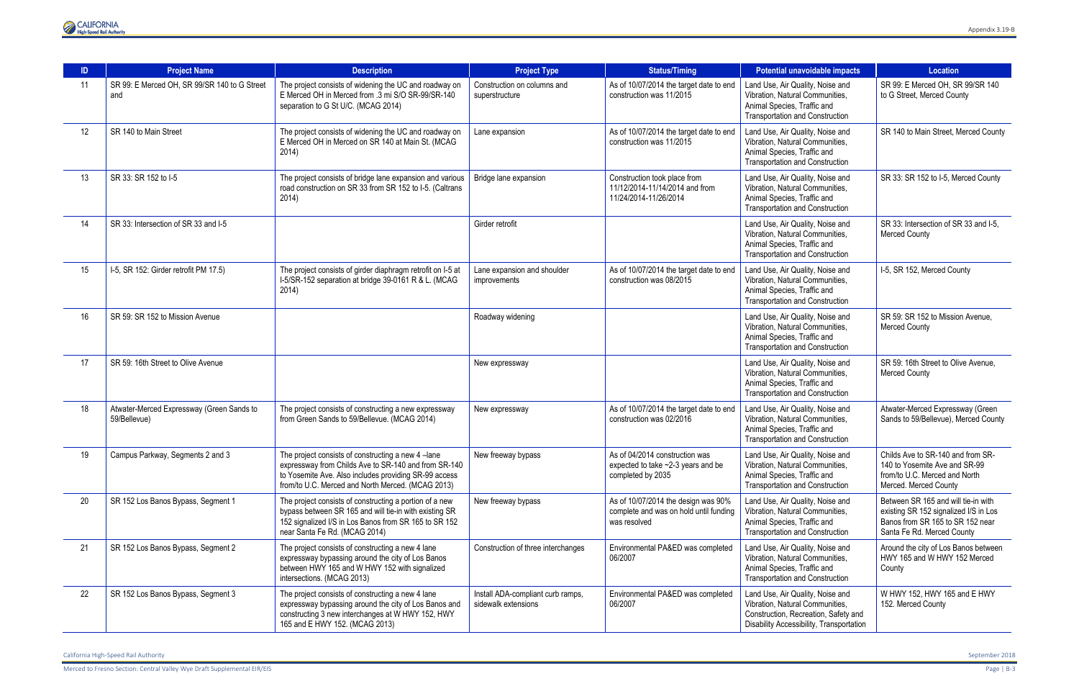

| ID | <b>Project Name</b>                                       | <b>Description</b>                                                                                                                                                                                                      | <b>Project Type</b>                                      | <b>Status/Timing</b>                                                                          | <b>Potential unavoidable impacts</b>                                                                                                                    | <b>Location</b>                                                                                                                                |
|----|-----------------------------------------------------------|-------------------------------------------------------------------------------------------------------------------------------------------------------------------------------------------------------------------------|----------------------------------------------------------|-----------------------------------------------------------------------------------------------|---------------------------------------------------------------------------------------------------------------------------------------------------------|------------------------------------------------------------------------------------------------------------------------------------------------|
| 11 | SR 99: E Merced OH, SR 99/SR 140 to G Street<br>and       | The project consists of widening the UC and roadway on<br>E Merced OH in Merced from .3 mi S/O SR-99/SR-140<br>separation to G St U/C. (MCAG 2014)                                                                      | Construction on columns and<br>superstructure            | As of 10/07/2014 the target date to end<br>construction was 11/2015                           | Land Use, Air Quality, Noise and<br>Vibration, Natural Communities,<br>Animal Species, Traffic and<br><b>Transportation and Construction</b>            | SR 99: E Merced OH, SR 99/SR 140<br>to G Street, Merced County                                                                                 |
| 12 | SR 140 to Main Street                                     | The project consists of widening the UC and roadway on<br>E Merced OH in Merced on SR 140 at Main St. (MCAG<br>2014)                                                                                                    | Lane expansion                                           | As of 10/07/2014 the target date to end<br>construction was 11/2015                           | Land Use, Air Quality, Noise and<br>Vibration, Natural Communities,<br>Animal Species, Traffic and<br><b>Transportation and Construction</b>            | SR 140 to Main Street, Merced County                                                                                                           |
| 13 | SR 33: SR 152 to I-5                                      | The project consists of bridge lane expansion and various<br>road construction on SR 33 from SR 152 to I-5. (Caltrans<br>2014)                                                                                          | Bridge lane expansion                                    | Construction took place from<br>11/12/2014-11/14/2014 and from<br>11/24/2014-11/26/2014       | Land Use, Air Quality, Noise and<br>Vibration, Natural Communities,<br>Animal Species, Traffic and<br><b>Transportation and Construction</b>            | SR 33: SR 152 to I-5, Merced County                                                                                                            |
| 14 | SR 33: Intersection of SR 33 and I-5                      |                                                                                                                                                                                                                         | Girder retrofit                                          |                                                                                               | Land Use, Air Quality, Noise and<br>Vibration, Natural Communities,<br>Animal Species, Traffic and<br><b>Transportation and Construction</b>            | SR 33: Intersection of SR 33 and I-5.<br><b>Merced County</b>                                                                                  |
| 15 | I-5, SR 152: Girder retrofit PM 17.5)                     | The project consists of girder diaphragm retrofit on I-5 at<br>I-5/SR-152 separation at bridge 39-0161 R & L. (MCAG<br>2014)                                                                                            | Lane expansion and shoulder<br>improvements              | As of 10/07/2014 the target date to end<br>construction was 08/2015                           | Land Use, Air Quality, Noise and<br>Vibration, Natural Communities,<br>Animal Species, Traffic and<br><b>Transportation and Construction</b>            | I-5, SR 152, Merced County                                                                                                                     |
| 16 | SR 59: SR 152 to Mission Avenue                           |                                                                                                                                                                                                                         | Roadway widening                                         |                                                                                               | Land Use, Air Quality, Noise and<br>Vibration, Natural Communities,<br>Animal Species, Traffic and<br><b>Transportation and Construction</b>            | SR 59: SR 152 to Mission Avenue.<br><b>Merced County</b>                                                                                       |
| 17 | SR 59: 16th Street to Olive Avenue                        |                                                                                                                                                                                                                         | New expressway                                           |                                                                                               | Land Use, Air Quality, Noise and<br>Vibration, Natural Communities,<br>Animal Species, Traffic and<br>Transportation and Construction                   | SR 59: 16th Street to Olive Avenue,<br><b>Merced County</b>                                                                                    |
| 18 | Atwater-Merced Expressway (Green Sands to<br>59/Bellevue) | The project consists of constructing a new expressway<br>from Green Sands to 59/Bellevue. (MCAG 2014)                                                                                                                   | New expressway                                           | As of 10/07/2014 the target date to end<br>construction was 02/2016                           | Land Use, Air Quality, Noise and<br>Vibration, Natural Communities,<br>Animal Species, Traffic and<br><b>Transportation and Construction</b>            | Atwater-Merced Expressway (Green<br>Sands to 59/Bellevue), Merced County                                                                       |
| 19 | Campus Parkway, Segments 2 and 3                          | The project consists of constructing a new 4-lane<br>expressway from Childs Ave to SR-140 and from SR-140<br>to Yosemite Ave. Also includes providing SR-99 access<br>from/to U.C. Merced and North Merced. (MCAG 2013) | New freeway bypass                                       | As of 04/2014 construction was<br>expected to take ~2-3 years and be<br>completed by 2035     | Land Use, Air Quality, Noise and<br>Vibration, Natural Communities,<br>Animal Species, Traffic and<br><b>Transportation and Construction</b>            | Childs Ave to SR-140 and from SR-<br>140 to Yosemite Ave and SR-99<br>from/to U.C. Merced and North<br>Merced. Merced County                   |
| 20 | SR 152 Los Banos Bypass, Segment 1                        | The project consists of constructing a portion of a new<br>bypass between SR 165 and will tie-in with existing SR<br>152 signalized I/S in Los Banos from SR 165 to SR 152<br>near Santa Fe Rd. (MCAG 2014)             | New freeway bypass                                       | As of 10/07/2014 the design was 90%<br>complete and was on hold until funding<br>was resolved | Land Use, Air Quality, Noise and<br>Vibration, Natural Communities,<br>Animal Species, Traffic and<br><b>Transportation and Construction</b>            | Between SR 165 and will tie-in with<br>existing SR 152 signalized I/S in Los<br>Banos from SR 165 to SR 152 near<br>Santa Fe Rd. Merced County |
| 21 | SR 152 Los Banos Bypass, Segment 2                        | The project consists of constructing a new 4 lane<br>expressway bypassing around the city of Los Banos<br>between HWY 165 and W HWY 152 with signalized<br>intersections. (MCAG 2013)                                   | Construction of three interchanges                       | Environmental PA&ED was completed<br>06/2007                                                  | Land Use, Air Quality, Noise and<br>Vibration, Natural Communities,<br>Animal Species, Traffic and<br>Transportation and Construction                   | Around the city of Los Banos between<br>HWY 165 and W HWY 152 Merced<br>County                                                                 |
| 22 | SR 152 Los Banos Bypass, Segment 3                        | The project consists of constructing a new 4 lane<br>expressway bypassing around the city of Los Banos and<br>constructing 3 new interchanges at W HWY 152, HWY<br>165 and E HWY 152. (MCAG 2013)                       | Install ADA-compliant curb ramps,<br>sidewalk extensions | Environmental PA&ED was completed<br>06/2007                                                  | Land Use, Air Quality, Noise and<br>Vibration, Natural Communities,<br>Construction, Recreation, Safety and<br>Disability Accessibility, Transportation | W HWY 152, HWY 165 and E HWY<br>152. Merced County                                                                                             |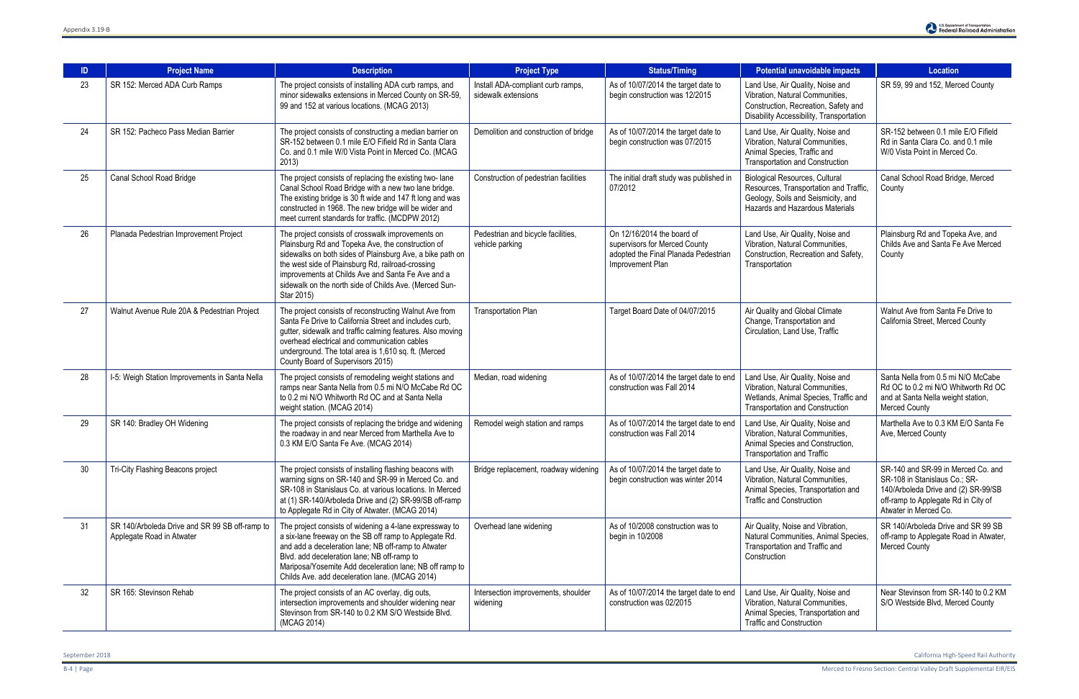| ID | <b>Project Name</b>                                                         | <b>Description</b>                                                                                                                                                                                                                                                                                                                                    | <b>Project Type</b>                                      | <b>Status/Timing</b>                                                                                                                                                                 | Potential unavoidable impacts                                                                                                                            | <b>Location</b>                                                                                                                                                            |
|----|-----------------------------------------------------------------------------|-------------------------------------------------------------------------------------------------------------------------------------------------------------------------------------------------------------------------------------------------------------------------------------------------------------------------------------------------------|----------------------------------------------------------|--------------------------------------------------------------------------------------------------------------------------------------------------------------------------------------|----------------------------------------------------------------------------------------------------------------------------------------------------------|----------------------------------------------------------------------------------------------------------------------------------------------------------------------------|
| 23 | SR 152: Merced ADA Curb Ramps                                               | The project consists of installing ADA curb ramps, and<br>minor sidewalks extensions in Merced County on SR-59,<br>99 and 152 at various locations. (MCAG 2013)                                                                                                                                                                                       | Install ADA-compliant curb ramps,<br>sidewalk extensions | As of 10/07/2014 the target date to<br>begin construction was 12/2015                                                                                                                | Land Use, Air Quality, Noise and<br>Vibration, Natural Communities,<br>Construction, Recreation, Safety and<br>Disability Accessibility, Transportation  | SR 59, 99 and 152, Merced County                                                                                                                                           |
| 24 | SR 152: Pacheco Pass Median Barrier                                         | The project consists of constructing a median barrier on<br>SR-152 between 0.1 mile E/O Fifield Rd in Santa Clara<br>Co. and 0.1 mile W/0 Vista Point in Merced Co. (MCAG<br>2013)                                                                                                                                                                    | Demolition and construction of bridge                    | As of 10/07/2014 the target date to<br>begin construction was 07/2015                                                                                                                | Land Use, Air Quality, Noise and<br>Vibration, Natural Communities,<br>Animal Species, Traffic and<br><b>Transportation and Construction</b>             | SR-152 between 0.1 mile E/O Fifield<br>Rd in Santa Clara Co. and 0.1 mile<br>W/0 Vista Point in Merced Co.                                                                 |
| 25 | Canal School Road Bridge                                                    | The project consists of replacing the existing two-lane<br>Canal School Road Bridge with a new two lane bridge.<br>The existing bridge is 30 ft wide and 147 ft long and was<br>constructed in 1968. The new bridge will be wider and<br>meet current standards for traffic. (MCDPW 2012)                                                             | Construction of pedestrian facilities                    | The initial draft study was published in<br>07/2012                                                                                                                                  | <b>Biological Resources, Cultural</b><br>Resources, Transportation and Traffic,<br>Geology, Soils and Seismicity, and<br>Hazards and Hazardous Materials | Canal School Road Bridge, Merced<br>County                                                                                                                                 |
| 26 | Planada Pedestrian Improvement Project                                      | The project consists of crosswalk improvements on<br>Plainsburg Rd and Topeka Ave, the construction of<br>sidewalks on both sides of Plainsburg Ave, a bike path on<br>the west side of Plainsburg Rd, railroad-crossing<br>improvements at Childs Ave and Santa Fe Ave and a<br>sidewalk on the north side of Childs Ave. (Merced Sun-<br>Star 2015) | Pedestrian and bicycle facilities,<br>vehicle parking    | On 12/16/2014 the board of<br>supervisors for Merced County<br>adopted the Final Planada Pedestrian<br>Improvement Plan                                                              | Land Use, Air Quality, Noise and<br>Vibration, Natural Communities,<br>Construction, Recreation and Safety,<br>Transportation                            | Plainsburg Rd and Topeka Ave, and<br>Childs Ave and Santa Fe Ave Merced<br>County                                                                                          |
| 27 | Walnut Avenue Rule 20A & Pedestrian Project                                 | The project consists of reconstructing Walnut Ave from<br>Santa Fe Drive to California Street and includes curb,<br>gutter, sidewalk and traffic calming features. Also moving<br>overhead electrical and communication cables<br>underground. The total area is 1,610 sq. ft. (Merced<br>County Board of Supervisors 2015)                           | <b>Transportation Plan</b>                               | Target Board Date of 04/07/2015                                                                                                                                                      | Air Quality and Global Climate<br>Change, Transportation and<br>Circulation, Land Use, Traffic                                                           | Walnut Ave from Santa Fe Drive to<br>California Street, Merced County                                                                                                      |
| 28 | I-5: Weigh Station Improvements in Santa Nella                              | The project consists of remodeling weight stations and<br>ramps near Santa Nella from 0.5 mi N/O McCabe Rd OC<br>to 0.2 mi N/O Whitworth Rd OC and at Santa Nella<br>weight station. (MCAG 2014)                                                                                                                                                      | Median, road widening                                    | As of 10/07/2014 the target date to end<br>construction was Fall 2014                                                                                                                | Land Use, Air Quality, Noise and<br>Vibration, Natural Communities,<br>Wetlands, Animal Species, Traffic and<br><b>Transportation and Construction</b>   | Santa Nella from 0.5 mi N/O McCabe<br>Rd OC to 0.2 mi N/O Whitworth Rd OC<br>and at Santa Nella weight station,<br><b>Merced County</b>                                    |
| 29 | SR 140: Bradley OH Widening                                                 | The project consists of replacing the bridge and widening<br>the roadway in and near Merced from Marthella Ave to<br>0.3 KM E/O Santa Fe Ave. (MCAG 2014)                                                                                                                                                                                             | Remodel weigh station and ramps                          | As of 10/07/2014 the target date to end<br>construction was Fall 2014                                                                                                                | Land Use, Air Quality, Noise and<br>Vibration, Natural Communities,<br>Animal Species and Construction,<br><b>Transportation and Traffic</b>             | Marthella Ave to 0.3 KM E/O Santa Fe<br>Ave, Merced County                                                                                                                 |
| 30 | Tri-City Flashing Beacons project                                           | The project consists of installing flashing beacons with<br>warning signs on SR-140 and SR-99 in Merced Co. and<br>SR-108 in Stanislaus Co. at various locations. In Merced<br>at (1) SR-140/Arboleda Drive and (2) SR-99/SB off-ramp<br>to Applegate Rd in City of Atwater. (MCAG 2014)                                                              | Bridge replacement, roadway widening                     | As of 10/07/2014 the target date to<br>begin construction was winter 2014                                                                                                            | Land Use, Air Quality, Noise and<br>Vibration, Natural Communities,<br>Animal Species, Transportation and<br><b>Traffic and Construction</b>             | SR-140 and SR-99 in Merced Co. and<br>SR-108 in Stanislaus Co.; SR-<br>140/Arboleda Drive and (2) SR-99/SB<br>off-ramp to Applegate Rd in City of<br>Atwater in Merced Co. |
| 31 | SR 140/Arboleda Drive and SR 99 SB off-ramp to<br>Applegate Road in Atwater | The project consists of widening a 4-lane expressway to<br>a six-lane freeway on the SB off ramp to Applegate Rd.<br>and add a deceleration lane; NB off-ramp to Atwater<br>Blvd. add deceleration lane; NB off-ramp to<br>Mariposa/Yosemite Add deceleration lane; NB off ramp to<br>Childs Ave. add deceleration lane. (MCAG 2014)                  | Overhead lane widening                                   | As of 10/2008 construction was to<br>Air Quality, Noise and Vibration,<br>Natural Communities, Animal Species,<br>begin in 10/2008<br>Transportation and Traffic and<br>Construction |                                                                                                                                                          | SR 140/Arboleda Drive and SR 99 SB<br>off-ramp to Applegate Road in Atwater,<br><b>Merced County</b>                                                                       |
| 32 | SR 165: Stevinson Rehab                                                     | The project consists of an AC overlay, dig outs,<br>intersection improvements and shoulder widening near<br>Stevinson from SR-140 to 0.2 KM S/O Westside Blvd.<br>(MCAG 2014)                                                                                                                                                                         | Intersection improvements, shoulder<br>widening          | As of 10/07/2014 the target date to end<br>construction was 02/2015                                                                                                                  | Land Use, Air Quality, Noise and<br>Vibration, Natural Communities,<br>Animal Species, Transportation and<br><b>Traffic and Construction</b>             | Near Stevinson from SR-140 to 0.2 KM<br>S/O Westside Blvd, Merced County                                                                                                   |

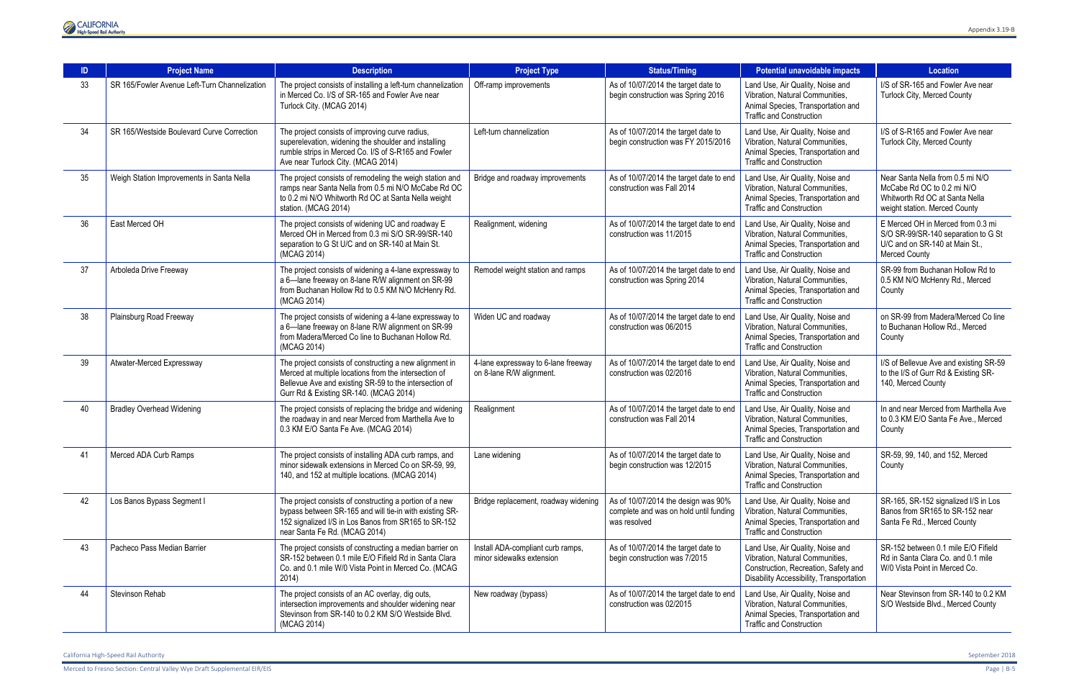

| ID. | <b>Project Name</b>                           | <b>Description</b>                                                                                                                                                                                                   | <b>Project Type</b>                                             | <b>Status/Timing</b>                                                                                                                                                                                                       | Potential unavoidable impacts                                                                                                                           | <b>Location</b>                                                                                                                    |
|-----|-----------------------------------------------|----------------------------------------------------------------------------------------------------------------------------------------------------------------------------------------------------------------------|-----------------------------------------------------------------|----------------------------------------------------------------------------------------------------------------------------------------------------------------------------------------------------------------------------|---------------------------------------------------------------------------------------------------------------------------------------------------------|------------------------------------------------------------------------------------------------------------------------------------|
| 33  | SR 165/Fowler Avenue Left-Turn Channelization | The project consists of installing a left-turn channelization<br>in Merced Co. I/S of SR-165 and Fowler Ave near<br>Turlock City. (MCAG 2014)                                                                        | Off-ramp improvements                                           | As of 10/07/2014 the target date to<br>begin construction was Spring 2016                                                                                                                                                  | Land Use, Air Quality, Noise and<br>Vibration, Natural Communities,<br>Animal Species, Transportation and<br><b>Traffic and Construction</b>            | I/S of SR-165 and Fowler Ave near<br>Turlock City, Merced County                                                                   |
| 34  | SR 165/Westside Boulevard Curve Correction    | The project consists of improving curve radius,<br>superelevation, widening the shoulder and installing<br>rumble strips in Merced Co. I/S of S-R165 and Fowler<br>Ave near Turlock City. (MCAG 2014)                | Left-turn channelization                                        | As of 10/07/2014 the target date to<br>Land Use, Air Quality, Noise and<br>begin construction was FY 2015/2016<br>Vibration, Natural Communities,<br>Animal Species, Transportation and<br><b>Traffic and Construction</b> |                                                                                                                                                         | I/S of S-R165 and Fowler Ave near<br>Turlock City, Merced County                                                                   |
| 35  | Weigh Station Improvements in Santa Nella     | The project consists of remodeling the weigh station and<br>ramps near Santa Nella from 0.5 mi N/O McCabe Rd OC<br>to 0.2 mi N/O Whitworth Rd OC at Santa Nella weight<br>station. (MCAG 2014)                       | Bridge and roadway improvements                                 | As of 10/07/2014 the target date to end<br>Land Use, Air Quality, Noise and<br>Vibration, Natural Communities,<br>construction was Fall 2014<br>Animal Species, Transportation and<br><b>Traffic and Construction</b>      |                                                                                                                                                         | Near Santa Nella from 0.5 mi N/O<br>McCabe Rd OC to 0.2 mi N/O<br>Whitworth Rd OC at Santa Nella<br>weight station. Merced County  |
| 36  | East Merced OH                                | The project consists of widening UC and roadway E<br>Merced OH in Merced from 0.3 mi S/O SR-99/SR-140<br>separation to G St U/C and on SR-140 at Main St.<br>(MCAG 2014)                                             | Realignment, widening                                           | As of 10/07/2014 the target date to end<br>construction was 11/2015                                                                                                                                                        | Land Use, Air Quality, Noise and<br>Vibration, Natural Communities,<br>Animal Species, Transportation and<br><b>Traffic and Construction</b>            | E Merced OH in Merced from 0.3 mi<br>S/O SR-99/SR-140 separation to G St<br>U/C and on SR-140 at Main St.,<br><b>Merced County</b> |
| 37  | Arboleda Drive Freeway                        | The project consists of widening a 4-lane expressway to<br>a 6-lane freeway on 8-lane R/W alignment on SR-99<br>from Buchanan Hollow Rd to 0.5 KM N/O McHenry Rd.<br>(MCAG 2014)                                     | Remodel weight station and ramps                                | As of 10/07/2014 the target date to end<br>construction was Spring 2014                                                                                                                                                    | Land Use, Air Quality, Noise and<br>Vibration, Natural Communities,<br>Animal Species, Transportation and<br><b>Traffic and Construction</b>            | SR-99 from Buchanan Hollow Rd to<br>0.5 KM N/O McHenry Rd., Merced<br>County                                                       |
| 38  | Plainsburg Road Freeway                       | The project consists of widening a 4-lane expressway to<br>a 6-lane freeway on 8-lane R/W alignment on SR-99<br>from Madera/Merced Co line to Buchanan Hollow Rd.<br>(MCAG 2014)                                     | Widen UC and roadway                                            | As of 10/07/2014 the target date to end<br>construction was 06/2015                                                                                                                                                        | Land Use, Air Quality, Noise and<br>Vibration, Natural Communities,<br>Animal Species, Transportation and<br><b>Traffic and Construction</b>            | on SR-99 from Madera/Merced Co line<br>to Buchanan Hollow Rd., Merced<br>County                                                    |
| 39  | Atwater-Merced Expressway                     | The project consists of constructing a new alignment in<br>Merced at multiple locations from the intersection of<br>Bellevue Ave and existing SR-59 to the intersection of<br>Gurr Rd & Existing SR-140. (MCAG 2014) | 4-lane expressway to 6-lane freeway<br>on 8-lane R/W alignment. | As of 10/07/2014 the target date to end<br>construction was 02/2016                                                                                                                                                        | Land Use, Air Quality, Noise and<br>Vibration, Natural Communities,<br>Animal Species, Transportation and<br><b>Traffic and Construction</b>            | I/S of Bellevue Ave and existing SR-59<br>to the I/S of Gurr Rd & Existing SR-<br>140, Merced County                               |
| 40  | <b>Bradley Overhead Widening</b>              | The project consists of replacing the bridge and widening<br>the roadway in and near Merced from Marthella Ave to<br>0.3 KM E/O Santa Fe Ave. (MCAG 2014)                                                            | Realignment                                                     | As of 10/07/2014 the target date to end<br>construction was Fall 2014                                                                                                                                                      | Land Use, Air Quality, Noise and<br>Vibration, Natural Communities,<br>Animal Species, Transportation and<br><b>Traffic and Construction</b>            | In and near Merced from Marthella Ave<br>to 0.3 KM E/O Santa Fe Ave., Merced<br>County                                             |
| 41  | Merced ADA Curb Ramps                         | The project consists of installing ADA curb ramps, and<br>minor sidewalk extensions in Merced Co on SR-59, 99,<br>140, and 152 at multiple locations. (MCAG 2014)                                                    | Lane widening                                                   | As of 10/07/2014 the target date to<br>begin construction was 12/2015                                                                                                                                                      | Land Use, Air Quality, Noise and<br>Vibration, Natural Communities,<br>Animal Species, Transportation and<br><b>Traffic and Construction</b>            | SR-59, 99, 140, and 152, Merced<br>County                                                                                          |
| 42  | Los Banos Bypass Segment I                    | The project consists of constructing a portion of a new<br>bypass between SR-165 and will tie-in with existing SR-<br>152 signalized I/S in Los Banos from SR165 to SR-152<br>near Santa Fe Rd. (MCAG 2014)          | Bridge replacement, roadway widening                            | As of 10/07/2014 the design was 90%<br>complete and was on hold until funding<br>was resolved                                                                                                                              | Land Use, Air Quality, Noise and<br>Vibration, Natural Communities,<br>Animal Species, Transportation and<br><b>Traffic and Construction</b>            | SR-165, SR-152 signalized I/S in Los<br>Banos from SR165 to SR-152 near<br>Santa Fe Rd., Merced County                             |
| 43  | Pacheco Pass Median Barrier                   | The project consists of constructing a median barrier on<br>SR-152 between 0.1 mile E/O Fifield Rd in Santa Clara<br>Co. and 0.1 mile W/0 Vista Point in Merced Co. (MCAG<br>2014)                                   | Install ADA-compliant curb ramps,<br>minor sidewalks extension  | As of 10/07/2014 the target date to<br>begin construction was 7/2015                                                                                                                                                       | Land Use, Air Quality, Noise and<br>Vibration, Natural Communities,<br>Construction, Recreation, Safety and<br>Disability Accessibility, Transportation | SR-152 between 0.1 mile E/O Fifield<br>Rd in Santa Clara Co. and 0.1 mile<br>W/0 Vista Point in Merced Co.                         |
| 44  | Stevinson Rehab                               | The project consists of an AC overlay, dig outs,<br>intersection improvements and shoulder widening near<br>Stevinson from SR-140 to 0.2 KM S/O Westside Blvd.<br>(MCAG 2014)                                        | New roadway (bypass)                                            | As of 10/07/2014 the target date to end<br>construction was 02/2015                                                                                                                                                        | Land Use, Air Quality, Noise and<br>Vibration, Natural Communities,<br>Animal Species, Transportation and<br><b>Traffic and Construction</b>            | Near Stevinson from SR-140 to 0.2 KM<br>S/O Westside Blvd., Merced County                                                          |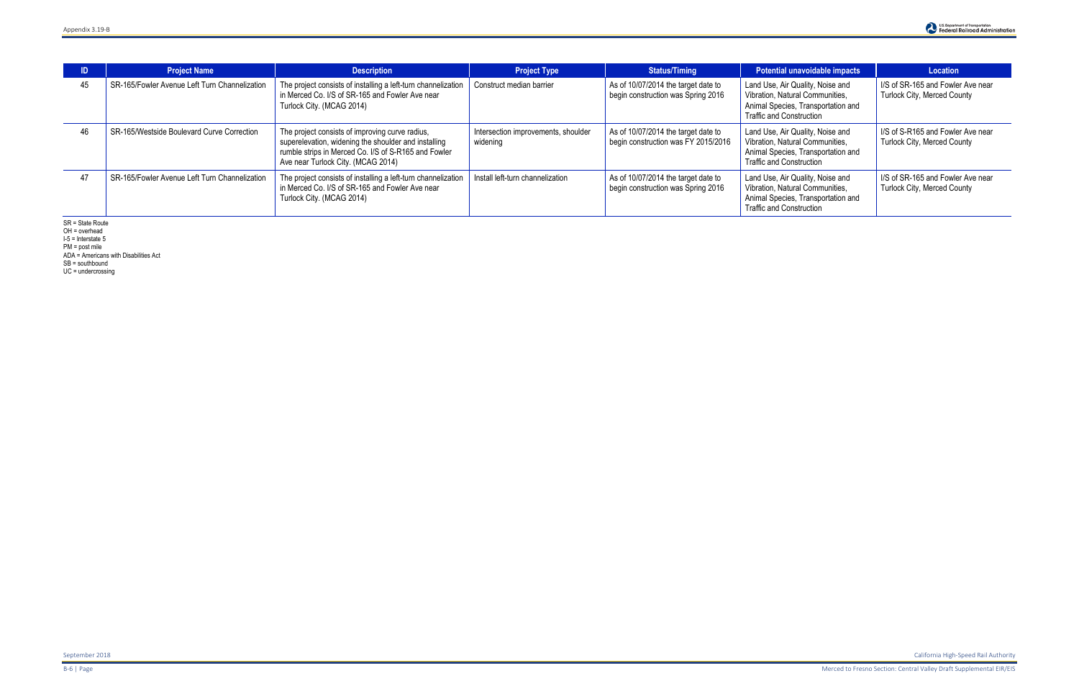| ID | <b>Project Name</b>                           | <b>Description</b>                                                                                                                                                                                    | <b>Project Type</b>                             | <b>Status/Timing</b>                                                       | Potential unavoidable impacts                                                                                                                | Location                                                         |
|----|-----------------------------------------------|-------------------------------------------------------------------------------------------------------------------------------------------------------------------------------------------------------|-------------------------------------------------|----------------------------------------------------------------------------|----------------------------------------------------------------------------------------------------------------------------------------------|------------------------------------------------------------------|
| 45 | SR-165/Fowler Avenue Left Turn Channelization | The project consists of installing a left-turn channelization<br>in Merced Co. I/S of SR-165 and Fowler Ave near<br>Turlock City. (MCAG 2014)                                                         | Construct median barrier                        | As of 10/07/2014 the target date to<br>begin construction was Spring 2016  | Land Use, Air Quality, Noise and<br>Vibration, Natural Communities,<br>Animal Species, Transportation and<br><b>Traffic and Construction</b> | I/S of SR-165 and Fowler Ave near<br>Turlock City, Merced County |
| 46 | SR-165/Westside Boulevard Curve Correction    | The project consists of improving curve radius,<br>superelevation, widening the shoulder and installing<br>rumble strips in Merced Co. I/S of S-R165 and Fowler<br>Ave near Turlock City. (MCAG 2014) | Intersection improvements, shoulder<br>widening | As of 10/07/2014 the target date to<br>begin construction was FY 2015/2016 | Land Use, Air Quality, Noise and<br>Vibration, Natural Communities,<br>Animal Species, Transportation and<br><b>Traffic and Construction</b> | I/S of S-R165 and Fowler Ave near<br>Turlock City, Merced County |
| 47 | SR-165/Fowler Avenue Left Turn Channelization | The project consists of installing a left-turn channelization<br>in Merced Co. I/S of SR-165 and Fowler Ave near<br>Turlock City. (MCAG 2014)                                                         | Install left-turn channelization                | As of 10/07/2014 the target date to<br>begin construction was Spring 2016  | Land Use, Air Quality, Noise and<br>Vibration, Natural Communities,<br>Animal Species, Transportation and<br><b>Traffic and Construction</b> | I/S of SR-165 and Fowler Ave near<br>Turlock City, Merced County |

SR = State Route

OH = overhead I-5 = Interstate 5

PM = post mile

ADA = Americans with Disabilities Act

SB = southbound

UC = undercrossing

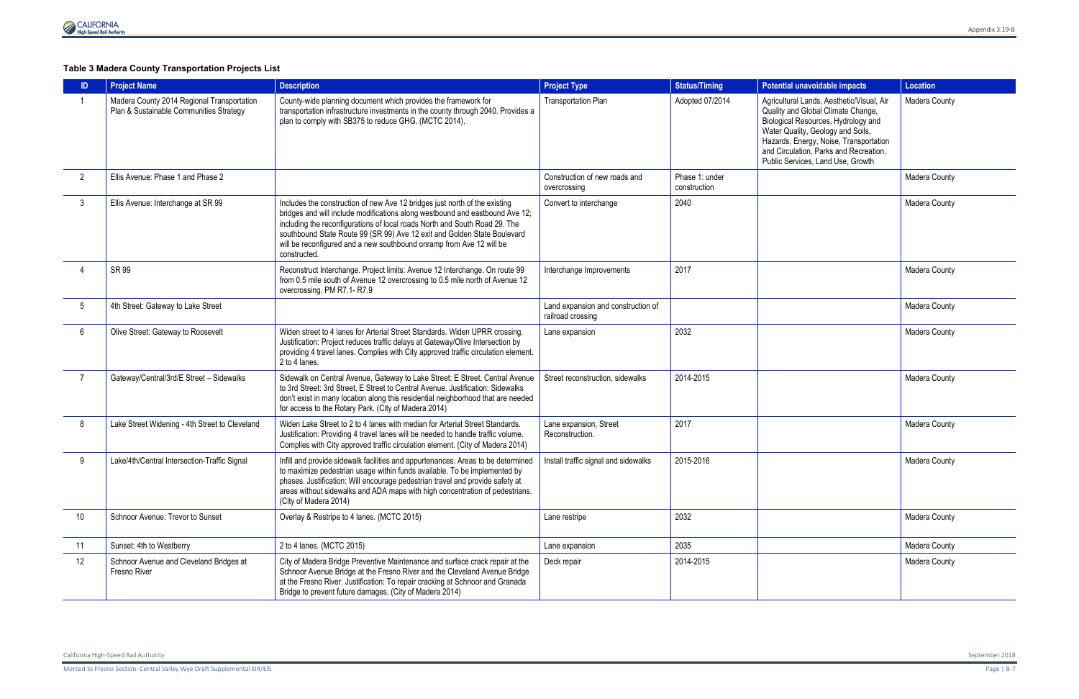## **Table 3 Madera County Transportation Projects List**

|                 | <b>Project Name</b>                                                                   | <b>Description</b>                                                                                                                                                                                                                                                                                                                                                                                           | <b>Project Type</b>                                     | <b>Status/Timing</b>           | Potential unavoidable impacts                                                                                                                                                                                                                                                        | <b>Location</b> |
|-----------------|---------------------------------------------------------------------------------------|--------------------------------------------------------------------------------------------------------------------------------------------------------------------------------------------------------------------------------------------------------------------------------------------------------------------------------------------------------------------------------------------------------------|---------------------------------------------------------|--------------------------------|--------------------------------------------------------------------------------------------------------------------------------------------------------------------------------------------------------------------------------------------------------------------------------------|-----------------|
|                 | Madera County 2014 Regional Transportation<br>Plan & Sustainable Communities Strategy | County-wide planning document which provides the framework for<br>transportation infrastructure investments in the county through 2040. Provides a<br>plan to comply with SB375 to reduce GHG. (MCTC 2014).                                                                                                                                                                                                  | Transportation Plan                                     | Adopted 07/2014                | Agricultural Lands, Aesthetic/Visual, Air<br>Quality and Global Climate Change,<br>Biological Resources, Hydrology and<br>Water Quality, Geology and Soils,<br>Hazards, Energy, Noise, Transportation<br>and Circulation, Parks and Recreation,<br>Public Services, Land Use, Growth | Madera County   |
| $\overline{2}$  | Ellis Avenue: Phase 1 and Phase 2                                                     |                                                                                                                                                                                                                                                                                                                                                                                                              | Construction of new roads and<br>overcrossing           | Phase 1: under<br>construction |                                                                                                                                                                                                                                                                                      | Madera County   |
| 3               | Ellis Avenue: Interchange at SR 99                                                    | Includes the construction of new Ave 12 bridges just north of the existing<br>bridges and will include modifications along westbound and eastbound Ave 12;<br>including the reconfigurations of local roads North and South Road 29. The<br>southbound State Route 99 (SR 99) Ave 12 exit and Golden State Boulevard<br>will be reconfigured and a new southbound onramp from Ave 12 will be<br>constructed. | Convert to interchange                                  | 2040                           |                                                                                                                                                                                                                                                                                      | Madera County   |
|                 | <b>SR 99</b>                                                                          | Reconstruct Interchange. Project limits: Avenue 12 Interchange. On route 99<br>from 0.5 mile south of Avenue 12 overcrossing to 0.5 mile north of Avenue 12<br>overcrossing. PM R7.1-R7.9                                                                                                                                                                                                                    | Interchange Improvements                                | 2017                           |                                                                                                                                                                                                                                                                                      | Madera County   |
| 5               | 4th Street: Gateway to Lake Street                                                    |                                                                                                                                                                                                                                                                                                                                                                                                              | Land expansion and construction of<br>railroad crossing |                                |                                                                                                                                                                                                                                                                                      | Madera County   |
| 6               | Olive Street: Gateway to Roosevelt                                                    | Widen street to 4 lanes for Arterial Street Standards. Widen UPRR crossing.<br>Justification: Project reduces traffic delays at Gateway/Olive Intersection by<br>providing 4 travel lanes. Complies with City approved traffic circulation element.<br>2 to 4 lanes.                                                                                                                                         | Lane expansion                                          | 2032                           |                                                                                                                                                                                                                                                                                      | Madera County   |
| $\overline{7}$  | Gateway/Central/3rd/E Street - Sidewalks                                              | Sidewalk on Central Avenue, Gateway to Lake Street: E Street, Central Avenue<br>to 3rd Street: 3rd Street, E Street to Central Avenue. Justification: Sidewalks<br>don't exist in many location along this residential neighborhood that are needed<br>for access to the Rotary Park. (City of Madera 2014)                                                                                                  | Street reconstruction, sidewalks                        | 2014-2015                      |                                                                                                                                                                                                                                                                                      | Madera County   |
| 8               | Lake Street Widening - 4th Street to Cleveland                                        | Widen Lake Street to 2 to 4 lanes with median for Arterial Street Standards.<br>Justification: Providing 4 travel lanes will be needed to handle traffic volume.<br>Complies with City approved traffic circulation element. (City of Madera 2014)                                                                                                                                                           | Lane expansion, Street<br>Reconstruction.               | 2017                           |                                                                                                                                                                                                                                                                                      | Madera County   |
| 9               | Lake/4th/Central Intersection-Traffic Signal                                          | Infill and provide sidewalk facilities and appurtenances. Areas to be determined<br>to maximize pedestrian usage within funds available. To be implemented by<br>phases. Justification: Will encourage pedestrian travel and provide safety at<br>areas without sidewalks and ADA maps with high concentration of pedestrians.<br>(City of Madera 2014)                                                      | Install traffic signal and sidewalks                    | 2015-2016                      |                                                                                                                                                                                                                                                                                      | Madera County   |
| 10 <sup>°</sup> | Schnoor Avenue: Trevor to Sunset                                                      | Overlay & Restripe to 4 lanes. (MCTC 2015)                                                                                                                                                                                                                                                                                                                                                                   | Lane restripe                                           | 2032                           |                                                                                                                                                                                                                                                                                      | Madera County   |
| 11              | Sunset: 4th to Westberry                                                              | 2 to 4 lanes. (MCTC 2015)                                                                                                                                                                                                                                                                                                                                                                                    | Lane expansion                                          | 2035                           |                                                                                                                                                                                                                                                                                      | Madera County   |
| 12              | Schnoor Avenue and Cleveland Bridges at<br>Fresno River                               | City of Madera Bridge Preventive Maintenance and surface crack repair at the<br>Schnoor Avenue Bridge at the Fresno River and the Cleveland Avenue Bridge<br>at the Fresno River. Justification: To repair cracking at Schnoor and Granada<br>Bridge to prevent future damages. (City of Madera 2014)                                                                                                        | Deck repair                                             | 2014-2015                      |                                                                                                                                                                                                                                                                                      | Madera County   |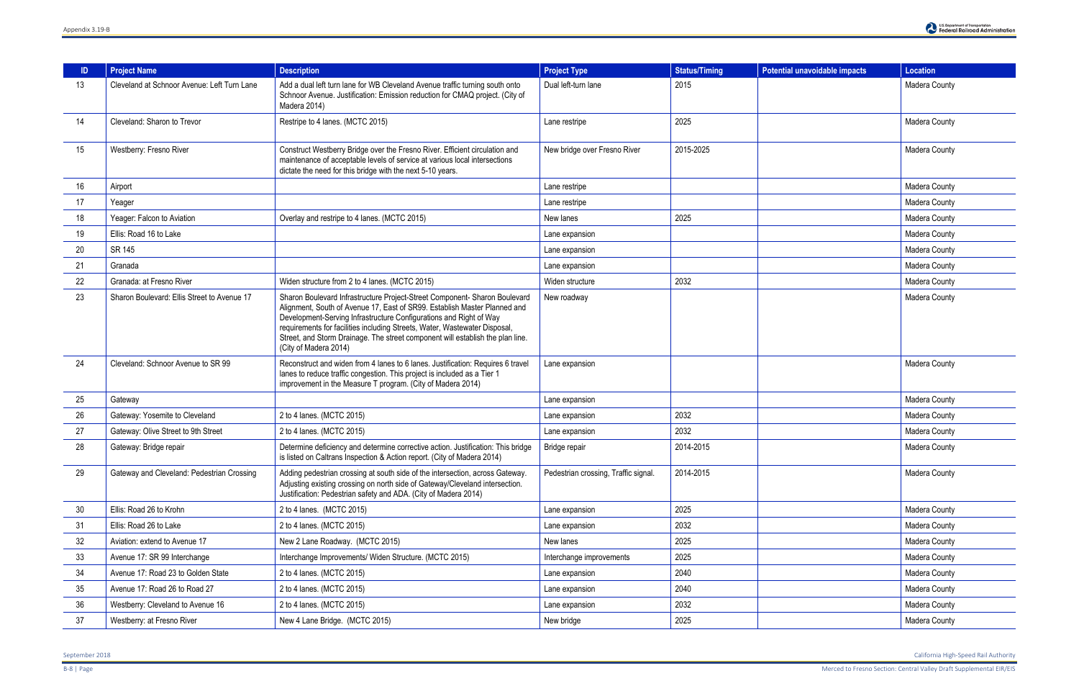| -ID | <b>Project Name</b>                         | <b>Description</b>                                                                                                                                                                                                                                                                                                                                                                                                     | <b>Project Type</b>                  | <b>Status/Timing</b> | <b>Potential unavoidable impacts</b> | Location      |
|-----|---------------------------------------------|------------------------------------------------------------------------------------------------------------------------------------------------------------------------------------------------------------------------------------------------------------------------------------------------------------------------------------------------------------------------------------------------------------------------|--------------------------------------|----------------------|--------------------------------------|---------------|
| 13  | Cleveland at Schnoor Avenue: Left Turn Lane | Add a dual left turn lane for WB Cleveland Avenue traffic turning south onto<br>Schnoor Avenue. Justification: Emission reduction for CMAQ project. (City of<br>Madera 2014)                                                                                                                                                                                                                                           | Dual left-turn lane                  | 2015                 |                                      | Madera County |
| 14  | Cleveland: Sharon to Trevor                 | Restripe to 4 lanes. (MCTC 2015)                                                                                                                                                                                                                                                                                                                                                                                       | Lane restripe                        | 2025                 |                                      | Madera County |
| 15  | Westberry: Fresno River                     | Construct Westberry Bridge over the Fresno River. Efficient circulation and<br>maintenance of acceptable levels of service at various local intersections<br>dictate the need for this bridge with the next 5-10 years.                                                                                                                                                                                                | New bridge over Fresno River         | 2015-2025            |                                      | Madera County |
| 16  | Airport                                     |                                                                                                                                                                                                                                                                                                                                                                                                                        | Lane restripe                        |                      |                                      | Madera County |
| 17  | Yeager                                      |                                                                                                                                                                                                                                                                                                                                                                                                                        | Lane restripe                        |                      |                                      | Madera County |
| 18  | Yeager: Falcon to Aviation                  | Overlay and restripe to 4 lanes. (MCTC 2015)                                                                                                                                                                                                                                                                                                                                                                           | New lanes                            | 2025                 |                                      | Madera County |
| 19  | Ellis: Road 16 to Lake                      |                                                                                                                                                                                                                                                                                                                                                                                                                        | Lane expansion                       |                      |                                      | Madera County |
| 20  | SR 145                                      |                                                                                                                                                                                                                                                                                                                                                                                                                        | Lane expansion                       |                      |                                      | Madera County |
| 21  | Granada                                     |                                                                                                                                                                                                                                                                                                                                                                                                                        | Lane expansion                       |                      |                                      | Madera County |
| 22  | Granada: at Fresno River                    | Widen structure from 2 to 4 lanes. (MCTC 2015)                                                                                                                                                                                                                                                                                                                                                                         | Widen structure                      | 2032                 |                                      | Madera County |
| 23  | Sharon Boulevard: Ellis Street to Avenue 17 | Sharon Boulevard Infrastructure Project-Street Component- Sharon Boulevard<br>Alignment, South of Avenue 17, East of SR99. Establish Master Planned and<br>Development-Serving Infrastructure Configurations and Right of Way<br>requirements for facilities including Streets, Water, Wastewater Disposal,<br>Street, and Storm Drainage. The street component will establish the plan line.<br>(City of Madera 2014) | New roadway                          |                      |                                      | Madera County |
| 24  | Cleveland: Schnoor Avenue to SR 99          | Reconstruct and widen from 4 lanes to 6 lanes. Justification: Requires 6 travel<br>lanes to reduce traffic congestion. This project is included as a Tier 1<br>improvement in the Measure T program. (City of Madera 2014)                                                                                                                                                                                             | Lane expansion                       |                      |                                      | Madera County |
| 25  | Gateway                                     |                                                                                                                                                                                                                                                                                                                                                                                                                        | Lane expansion                       |                      |                                      | Madera County |
| 26  | Gateway: Yosemite to Cleveland              | 2 to 4 lanes. (MCTC 2015)                                                                                                                                                                                                                                                                                                                                                                                              | Lane expansion                       | 2032                 |                                      | Madera County |
| 27  | Gateway: Olive Street to 9th Street         | 2 to 4 lanes. (MCTC 2015)                                                                                                                                                                                                                                                                                                                                                                                              | Lane expansion                       | 2032                 |                                      | Madera County |
| 28  | Gateway: Bridge repair                      | Determine deficiency and determine corrective action. Justification: This bridge<br>is listed on Caltrans Inspection & Action report. (City of Madera 2014)                                                                                                                                                                                                                                                            | Bridge repair                        | 2014-2015            |                                      | Madera County |
| 29  | Gateway and Cleveland: Pedestrian Crossing  | Adding pedestrian crossing at south side of the intersection, across Gateway.<br>Adjusting existing crossing on north side of Gateway/Cleveland intersection.<br>Justification: Pedestrian safety and ADA. (City of Madera 2014)                                                                                                                                                                                       | Pedestrian crossing, Traffic signal. | 2014-2015            |                                      | Madera County |
| 30  | Ellis: Road 26 to Krohn                     | 2 to 4 lanes. (MCTC 2015)                                                                                                                                                                                                                                                                                                                                                                                              | Lane expansion                       | 2025                 |                                      | Madera County |
| 31  | Ellis: Road 26 to Lake                      | 2 to 4 lanes. (MCTC 2015)                                                                                                                                                                                                                                                                                                                                                                                              | Lane expansion                       | 2032                 |                                      | Madera County |
| 32  | Aviation: extend to Avenue 17               | New 2 Lane Roadway. (MCTC 2015)                                                                                                                                                                                                                                                                                                                                                                                        | New lanes                            | 2025                 |                                      | Madera County |
| 33  | Avenue 17: SR 99 Interchange                | Interchange Improvements/ Widen Structure. (MCTC 2015)                                                                                                                                                                                                                                                                                                                                                                 | Interchange improvements             | 2025                 |                                      | Madera County |
| 34  | Avenue 17: Road 23 to Golden State          | 2 to 4 lanes. (MCTC 2015)                                                                                                                                                                                                                                                                                                                                                                                              | Lane expansion                       | 2040                 |                                      | Madera County |
| 35  | Avenue 17: Road 26 to Road 27               | 2 to 4 lanes. (MCTC 2015)                                                                                                                                                                                                                                                                                                                                                                                              | Lane expansion                       | 2040                 |                                      | Madera County |
| 36  | Westberry: Cleveland to Avenue 16           | 2 to 4 lanes. (MCTC 2015)                                                                                                                                                                                                                                                                                                                                                                                              | Lane expansion                       | 2032                 |                                      | Madera County |
| 37  | Westberry: at Fresno River                  | New 4 Lane Bridge. (MCTC 2015)                                                                                                                                                                                                                                                                                                                                                                                         | New bridge                           | 2025                 |                                      | Madera County |

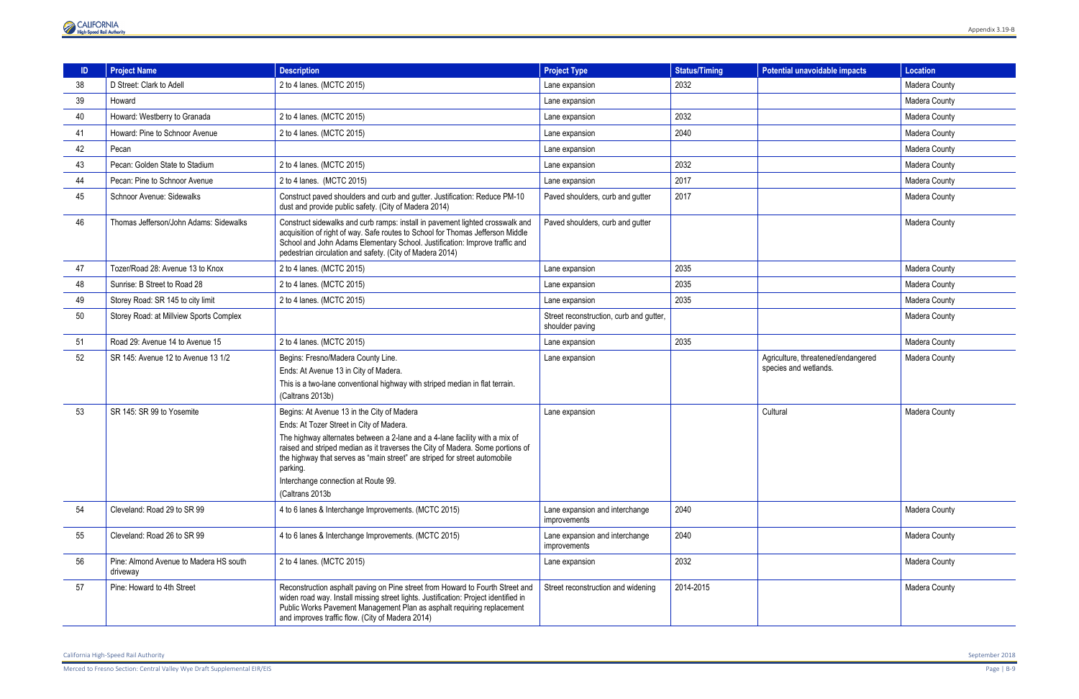

|    | <b>Project Name</b>                                | <b>Description</b>                                                                                                                                                                                                                                                                                                                                                                                           | <b>Project Type</b>                                        | <b>Status/Timing</b> | <b>Potential unavoidable impacts</b>                        | <b>Location</b> |
|----|----------------------------------------------------|--------------------------------------------------------------------------------------------------------------------------------------------------------------------------------------------------------------------------------------------------------------------------------------------------------------------------------------------------------------------------------------------------------------|------------------------------------------------------------|----------------------|-------------------------------------------------------------|-----------------|
| 38 | D Street: Clark to Adell                           | 2 to 4 lanes. (MCTC 2015)                                                                                                                                                                                                                                                                                                                                                                                    | Lane expansion                                             | 2032                 |                                                             | Madera County   |
| 39 | Howard                                             |                                                                                                                                                                                                                                                                                                                                                                                                              | Lane expansion                                             |                      |                                                             | Madera County   |
| 40 | Howard: Westberry to Granada                       | 2 to 4 lanes. (MCTC 2015)                                                                                                                                                                                                                                                                                                                                                                                    | Lane expansion                                             | 2032                 |                                                             | Madera County   |
| 41 | Howard: Pine to Schnoor Avenue                     | 2 to 4 lanes. (MCTC 2015)                                                                                                                                                                                                                                                                                                                                                                                    | Lane expansion                                             | 2040                 |                                                             | Madera County   |
| 42 | Pecan                                              |                                                                                                                                                                                                                                                                                                                                                                                                              | Lane expansion                                             |                      |                                                             | Madera County   |
| 43 | Pecan: Golden State to Stadium                     | 2 to 4 lanes. (MCTC 2015)                                                                                                                                                                                                                                                                                                                                                                                    | Lane expansion                                             | 2032                 |                                                             | Madera County   |
| 44 | Pecan: Pine to Schnoor Avenue                      | 2 to 4 lanes. (MCTC 2015)                                                                                                                                                                                                                                                                                                                                                                                    | Lane expansion                                             | 2017                 |                                                             | Madera County   |
| 45 | Schnoor Avenue: Sidewalks                          | Construct paved shoulders and curb and gutter. Justification: Reduce PM-10<br>dust and provide public safety. (City of Madera 2014)                                                                                                                                                                                                                                                                          | Paved shoulders, curb and gutter                           | 2017                 |                                                             | Madera County   |
| 46 | Thomas Jefferson/John Adams: Sidewalks             | Construct sidewalks and curb ramps: install in pavement lighted crosswalk and<br>acquisition of right of way. Safe routes to School for Thomas Jefferson Middle<br>School and John Adams Elementary School. Justification: Improve traffic and<br>pedestrian circulation and safety. (City of Madera 2014)                                                                                                   | Paved shoulders, curb and gutter                           |                      |                                                             | Madera County   |
| 47 | Tozer/Road 28: Avenue 13 to Knox                   | 2 to 4 lanes. (MCTC 2015)                                                                                                                                                                                                                                                                                                                                                                                    | Lane expansion                                             | 2035                 |                                                             | Madera County   |
| 48 | Sunrise: B Street to Road 28                       | 2 to 4 lanes. (MCTC 2015)                                                                                                                                                                                                                                                                                                                                                                                    | Lane expansion                                             | 2035                 |                                                             | Madera County   |
| 49 | Storey Road: SR 145 to city limit                  | 2 to 4 lanes. (MCTC 2015)                                                                                                                                                                                                                                                                                                                                                                                    | Lane expansion                                             | 2035                 |                                                             | Madera County   |
| 50 | Storey Road: at Millview Sports Complex            |                                                                                                                                                                                                                                                                                                                                                                                                              | Street reconstruction, curb and gutter,<br>shoulder paving |                      |                                                             | Madera County   |
| 51 | Road 29: Avenue 14 to Avenue 15                    | 2 to 4 lanes. (MCTC 2015)                                                                                                                                                                                                                                                                                                                                                                                    | Lane expansion                                             | 2035                 |                                                             | Madera County   |
| 52 | SR 145: Avenue 12 to Avenue 13 1/2                 | Begins: Fresno/Madera County Line.<br>Ends: At Avenue 13 in City of Madera.<br>This is a two-lane conventional highway with striped median in flat terrain.<br>(Caltrans 2013b)                                                                                                                                                                                                                              | Lane expansion                                             |                      | Agriculture, threatened/endangered<br>species and wetlands. | Madera County   |
| 53 | SR 145: SR 99 to Yosemite                          | Begins: At Avenue 13 in the City of Madera<br>Ends: At Tozer Street in City of Madera.<br>The highway alternates between a 2-lane and a 4-lane facility with a mix of<br>raised and striped median as it traverses the City of Madera. Some portions of<br>the highway that serves as "main street" are striped for street automobile<br>parking.<br>Interchange connection at Route 99.<br>(Caltrans 2013b) | Lane expansion                                             |                      | Cultural                                                    | Madera County   |
| 54 | Cleveland: Road 29 to SR 99                        | 4 to 6 lanes & Interchange Improvements. (MCTC 2015)                                                                                                                                                                                                                                                                                                                                                         | Lane expansion and interchange<br>improvements             | 2040                 |                                                             | Madera County   |
| 55 | Cleveland: Road 26 to SR 99                        | 4 to 6 lanes & Interchange Improvements. (MCTC 2015)                                                                                                                                                                                                                                                                                                                                                         | Lane expansion and interchange<br>improvements             | 2040                 |                                                             | Madera County   |
| 56 | Pine: Almond Avenue to Madera HS south<br>driveway | 2 to 4 lanes. (MCTC 2015)                                                                                                                                                                                                                                                                                                                                                                                    | Lane expansion                                             | 2032                 |                                                             | Madera County   |
| 57 | Pine: Howard to 4th Street                         | Reconstruction asphalt paving on Pine street from Howard to Fourth Street and<br>widen road way. Install missing street lights. Justification: Project identified in<br>Public Works Pavement Management Plan as asphalt requiring replacement<br>and improves traffic flow. (City of Madera 2014)                                                                                                           | Street reconstruction and widening                         | 2014-2015            |                                                             | Madera County   |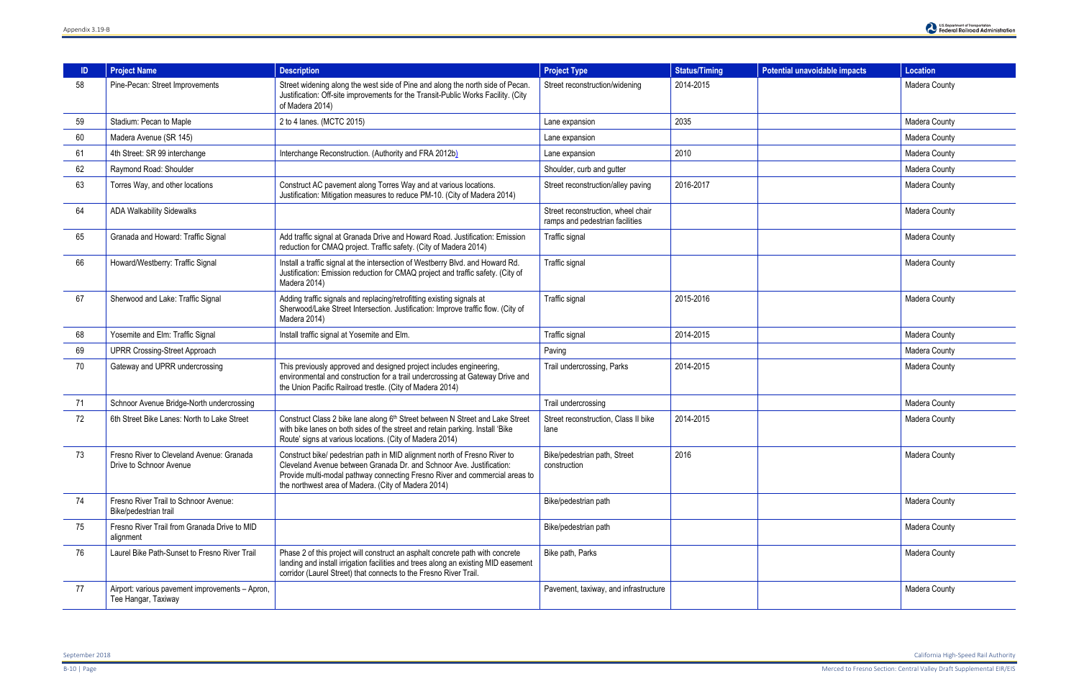| ID. | <b>Project Name</b>                                                    | <b>Description</b>                                                                                                                                                                                                                                                                      | <b>Project Type</b>                                                   | <b>Status/Timing</b> | <b>Potential unavoidable impacts</b> | <b>Location</b>      |
|-----|------------------------------------------------------------------------|-----------------------------------------------------------------------------------------------------------------------------------------------------------------------------------------------------------------------------------------------------------------------------------------|-----------------------------------------------------------------------|----------------------|--------------------------------------|----------------------|
| 58  | Pine-Pecan: Street Improvements                                        | Street widening along the west side of Pine and along the north side of Pecan.<br>Justification: Off-site improvements for the Transit-Public Works Facility. (City<br>of Madera 2014)                                                                                                  | Street reconstruction/widening                                        | 2014-2015            |                                      | Madera County        |
| 59  | Stadium: Pecan to Maple                                                | 2 to 4 lanes. (MCTC 2015)                                                                                                                                                                                                                                                               | Lane expansion                                                        | 2035                 |                                      | Madera County        |
| 60  | Madera Avenue (SR 145)                                                 |                                                                                                                                                                                                                                                                                         | Lane expansion                                                        |                      |                                      | Madera County        |
| 61  | 4th Street: SR 99 interchange                                          | Interchange Reconstruction. (Authority and FRA 2012b)                                                                                                                                                                                                                                   | Lane expansion                                                        | 2010                 |                                      | Madera County        |
| 62  | Raymond Road: Shoulder                                                 |                                                                                                                                                                                                                                                                                         | Shoulder, curb and gutter                                             |                      |                                      | Madera County        |
| 63  | Torres Way, and other locations                                        | Construct AC pavement along Torres Way and at various locations.<br>Justification: Mitigation measures to reduce PM-10. (City of Madera 2014)                                                                                                                                           | Street reconstruction/alley paving                                    | 2016-2017            |                                      | Madera County        |
| 64  | <b>ADA Walkability Sidewalks</b>                                       |                                                                                                                                                                                                                                                                                         | Street reconstruction, wheel chair<br>ramps and pedestrian facilities |                      |                                      | Madera County        |
| 65  | Granada and Howard: Traffic Signal                                     | Add traffic signal at Granada Drive and Howard Road. Justification: Emission<br>reduction for CMAQ project. Traffic safety. (City of Madera 2014)                                                                                                                                       | Traffic signal                                                        |                      |                                      | Madera County        |
| 66  | Howard/Westberry: Traffic Signal                                       | Install a traffic signal at the intersection of Westberry Blvd. and Howard Rd.<br>Justification: Emission reduction for CMAQ project and traffic safety. (City of<br>Madera 2014)                                                                                                       | Traffic signal                                                        |                      |                                      | Madera County        |
| 67  | Sherwood and Lake: Traffic Signal                                      | Adding traffic signals and replacing/retrofitting existing signals at<br>Sherwood/Lake Street Intersection. Justification: Improve traffic flow. (City of<br>Madera 2014)                                                                                                               | Traffic signal                                                        | 2015-2016            |                                      | Madera County        |
| 68  | Yosemite and Elm: Traffic Signal                                       | Install traffic signal at Yosemite and Elm.                                                                                                                                                                                                                                             | Traffic signal                                                        | 2014-2015            |                                      | Madera County        |
| 69  | <b>UPRR Crossing-Street Approach</b>                                   |                                                                                                                                                                                                                                                                                         | Paving                                                                |                      |                                      | Madera County        |
| 70  | Gateway and UPRR undercrossing                                         | This previously approved and designed project includes engineering,<br>environmental and construction for a trail undercrossing at Gateway Drive and<br>the Union Pacific Railroad trestle. (City of Madera 2014)                                                                       | Trail undercrossing, Parks                                            | 2014-2015            |                                      | Madera County        |
| 71  | Schnoor Avenue Bridge-North undercrossing                              |                                                                                                                                                                                                                                                                                         | Trail undercrossing                                                   |                      |                                      | Madera County        |
| 72  | 6th Street Bike Lanes: North to Lake Street                            | Construct Class 2 bike lane along 6th Street between N Street and Lake Street<br>with bike lanes on both sides of the street and retain parking. Install 'Bike<br>Route' signs at various locations. (City of Madera 2014)                                                              | Street reconstruction, Class II bike<br>lane                          | 2014-2015            |                                      | Madera County        |
| 73  | Fresno River to Cleveland Avenue: Granada<br>Drive to Schnoor Avenue   | Construct bike/ pedestrian path in MID alignment north of Fresno River to<br>Cleveland Avenue between Granada Dr. and Schnoor Ave. Justification:<br>Provide multi-modal pathway connecting Fresno River and commercial areas to<br>the northwest area of Madera. (City of Madera 2014) | Bike/pedestrian path, Street<br>construction                          | 2016                 |                                      | <b>Madera County</b> |
| 74  | Fresno River Trail to Schnoor Avenue:<br>Bike/pedestrian trail         |                                                                                                                                                                                                                                                                                         | Bike/pedestrian path                                                  |                      |                                      | Madera County        |
| 75  | Fresno River Trail from Granada Drive to MID<br>alignment              |                                                                                                                                                                                                                                                                                         | Bike/pedestrian path                                                  |                      |                                      | Madera County        |
| 76  | Laurel Bike Path-Sunset to Fresno River Trail                          | Phase 2 of this project will construct an asphalt concrete path with concrete<br>landing and install irrigation facilities and trees along an existing MID easement<br>corridor (Laurel Street) that connects to the Fresno River Trail.                                                | Bike path, Parks                                                      |                      |                                      | Madera County        |
| 77  | Airport: various pavement improvements - Apron,<br>Tee Hangar, Taxiway |                                                                                                                                                                                                                                                                                         | Pavement, taxiway, and infrastructure                                 |                      |                                      | Madera County        |

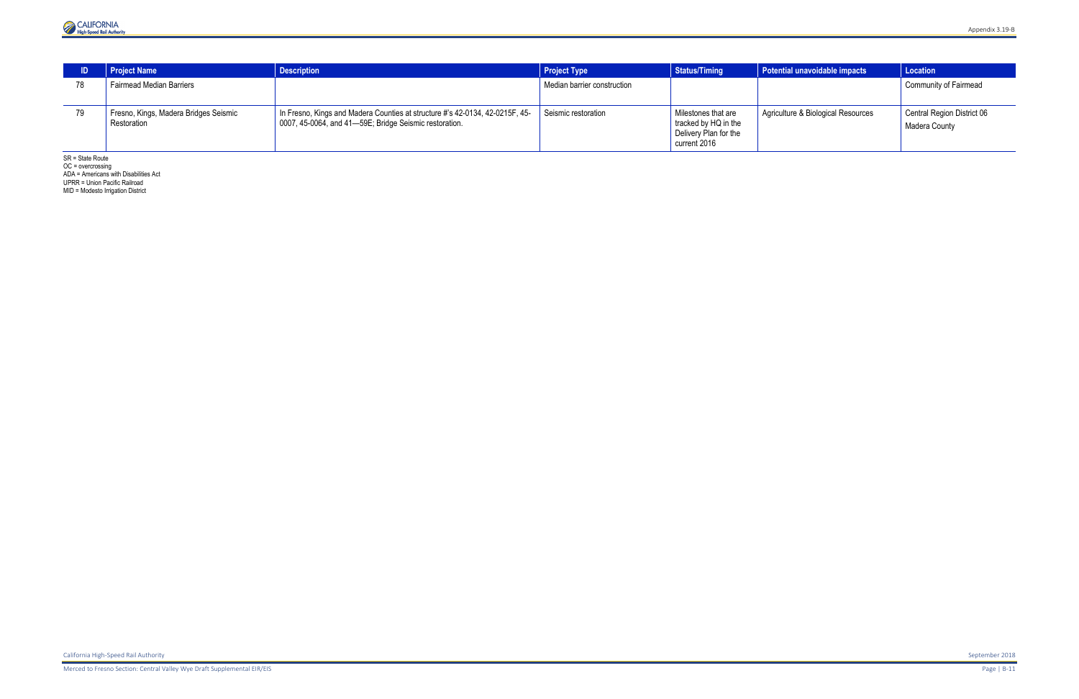

|    | <b>Project Name</b>                                  | <b>Description</b>                                                                                                                     | <b>Project Type</b>         | <b>Status/Timing</b>                                                                 | Potential unavoidable impacts      | Location                                    |
|----|------------------------------------------------------|----------------------------------------------------------------------------------------------------------------------------------------|-----------------------------|--------------------------------------------------------------------------------------|------------------------------------|---------------------------------------------|
| 78 | <b>Fairmead Median Barriers</b>                      |                                                                                                                                        | Median barrier construction |                                                                                      |                                    | <b>Community of Fairmead</b>                |
| 79 | Fresno, Kings, Madera Bridges Seismic<br>Restoration | In Fresno, Kings and Madera Counties at structure #'s 42-0134, 42-0215F, 45-<br>0007, 45-0064, and 41-59E; Bridge Seismic restoration. | Seismic restoration         | Milestones that are<br>tracked by HQ in the<br>Delivery Plan for the<br>current 2016 | Agriculture & Biological Resources | Central Region District 06<br>Madera County |

SR = State Route

OC = overcrossing

ADA = Americans with Disabilities Act UPRR = Union Pacific Railroad

MID = Modesto Irrigation District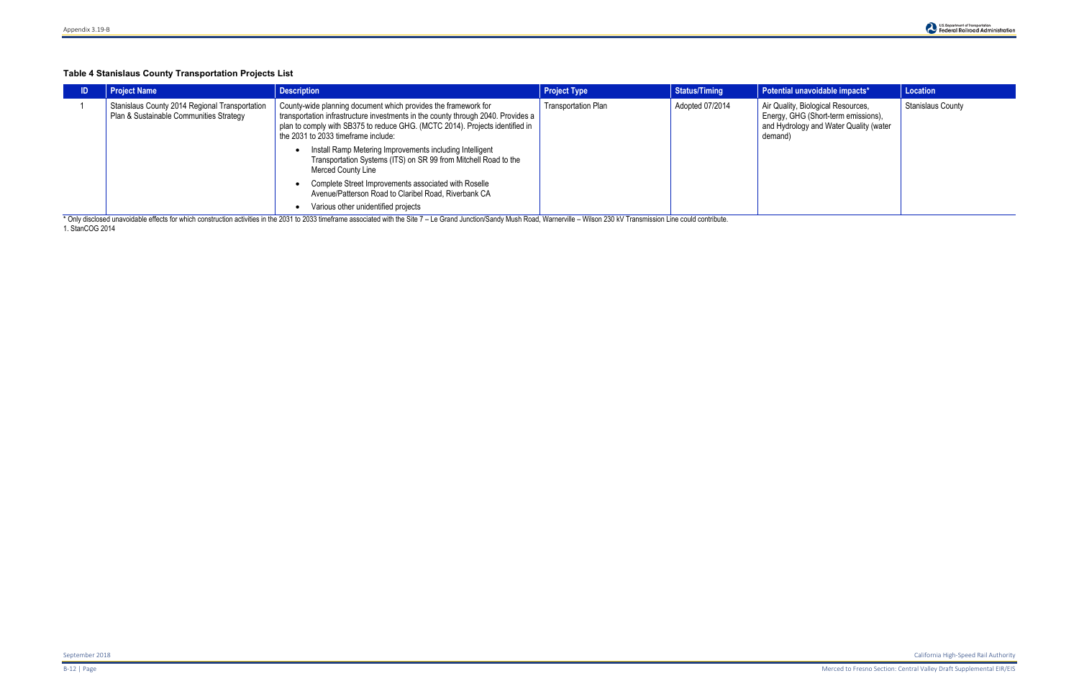## **Table 4 Stanislaus County Transportation Projects List**

| <b>Project Name</b>                                                                       | <b>Description</b>                                                                                                                                                                                                                                                        | <b>Project Type</b>        | <b>Status/Timing</b> | Potential unavoidable impacts*                                                                                                 | Location                 |
|-------------------------------------------------------------------------------------------|---------------------------------------------------------------------------------------------------------------------------------------------------------------------------------------------------------------------------------------------------------------------------|----------------------------|----------------------|--------------------------------------------------------------------------------------------------------------------------------|--------------------------|
| Stanislaus County 2014 Regional Transportation<br>Plan & Sustainable Communities Strategy | County-wide planning document which provides the framework for<br>transportation infrastructure investments in the county through 2040. Provides a<br>plan to comply with SB375 to reduce GHG. (MCTC 2014). Projects identified in<br>the 2031 to 2033 timeframe include: | <b>Transportation Plan</b> | Adopted 07/2014      | Air Quality, Biological Resources,<br>Energy, GHG (Short-term emissions),<br>and Hydrology and Water Quality (water<br>demand) | <b>Stanislaus County</b> |
|                                                                                           | Install Ramp Metering Improvements including Intelligent<br>Transportation Systems (ITS) on SR 99 from Mitchell Road to the<br>Merced County Line                                                                                                                         |                            |                      |                                                                                                                                |                          |
|                                                                                           | Complete Street Improvements associated with Roselle<br>Avenue/Patterson Road to Claribel Road, Riverbank CA                                                                                                                                                              |                            |                      |                                                                                                                                |                          |
|                                                                                           | Various other unidentified projects<br>* Outside a considered the following considerable of March 11, 0004 to 0000 the following the Otel 7. In Casel Lands (Oscal David March 2011, March 2011, Miller 000 IN Teachers and could condition                               |                            |                      |                                                                                                                                |                          |

\* Only disclosed unavoidable effects for which construction activities in the 2031 to 2033 timeframe associated with the Site 7 - Le Grand Junction/Sandy Mush Road, Warnerville - Wilson 230 kV Transmission Line could contr 1[. StanCOG](http://www.stancog.org/pdf/rtp/final-2014-rtpscs-peir.pdf) 2014

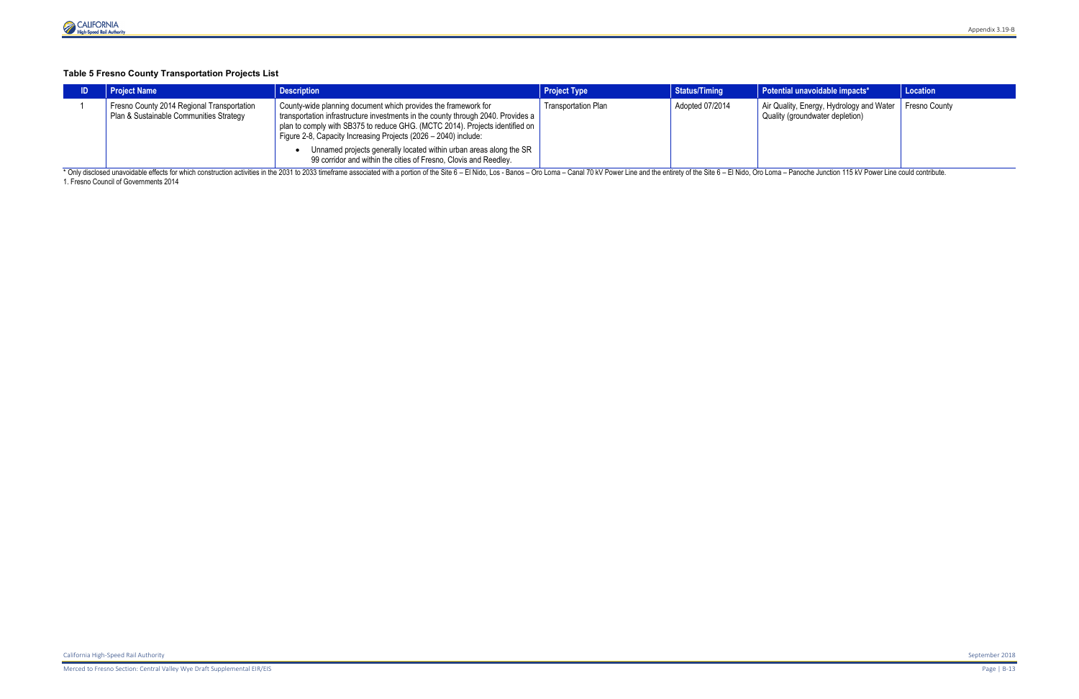# **Table 5 Fresno County Transportation Projects List**

|                                                                                                                                                                                                                                | <b>Project Name</b>                                                                   | <b>Description</b>                                                                                                                                                                                                                                                                                                                                                                                                                              | <b>Project Type</b>        | <b>Status/Timing</b> | Potential unavoidable impacts*                                                              | <b>Location</b> |  |
|--------------------------------------------------------------------------------------------------------------------------------------------------------------------------------------------------------------------------------|---------------------------------------------------------------------------------------|-------------------------------------------------------------------------------------------------------------------------------------------------------------------------------------------------------------------------------------------------------------------------------------------------------------------------------------------------------------------------------------------------------------------------------------------------|----------------------------|----------------------|---------------------------------------------------------------------------------------------|-----------------|--|
|                                                                                                                                                                                                                                | Fresno County 2014 Regional Transportation<br>Plan & Sustainable Communities Strategy | County-wide planning document which provides the framework for<br>transportation infrastructure investments in the county through 2040. Provides a<br>plan to comply with SB375 to reduce GHG. (MCTC 2014). Projects identified on<br>Figure 2-8, Capacity Increasing Projects (2026 – 2040) include:<br>Unnamed projects generally located within urban areas along the SR<br>99 corridor and within the cities of Fresno, Clovis and Reedley. | <b>Transportation Plan</b> | Adopted 07/2014      | Air Quality, Energy, Hydrology and Water   Fresno County<br>Quality (groundwater depletion) |                 |  |
| * Only disclosed unavoidable effects for which construction activities in the 2031 to 2033 timeframe associated with a portion of the Site 6 - El Nido, Los - Banos - Oro Loma - Canal 70 kV Power Line and the entirety of th |                                                                                       |                                                                                                                                                                                                                                                                                                                                                                                                                                                 |                            |                      |                                                                                             |                 |  |

1[. Fresno](http://www.fresnocog.org/sites/default/files/publications/RTP/Final_RTP/Fresno_COG_2014_RTP_Draft_PEIR.pdf) Council of Governments 2014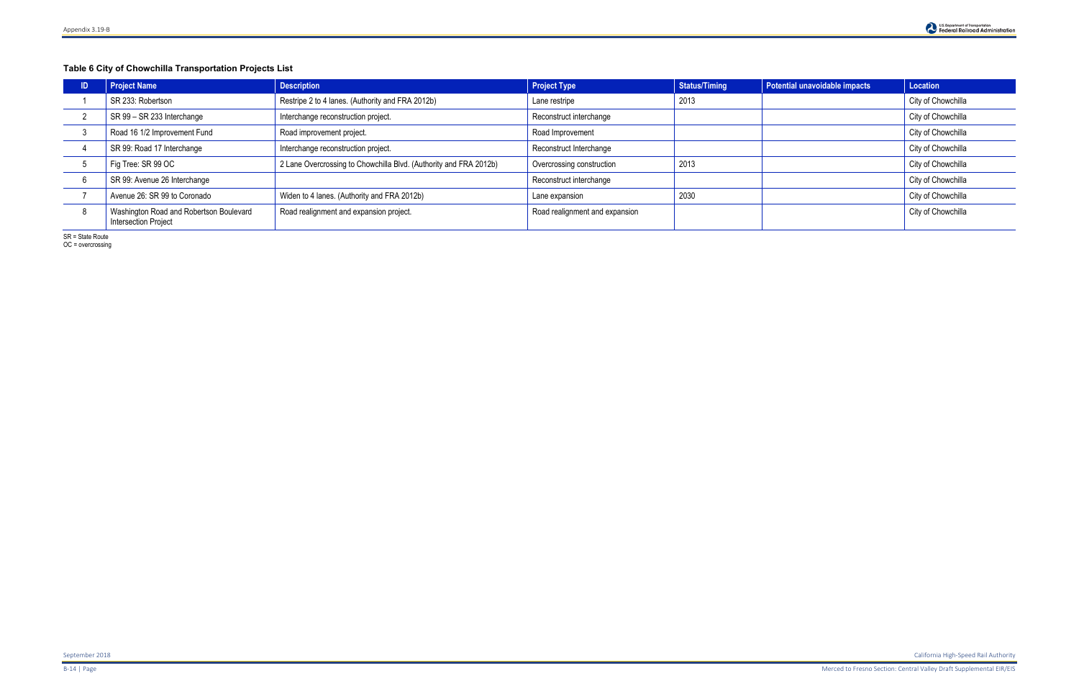# **Table 6 City of Chowchilla Transportation Projects List**

| <b>Project Name</b>                                                    | <b>Description</b>                                                | <b>Project Type</b>            | <b>Status/Timing</b> | Potential unavoidable impacts | <b>Location</b>    |
|------------------------------------------------------------------------|-------------------------------------------------------------------|--------------------------------|----------------------|-------------------------------|--------------------|
| SR 233: Robertson                                                      | Restripe 2 to 4 lanes. (Authority and FRA 2012b)                  | Lane restripe                  | 2013                 |                               | City of Chowchilla |
| SR 99 - SR 233 Interchange                                             | Interchange reconstruction project.                               | Reconstruct interchange        |                      |                               | City of Chowchilla |
| Road 16 1/2 Improvement Fund                                           | Road improvement project.                                         | Road Improvement               |                      |                               | City of Chowchilla |
| SR 99: Road 17 Interchange                                             | Interchange reconstruction project.                               | Reconstruct Interchange        |                      |                               | City of Chowchilla |
| Fig Tree: SR 99 OC                                                     | 2 Lane Overcrossing to Chowchilla Blvd. (Authority and FRA 2012b) | Overcrossing construction      | 2013                 |                               | City of Chowchilla |
| SR 99: Avenue 26 Interchange                                           |                                                                   | Reconstruct interchange        |                      |                               | City of Chowchilla |
| Avenue 26: SR 99 to Coronado                                           | Widen to 4 lanes. (Authority and FRA 2012b)                       | Lane expansion                 | 2030                 |                               | City of Chowchilla |
| Washington Road and Robertson Boulevard<br><b>Intersection Project</b> | Road realignment and expansion project.                           | Road realignment and expansion |                      |                               | City of Chowchilla |

SR = State Route

OC = overcrossing

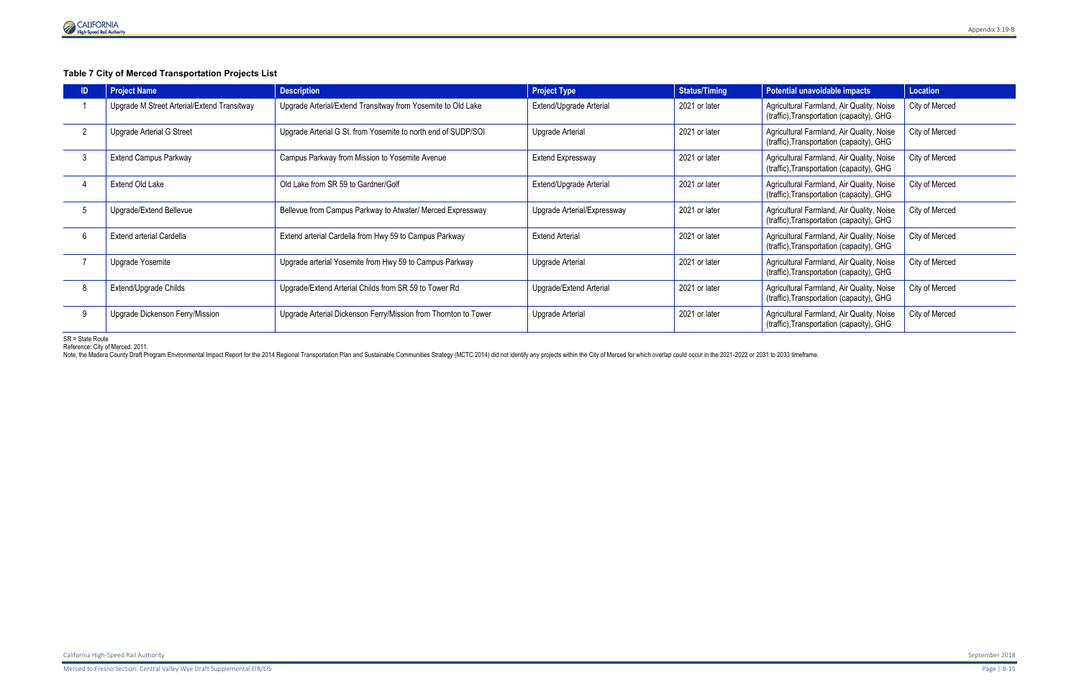

## **Table 7 City of Merced Transportation Projects List**

| <b>Project Name</b>                         | <b>Description</b>                                              | <b>Project Type</b>         | Status/Timing | Potential unavoidable impacts                                                          | Location       |
|---------------------------------------------|-----------------------------------------------------------------|-----------------------------|---------------|----------------------------------------------------------------------------------------|----------------|
| Upgrade M Street Arterial/Extend Transitway | Upgrade Arterial/Extend Transitway from Yosemite to Old Lake    | Extend/Upgrade Arterial     | 2021 or later | Agricultural Farmland, Air Quality, Noise<br>(traffic), Transportation (capacity), GHG | City of Merced |
| Upgrade Arterial G Street                   | Upgrade Arterial G St. from Yosemite to north end of SUDP/SOI   | Upgrade Arterial            | 2021 or later | Agricultural Farmland, Air Quality, Noise<br>(traffic), Transportation (capacity), GHG | City of Merced |
| <b>Extend Campus Parkway</b>                | Campus Parkway from Mission to Yosemite Avenue                  | <b>Extend Expressway</b>    | 2021 or later | Agricultural Farmland, Air Quality, Noise<br>(traffic), Transportation (capacity), GHG | City of Merced |
| Extend Old Lake                             | Old Lake from SR 59 to Gardner/Golf                             | Extend/Upgrade Arterial     | 2021 or later | Agricultural Farmland, Air Quality, Noise<br>(traffic), Transportation (capacity), GHG | City of Merced |
| Upgrade/Extend Bellevue                     | Bellevue from Campus Parkway to Atwater/ Merced Expressway      | Upgrade Arterial/Expressway | 2021 or later | Agricultural Farmland, Air Quality, Noise<br>(traffic), Transportation (capacity), GHG | City of Merced |
| Extend arterial Cardella                    | Extend arterial Cardella from Hwy 59 to Campus Parkway          | <b>Extend Arterial</b>      | 2021 or later | Agricultural Farmland, Air Quality, Noise<br>(traffic), Transportation (capacity), GHG | City of Merced |
| Upgrade Yosemite                            | Upgrade arterial Yosemite from Hwy 59 to Campus Parkway         | Upgrade Arterial            | 2021 or later | Agricultural Farmland, Air Quality, Noise<br>(traffic), Transportation (capacity), GHG | City of Merced |
| Extend/Upgrade Childs                       | Upgrade/Extend Arterial Childs from SR 59 to Tower Rd           | Upgrade/Extend Arterial     | 2021 or later | Agricultural Farmland, Air Quality, Noise<br>(traffic), Transportation (capacity), GHG | City of Merced |
| Upgrade Dickenson Ferry/Mission             | Upgrade Arterial Dickenson Ferry/Mission from Thornton to Tower | Upgrade Arterial            | 2021 or later | Agricultural Farmland, Air Quality, Noise<br>(traffic), Transportation (capacity), GHG | City of Merced |

SR = State Route

Reference: City of Merced. 2011.

Note, the Madera County Draft Program Environmental Impact Report for the 2014 Regional Transportation Plan and Sustainable Communities Strategy (MCTC 2014) did not identify any projects within the City of Merced for which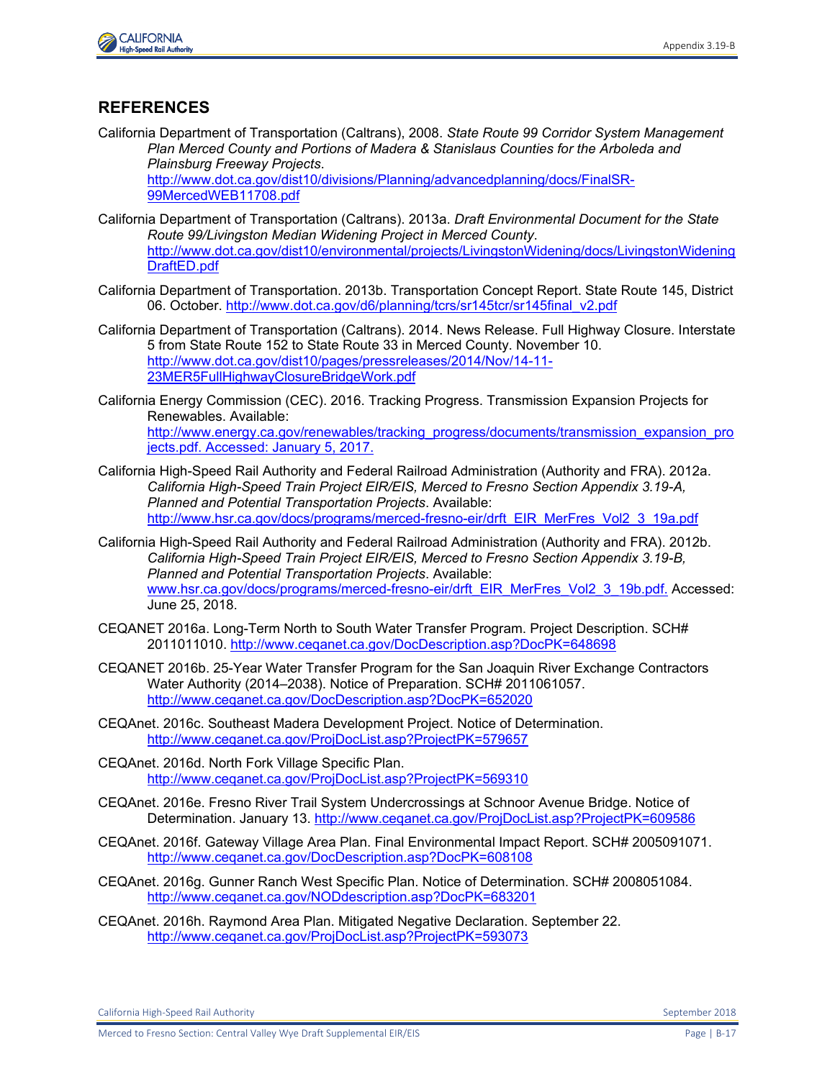

## **REFERENCES**

California Department of Transportation (Caltrans), 2008. *State Route 99 Corridor System Management Plan Merced County and Portions of Madera & Stanislaus Counties for the Arboleda and Plainsburg Freeway Projects*.

[http://www.dot.ca.gov/dist10/divisions/Planning/advancedplanning/docs/FinalSR-](http://www.dot.ca.gov/dist10/divisions/Planning/advancedplanning/docs/FinalSR-99MercedWEB11708.pdf)[99MercedWEB11708.pdf](http://www.dot.ca.gov/dist10/divisions/Planning/advancedplanning/docs/FinalSR-99MercedWEB11708.pdf)

- California Department of Transportation (Caltrans). 2013a. *Draft Environmental Document for the State Route 99/Livingston Median Widening Project in Merced County*. [http://www.dot.ca.gov/dist10/environmental/projects/LivingstonWidening/docs/LivingstonWidening](http://www.dot.ca.gov/dist10/environmental/projects/LivingstonWidening/docs/LivingstonWideningDraftED.pdf) [DraftED.pdf](http://www.dot.ca.gov/dist10/environmental/projects/LivingstonWidening/docs/LivingstonWideningDraftED.pdf)
- California Department of Transportation. 2013b. Transportation Concept Report. State Route 145, District 06. October. [http://www.dot.ca.gov/d6/planning/tcrs/sr145tcr/sr145final\\_v2.pdf](http://www.dot.ca.gov/d6/planning/tcrs/sr145tcr/sr145final_v2.pdf)
- California Department of Transportation (Caltrans). 2014. News Release. Full Highway Closure. Interstate 5 from State Route 152 to State Route 33 in Merced County. November 10. [http://www.dot.ca.gov/dist10/pages/pressreleases/2014/Nov/14-11-](http://www.dot.ca.gov/dist10/pages/pressreleases/2014/Nov/14-11-23MER5FullHighwayClosureBridgeWork.pdf) [23MER5FullHighwayClosureBridgeWork.pdf](http://www.dot.ca.gov/dist10/pages/pressreleases/2014/Nov/14-11-23MER5FullHighwayClosureBridgeWork.pdf)
- California Energy Commission (CEC). 2016. Tracking Progress. Transmission Expansion Projects for Renewables. Available: [http://www.energy.ca.gov/renewables/tracking\\_progress/documents/transmission\\_expansion\\_pro](http://www.energy.ca.gov/renewables/tracking_progress/documents/transmission_expansion_projects.pdf) [jects.pdf.](http://www.energy.ca.gov/renewables/tracking_progress/documents/transmission_expansion_projects.pdf) Accessed: January 5, 2017.
- California High-Speed Rail Authority and Federal Railroad Administration (Authority and FRA). 2012a. *California High-Speed Train Project EIR/EIS, Merced to Fresno Section Appendix 3.19-A, Planned and Potential Transportation Projects*. Available: http://www.hsr.ca.gov/docs/programs/merced-fresno-eir/drft\_EIR\_MerFres\_Vol2\_3\_19a.pdf
- California High-Speed Rail Authority and Federal Railroad Administration (Authority and FRA). 2012b. *California High-Speed Train Project EIR/EIS, Merced to Fresno Section Appendix 3.19-B, Planned and Potential Transportation Projects*. Available: [www.hsr.ca.gov/docs/programs/merced-fresno-eir/drft\\_EIR\\_MerFres\\_Vol2\\_3\\_19b.pdf.](http://www.hsr.ca.gov/docs/programs/merced-fresno-eir/drft_EIR_MerFres_Vol2_3_19b.pdf) Accessed: June 25, 2018.
- CEQANET 2016a. Long-Term North to South Water Transfer Program. Project Description. SCH# 2011011010.<http://www.ceqanet.ca.gov/DocDescription.asp?DocPK=648698>
- CEQANET 2016b. 25-Year Water Transfer Program for the San Joaquin River Exchange Contractors Water Authority (2014–2038). Notice of Preparation. SCH# 2011061057. <http://www.ceqanet.ca.gov/DocDescription.asp?DocPK=652020>
- CEQAnet. 2016c. Southeast Madera Development Project. Notice of Determination. <http://www.ceqanet.ca.gov/ProjDocList.asp?ProjectPK=579657>
- CEQAnet. 2016d. North Fork Village Specific Plan. <http://www.ceqanet.ca.gov/ProjDocList.asp?ProjectPK=569310>
- CEQAnet. 2016e. Fresno River Trail System Undercrossings at Schnoor Avenue Bridge. Notice of Determination. January 13.<http://www.ceqanet.ca.gov/ProjDocList.asp?ProjectPK=609586>
- CEQAnet. 2016f. Gateway Village Area Plan. Final Environmental Impact Report. SCH# 2005091071. <http://www.ceqanet.ca.gov/DocDescription.asp?DocPK=608108>
- CEQAnet. 2016g. Gunner Ranch West Specific Plan. Notice of Determination. SCH# 2008051084. <http://www.ceqanet.ca.gov/NODdescription.asp?DocPK=683201>
- CEQAnet. 2016h. Raymond Area Plan. Mitigated Negative Declaration. September 22. <http://www.ceqanet.ca.gov/ProjDocList.asp?ProjectPK=593073>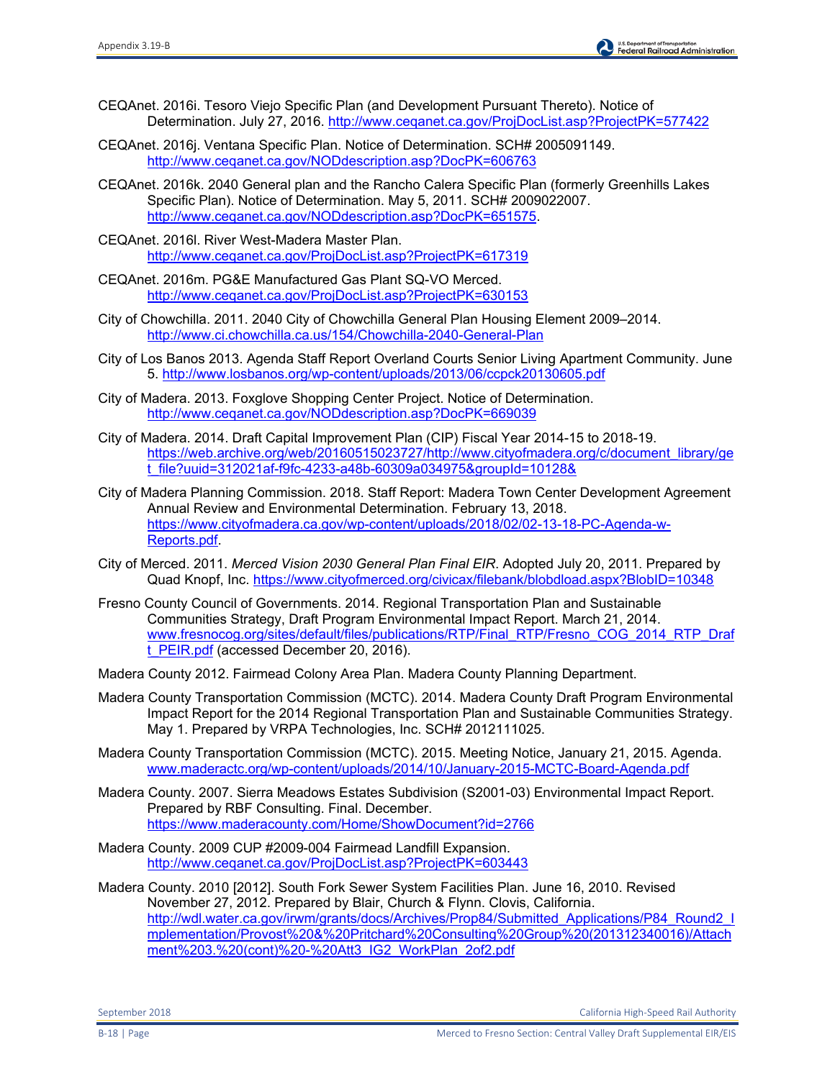- CEQAnet. 2016i. Tesoro Viejo Specific Plan (and Development Pursuant Thereto). Notice of Determination. July 27, 2016.<http://www.ceqanet.ca.gov/ProjDocList.asp?ProjectPK=577422>
- CEQAnet. 2016j. Ventana Specific Plan. Notice of Determination. SCH# 2005091149. <http://www.ceqanet.ca.gov/NODdescription.asp?DocPK=606763>
- CEQAnet. 2016k. 2040 General plan and the Rancho Calera Specific Plan (formerly Greenhills Lakes Specific Plan). Notice of Determination. May 5, 2011. SCH# 2009022007. [http://www.ceqanet.ca.gov/NODdescription.asp?DocPK=651575.](http://www.ceqanet.ca.gov/NODdescription.asp?DocPK=651575)
- CEQAnet. 2016l. River West-Madera Master Plan. <http://www.ceqanet.ca.gov/ProjDocList.asp?ProjectPK=617319>
- CEQAnet. 2016m. PG&E Manufactured Gas Plant SQ-VO Merced. <http://www.ceqanet.ca.gov/ProjDocList.asp?ProjectPK=630153>
- City of Chowchilla. 2011. 2040 City of Chowchilla General Plan Housing Element 2009–2014. <http://www.ci.chowchilla.ca.us/154/Chowchilla-2040-General-Plan>
- City of Los Banos 2013. Agenda Staff Report Overland Courts Senior Living Apartment Community. June 5.<http://www.losbanos.org/wp-content/uploads/2013/06/ccpck20130605.pdf>
- City of Madera. 2013. Foxglove Shopping Center Project. Notice of Determination. <http://www.ceqanet.ca.gov/NODdescription.asp?DocPK=669039>
- City of Madera. 2014. Draft Capital Improvement Plan (CIP) Fiscal Year 2014-15 to 2018-19. [https://web.archive.org/web/20160515023727/http://www.cityofmadera.org/c/document\\_library/ge](https://web.archive.org/web/20160515023727/http:/www.cityofmadera.org/c/document_library/get_file?uuid=312021af-f9fc-4233-a48b-60309a034975&groupId=10128&) [t\\_file?uuid=312021af-f9fc-4233-a48b-60309a034975&groupId=10128&](https://web.archive.org/web/20160515023727/http:/www.cityofmadera.org/c/document_library/get_file?uuid=312021af-f9fc-4233-a48b-60309a034975&groupId=10128&)
- City of Madera Planning Commission. 2018. Staff Report: Madera Town Center Development Agreement Annual Review and Environmental Determination. February 13, 2018. [https://www.cityofmadera.ca.gov/wp-content/uploads/2018/02/02-13-18-PC-Agenda-w-](https://www.cityofmadera.ca.gov/wp-content/uploads/2018/02/02-13-18-PC-Agenda-w-Reports.pdf)[Reports.pdf.](https://www.cityofmadera.ca.gov/wp-content/uploads/2018/02/02-13-18-PC-Agenda-w-Reports.pdf)
- City of Merced. 2011. *Merced Vision 2030 General Plan Final EIR*. Adopted July 20, 2011. Prepared by Quad Knopf, Inc.<https://www.cityofmerced.org/civicax/filebank/blobdload.aspx?BlobID=10348>
- Fresno County Council of Governments. 2014. Regional Transportation Plan and Sustainable Communities Strategy, Draft Program Environmental Impact Report. March 21, 2014. [www.fresnocog.org/sites/default/files/publications/RTP/Final\\_RTP/Fresno\\_COG\\_2014\\_RTP\\_Draf](http://www.fresnocog.org/sites/default/files/publications/RTP/Final_RTP/Fresno_COG_2014_RTP_Draft_PEIR.pdf) [t\\_PEIR.pdf](http://www.fresnocog.org/sites/default/files/publications/RTP/Final_RTP/Fresno_COG_2014_RTP_Draft_PEIR.pdf) (accessed December 20, 2016).
- Madera County 2012. Fairmead Colony Area Plan. Madera County Planning Department.
- Madera County Transportation Commission (MCTC). 2014. Madera County Draft Program Environmental Impact Report for the 2014 Regional Transportation Plan and Sustainable Communities Strategy. May 1. Prepared by VRPA Technologies, Inc. SCH# 2012111025.
- Madera County Transportation Commission (MCTC). 2015. Meeting Notice, January 21, 2015. Agenda. [www.maderactc.org/wp-content/uploads/2014/10/January-2015-MCTC-Board-Agenda.pdf](http://www.maderactc.org/wp-content/uploads/2014/10/January-2015-MCTC-Board-Agenda.pdf)
- Madera County. 2007. Sierra Meadows Estates Subdivision (S2001-03) Environmental Impact Report. Prepared by RBF Consulting. Final. December. <https://www.maderacounty.com/Home/ShowDocument?id=2766>
- Madera County. 2009 CUP #2009-004 Fairmead Landfill Expansion. <http://www.ceqanet.ca.gov/ProjDocList.asp?ProjectPK=603443>

Madera County. 2010 [2012]. South Fork Sewer System Facilities Plan. June 16, 2010. Revised November 27, 2012. Prepared by Blair, Church & Flynn. Clovis, California. [http://wdl.water.ca.gov/irwm/grants/docs/Archives/Prop84/Submitted\\_Applications/P84\\_Round2\\_I](http://wdl.water.ca.gov/irwm/grants/docs/Archives/Prop84/Submitted_Applications/P84_Round2_Implementation/Provost%20&%20Pritchard%20Consulting%20Group%20(201312340016)/Attachment%203.%20(cont)%20-%20Att3_IG2_WorkPlan_2of2.pdf) [mplementation/Provost%20&%20Pritchard%20Consulting%20Group%20\(201312340016\)/Attach](http://wdl.water.ca.gov/irwm/grants/docs/Archives/Prop84/Submitted_Applications/P84_Round2_Implementation/Provost%20&%20Pritchard%20Consulting%20Group%20(201312340016)/Attachment%203.%20(cont)%20-%20Att3_IG2_WorkPlan_2of2.pdf) [ment%203.%20\(cont\)%20-%20Att3\\_IG2\\_WorkPlan\\_2of2.pdf](http://wdl.water.ca.gov/irwm/grants/docs/Archives/Prop84/Submitted_Applications/P84_Round2_Implementation/Provost%20&%20Pritchard%20Consulting%20Group%20(201312340016)/Attachment%203.%20(cont)%20-%20Att3_IG2_WorkPlan_2of2.pdf)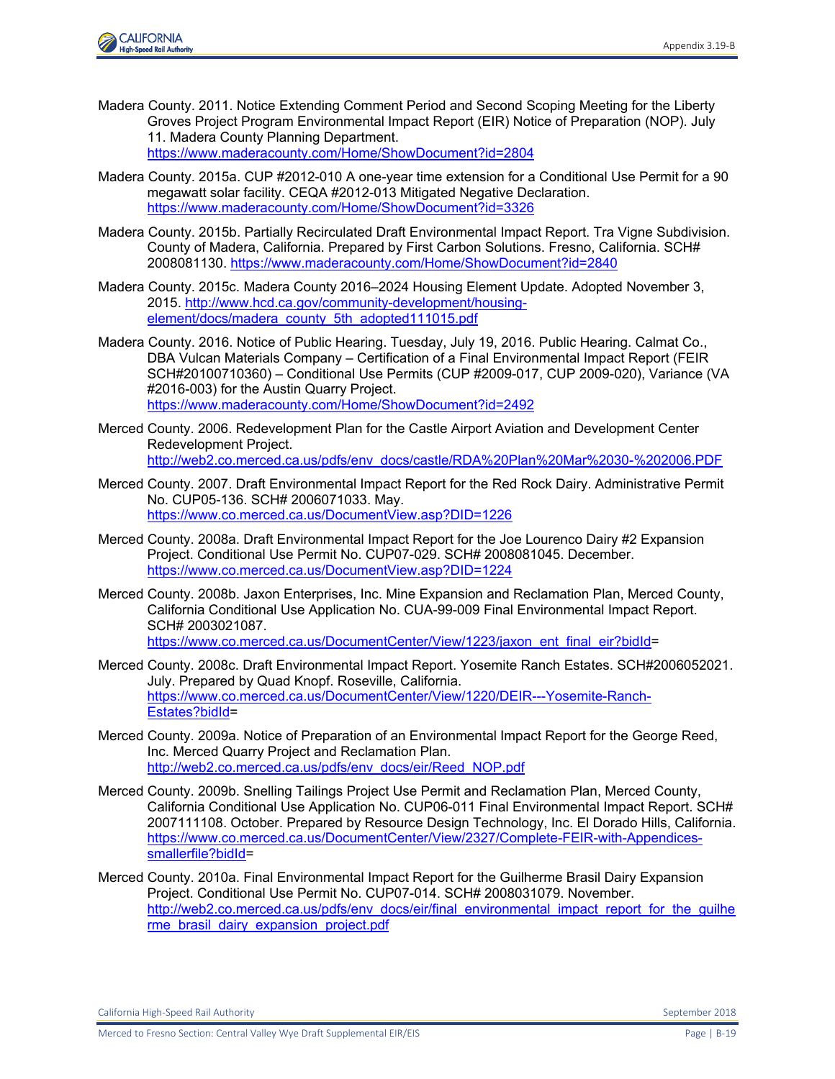

- Madera County. 2011. Notice Extending Comment Period and Second Scoping Meeting for the Liberty Groves Project Program Environmental Impact Report (EIR) Notice of Preparation (NOP). July 11. Madera County Planning Department. <https://www.maderacounty.com/Home/ShowDocument?id=2804>
- Madera County. 2015a. CUP #2012-010 A one-year time extension for a Conditional Use Permit for a 90 megawatt solar facility. CEQA #2012-013 Mitigated Negative Declaration. <https://www.maderacounty.com/Home/ShowDocument?id=3326>
- Madera County. 2015b. Partially Recirculated Draft Environmental Impact Report. Tra Vigne Subdivision. County of Madera, California. Prepared by First Carbon Solutions. Fresno, California. SCH# 2008081130.<https://www.maderacounty.com/Home/ShowDocument?id=2840>
- Madera County. 2015c. Madera County 2016–2024 Housing Element Update. Adopted November 3, 2015. [http://www.hcd.ca.gov/community-development/housing](http://www.hcd.ca.gov/community-development/housing-element/docs/madera_county_5th_adopted111015.pdf)[element/docs/madera\\_county\\_5th\\_adopted111015.pdf](http://www.hcd.ca.gov/community-development/housing-element/docs/madera_county_5th_adopted111015.pdf)
- Madera County. 2016. Notice of Public Hearing. Tuesday, July 19, 2016. Public Hearing. Calmat Co., DBA Vulcan Materials Company – Certification of a Final Environmental Impact Report (FEIR SCH#20100710360) – Conditional Use Permits (CUP #2009-017, CUP 2009-020), Variance (VA #2016-003) for the Austin Quarry Project. <https://www.maderacounty.com/Home/ShowDocument?id=2492>
- Merced County. 2006. Redevelopment Plan for the Castle Airport Aviation and Development Center Redevelopment Project.

[http://web2.co.merced.ca.us/pdfs/env\\_docs/castle/RDA%20Plan%20Mar%2030-%202006.PDF](http://web2.co.merced.ca.us/pdfs/env_docs/castle/RDA%20Plan%20Mar%2030-%202006.PDF) 

- Merced County. 2007. Draft Environmental Impact Report for the Red Rock Dairy. Administrative Permit No. CUP05-136. SCH# 2006071033. May. <https://www.co.merced.ca.us/DocumentView.asp?DID=1226>
- Merced County. 2008a. Draft Environmental Impact Report for the Joe Lourenco Dairy #2 Expansion Project. Conditional Use Permit No. CUP07-029. SCH# 2008081045. December. <https://www.co.merced.ca.us/DocumentView.asp?DID=1224>
- Merced County. 2008b. Jaxon Enterprises, Inc. Mine Expansion and Reclamation Plan, Merced County, California Conditional Use Application No. CUA-99-009 Final Environmental Impact Report. SCH# 2003021087. [https://www.co.merced.ca.us/DocumentCenter/View/1223/jaxon\\_ent\\_final\\_eir?bidId=](https://www.co.merced.ca.us/DocumentCenter/View/1223/jaxon_ent_final_eir?bidId)
- Merced County. 2008c. Draft Environmental Impact Report. Yosemite Ranch Estates. SCH#2006052021. July. Prepared by Quad Knopf. Roseville, California. [https://www.co.merced.ca.us/DocumentCenter/View/1220/DEIR---Yosemite-Ranch-](https://www.co.merced.ca.us/DocumentCenter/View/1220/DEIR---Yosemite-Ranch-Estates?bidId)[Estates?bidId=](https://www.co.merced.ca.us/DocumentCenter/View/1220/DEIR---Yosemite-Ranch-Estates?bidId)
- Merced County. 2009a. Notice of Preparation of an Environmental Impact Report for the George Reed, Inc. Merced Quarry Project and Reclamation Plan. [http://web2.co.merced.ca.us/pdfs/env\\_docs/eir/Reed\\_NOP.pdf](http://web2.co.merced.ca.us/pdfs/env_docs/eir/Reed_NOP.pdf)
- Merced County. 2009b. Snelling Tailings Project Use Permit and Reclamation Plan, Merced County, California Conditional Use Application No. CUP06-011 Final Environmental Impact Report. SCH# 2007111108. October. Prepared by Resource Design Technology, Inc. El Dorado Hills, California. [https://www.co.merced.ca.us/DocumentCenter/View/2327/Complete-FEIR-with-Appendices](https://www.co.merced.ca.us/DocumentCenter/View/2327/Complete-FEIR-with-Appendices-smallerfile?bidId)[smallerfile?bidId=](https://www.co.merced.ca.us/DocumentCenter/View/2327/Complete-FEIR-with-Appendices-smallerfile?bidId)
- Merced County. 2010a. Final Environmental Impact Report for the Guilherme Brasil Dairy Expansion Project. Conditional Use Permit No. CUP07-014. SCH# 2008031079. November. http://web2.co.merced.ca.us/pdfs/env\_docs/eir/final\_environmental\_impact\_report\_for\_the\_quilhe rme\_brasil\_dairy\_expansion\_project.pdf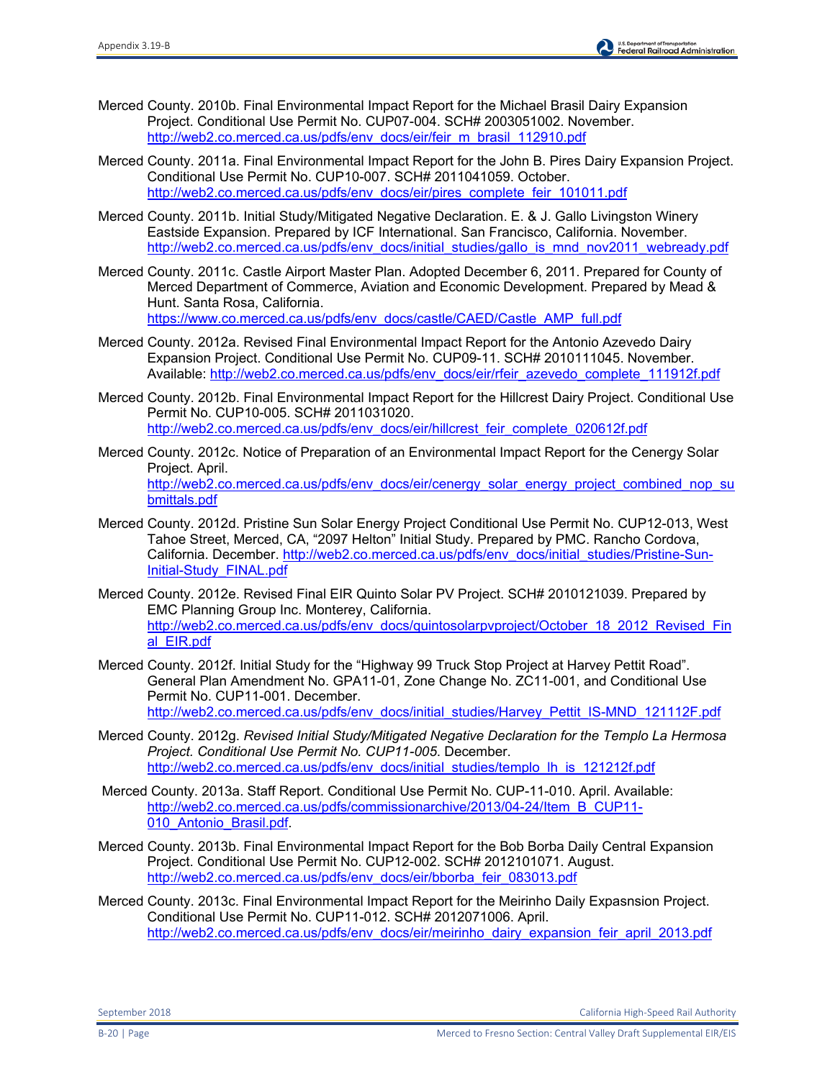- Merced County. 2010b. Final Environmental Impact Report for the Michael Brasil Dairy Expansion Project. Conditional Use Permit No. CUP07-004. SCH# 2003051002. November. [http://web2.co.merced.ca.us/pdfs/env\\_docs/eir/feir\\_m\\_brasil\\_112910.pdf](http://web2.co.merced.ca.us/pdfs/env_docs/eir/feir_m_brasil_112910.pdf)
- Merced County. 2011a. Final Environmental Impact Report for the John B. Pires Dairy Expansion Project. Conditional Use Permit No. CUP10-007. SCH# 2011041059. October. [http://web2.co.merced.ca.us/pdfs/env\\_docs/eir/pires\\_complete\\_feir\\_101011.pdf](http://web2.co.merced.ca.us/pdfs/env_docs/eir/pires_complete_feir_101011.pdf)
- Merced County. 2011b. Initial Study/Mitigated Negative Declaration. E. & J. Gallo Livingston Winery Eastside Expansion. Prepared by ICF International. San Francisco, California. November. http://web2.co.merced.ca.us/pdfs/env\_docs/initial\_studies/gallo\_is\_mnd\_nov2011\_webready.pdf
- Merced County. 2011c. Castle Airport Master Plan. Adopted December 6, 2011. Prepared for County of Merced Department of Commerce, Aviation and Economic Development. Prepared by Mead & Hunt. Santa Rosa, California. [https://www.co.merced.ca.us/pdfs/env\\_docs/castle/CAED/Castle\\_AMP\\_full.pdf](https://www.co.merced.ca.us/pdfs/env_docs/castle/CAED/Castle_AMP_full.pdf)
- Merced County. 2012a. Revised Final Environmental Impact Report for the Antonio Azevedo Dairy Expansion Project. Conditional Use Permit No. CUP09-11. SCH# 2010111045. November. Available: [http://web2.co.merced.ca.us/pdfs/env\\_docs/eir/rfeir\\_azevedo\\_complete\\_111912f.pdf](http://web2.co.merced.ca.us/pdfs/env_docs/eir/rfeir_azevedo_complete_111912f.pdf)
- Merced County. 2012b. Final Environmental Impact Report for the Hillcrest Dairy Project. Conditional Use Permit No. CUP10-005. SCH# 2011031020. [http://web2.co.merced.ca.us/pdfs/env\\_docs/eir/hillcrest\\_feir\\_complete\\_020612f.pdf](http://web2.co.merced.ca.us/pdfs/env_docs/eir/hillcrest_feir_complete_020612f.pdf)
- Merced County. 2012c. Notice of Preparation of an Environmental Impact Report for the Cenergy Solar Project. April. [http://web2.co.merced.ca.us/pdfs/env\\_docs/eir/cenergy\\_solar\\_energy\\_project\\_combined\\_nop\\_su](http://web2.co.merced.ca.us/pdfs/env_docs/eir/cenergy_solar_energy_project_combined_nop_submittals.pdf) [bmittals.pdf](http://web2.co.merced.ca.us/pdfs/env_docs/eir/cenergy_solar_energy_project_combined_nop_submittals.pdf)
- Merced County. 2012d. Pristine Sun Solar Energy Project Conditional Use Permit No. CUP12-013, West Tahoe Street, Merced, CA, "2097 Helton" Initial Study. Prepared by PMC. Rancho Cordova, California. December. [http://web2.co.merced.ca.us/pdfs/env\\_docs/initial\\_studies/Pristine-Sun-](http://web2.co.merced.ca.us/pdfs/env_docs/initial_studies/Pristine-Sun-Initial-Study_FINAL.pdf)[Initial-Study\\_FINAL.pdf](http://web2.co.merced.ca.us/pdfs/env_docs/initial_studies/Pristine-Sun-Initial-Study_FINAL.pdf)
- Merced County. 2012e. Revised Final EIR Quinto Solar PV Project. SCH# 2010121039. Prepared by EMC Planning Group Inc. Monterey, California. [http://web2.co.merced.ca.us/pdfs/env\\_docs/quintosolarpvproject/October\\_18\\_2012\\_Revised\\_Fin](http://web2.co.merced.ca.us/pdfs/env_docs/quintosolarpvproject/October_18_2012_Revised_Final_EIR.pdf) [al\\_EIR.pdf](http://web2.co.merced.ca.us/pdfs/env_docs/quintosolarpvproject/October_18_2012_Revised_Final_EIR.pdf)
- Merced County. 2012f. Initial Study for the "Highway 99 Truck Stop Project at Harvey Pettit Road". General Plan Amendment No. GPA11-01, Zone Change No. ZC11-001, and Conditional Use Permit No. CUP11-001. December. http://web2.co.merced.ca.us/pdfs/env\_docs/initial\_studies/Harvey\_Pettit\_IS-MND\_121112F.pdf
- Merced County. 2012g. *Revised Initial Study/Mitigated Negative Declaration for the Templo La Hermosa Project. Conditional Use Permit No. CUP11-005*. December. http://web2.co.merced.ca.us/pdfs/env\_docs/initial\_studies/templo\_lh\_is\_121212f.pdf
- Merced County. 2013a. Staff Report. Conditional Use Permit No. CUP-11-010. April. Available: [http://web2.co.merced.ca.us/pdfs/commissionarchive/2013/04-24/Item\\_B\\_CUP11-](http://web2.co.merced.ca.us/pdfs/commissionarchive/2013/04-24/Item_B_CUP11-010_Antonio_Brasil.pdf) 010 Antonio Brasil.pdf.
- Merced County. 2013b. Final Environmental Impact Report for the Bob Borba Daily Central Expansion Project. Conditional Use Permit No. CUP12-002. SCH# 2012101071. August. http://web2.co.merced.ca.us/pdfs/env\_docs/eir/bborba\_feir\_083013.pdf
- Merced County. 2013c. Final Environmental Impact Report for the Meirinho Daily Expasnsion Project. Conditional Use Permit No. CUP11-012. SCH# 2012071006. April. [http://web2.co.merced.ca.us/pdfs/env\\_docs/eir/meirinho\\_dairy\\_expansion\\_feir\\_april\\_2013.pdf](http://web2.co.merced.ca.us/pdfs/env_docs/eir/meirinho_dairy_expansion_feir_april_2013.pdf)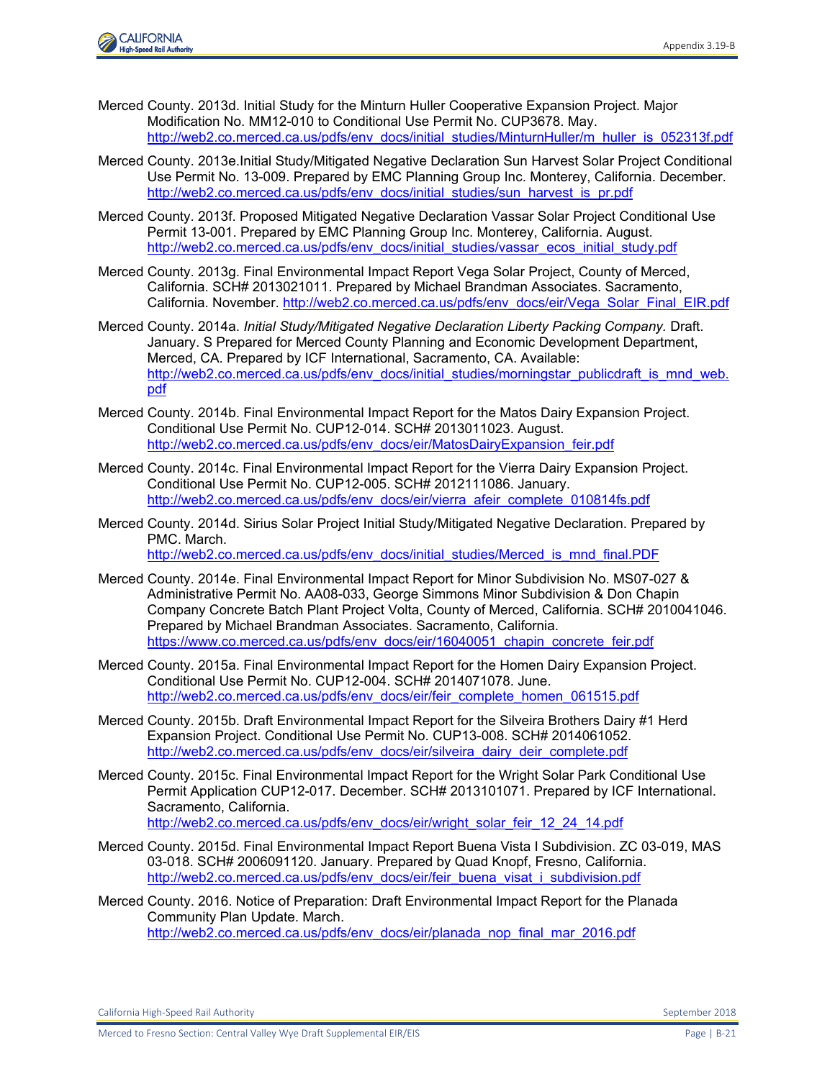

- Merced County. 2013d. Initial Study for the Minturn Huller Cooperative Expansion Project. Major Modification No. MM12-010 to Conditional Use Permit No. CUP3678. May. http://web2.co.merced.ca.us/pdfs/env\_docs/initial\_studies/MinturnHuller/m\_huller\_is\_052313f.pdf
- Merced County. 2013e.Initial Study/Mitigated Negative Declaration Sun Harvest Solar Project Conditional Use Permit No. 13-009. Prepared by EMC Planning Group Inc. Monterey, California. December. http://web2.co.merced.ca.us/pdfs/env\_docs/initial\_studies/sun\_harvest\_is\_pr.pdf
- Merced County. 2013f. Proposed Mitigated Negative Declaration Vassar Solar Project Conditional Use Permit 13-001. Prepared by EMC Planning Group Inc. Monterey, California. August. http://web2.co.merced.ca.us/pdfs/env\_docs/initial\_studies/vassar\_ecos\_initial\_study.pdf
- Merced County. 2013g. Final Environmental Impact Report Vega Solar Project, County of Merced, California. SCH# 2013021011. Prepared by Michael Brandman Associates. Sacramento, California. November. [http://web2.co.merced.ca.us/pdfs/env\\_docs/eir/Vega\\_Solar\\_Final\\_EIR.pdf](http://web2.co.merced.ca.us/pdfs/env_docs/eir/Vega_Solar_Final_EIR.pdf)
- Merced County. 2014a. *Initial Study/Mitigated Negative Declaration Liberty Packing Company.* Draft. January. S Prepared for Merced County Planning and Economic Development Department, Merced, CA. Prepared by ICF International, Sacramento, CA. Available: [http://web2.co.merced.ca.us/pdfs/env\\_docs/initial\\_studies/morningstar\\_publicdraft\\_is\\_mnd\\_web.](http://web2.co.merced.ca.us/pdfs/env_docs/initial_studies/morningstar_publicdraft_is_mnd_web.pdf) [pdf](http://web2.co.merced.ca.us/pdfs/env_docs/initial_studies/morningstar_publicdraft_is_mnd_web.pdf)
- Merced County. 2014b. Final Environmental Impact Report for the Matos Dairy Expansion Project. Conditional Use Permit No. CUP12-014. SCH# 2013011023. August. http://web2.co.merced.ca.us/pdfs/env\_docs/eir/MatosDairyExpansion\_feir.pdf
- Merced County. 2014c. Final Environmental Impact Report for the Vierra Dairy Expansion Project. Conditional Use Permit No. CUP12-005. SCH# 2012111086. January. [http://web2.co.merced.ca.us/pdfs/env\\_docs/eir/vierra\\_afeir\\_complete\\_010814fs.pdf](http://web2.co.merced.ca.us/pdfs/env_docs/eir/vierra_afeir_complete_010814fs.pdf)
- Merced County. 2014d. Sirius Solar Project Initial Study/Mitigated Negative Declaration. Prepared by PMC. March. [http://web2.co.merced.ca.us/pdfs/env\\_docs/initial\\_studies/Merced\\_is\\_mnd\\_final.PDF](http://web2.co.merced.ca.us/pdfs/env_docs/initial_studies/Merced_is_mnd_final.PDF)
- Merced County. 2014e. Final Environmental Impact Report for Minor Subdivision No. MS07-027 & Administrative Permit No. AA08-033, George Simmons Minor Subdivision & Don Chapin Company Concrete Batch Plant Project Volta, County of Merced, California. SCH# 2010041046. Prepared by Michael Brandman Associates. Sacramento, California. [https://www.co.merced.ca.us/pdfs/env\\_docs/eir/16040051\\_chapin\\_concrete\\_feir.pdf](https://www.co.merced.ca.us/pdfs/env_docs/eir/16040051_chapin_concrete_feir.pdf)
- Merced County. 2015a. Final Environmental Impact Report for the Homen Dairy Expansion Project. Conditional Use Permit No. CUP12-004. SCH# 2014071078. June. http://web2.co.merced.ca.us/pdfs/env\_docs/eir/feir\_complete\_homen\_061515.pdf
- Merced County. 2015b. Draft Environmental Impact Report for the Silveira Brothers Dairy #1 Herd Expansion Project. Conditional Use Permit No. CUP13-008. SCH# 2014061052. [http://web2.co.merced.ca.us/pdfs/env\\_docs/eir/silveira\\_dairy\\_deir\\_complete.pdf](http://web2.co.merced.ca.us/pdfs/env_docs/eir/silveira_dairy_deir_complete.pdf)
- Merced County. 2015c. Final Environmental Impact Report for the Wright Solar Park Conditional Use Permit Application CUP12-017. December. SCH# 2013101071. Prepared by ICF International. Sacramento, California. http://web2.co.merced.ca.us/pdfs/env\_docs/eir/wright\_solar\_feir\_12\_24\_14.pdf
- Merced County. 2015d. Final Environmental Impact Report Buena Vista I Subdivision. ZC 03-019, MAS 03-018. SCH# 2006091120. January. Prepared by Quad Knopf, Fresno, California. http://web2.co.merced.ca.us/pdfs/env\_docs/eir/feir\_buena\_visat\_i\_subdivision.pdf
- Merced County. 2016. Notice of Preparation: Draft Environmental Impact Report for the Planada Community Plan Update. March. [http://web2.co.merced.ca.us/pdfs/env\\_docs/eir/planada\\_nop\\_final\\_mar\\_2016.pdf](http://web2.co.merced.ca.us/pdfs/env_docs/eir/planada_nop_final_mar_2016.pdf)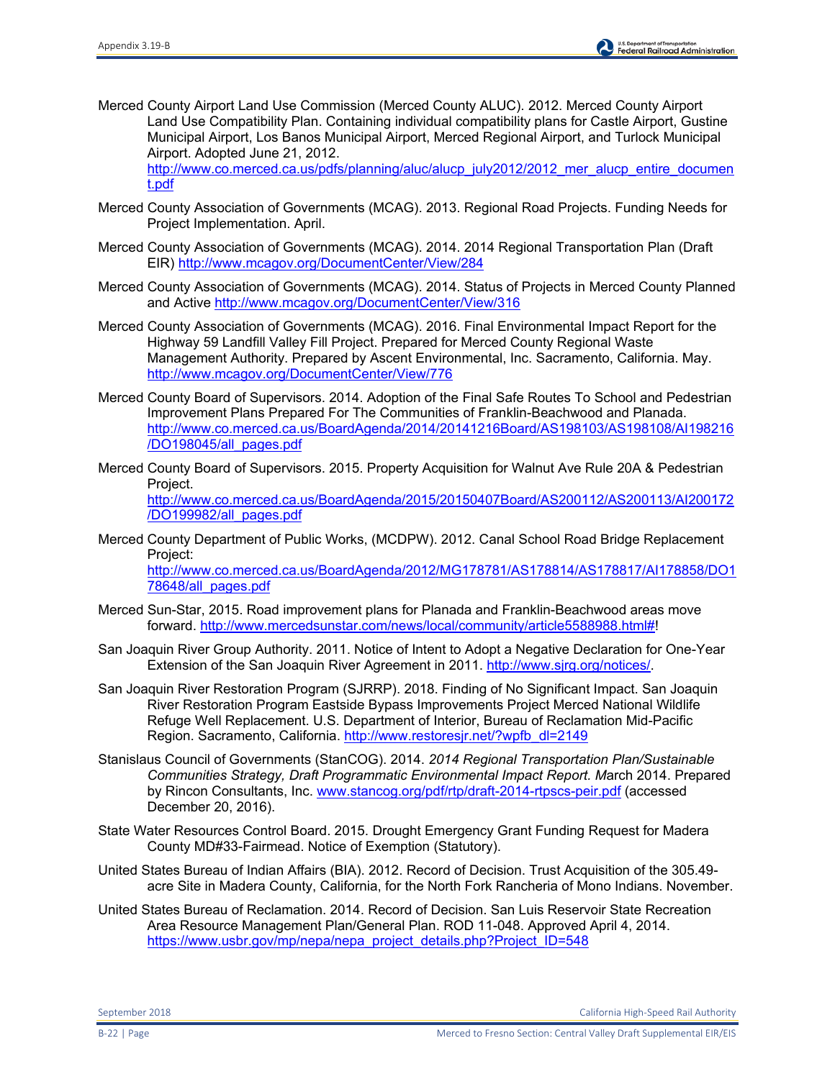Merced County Airport Land Use Commission (Merced County ALUC). 2012. Merced County Airport Land Use Compatibility Plan. Containing individual compatibility plans for Castle Airport, Gustine Municipal Airport, Los Banos Municipal Airport, Merced Regional Airport, and Turlock Municipal Airport. Adopted June 21, 2012.

[http://www.co.merced.ca.us/pdfs/planning/aluc/alucp\\_july2012/2012\\_mer\\_alucp\\_entire\\_documen](http://www.co.merced.ca.us/pdfs/planning/aluc/alucp_july2012/2012_mer_alucp_entire_document.pdf) [t.pdf](http://www.co.merced.ca.us/pdfs/planning/aluc/alucp_july2012/2012_mer_alucp_entire_document.pdf)

- Merced County Association of Governments (MCAG). 2013. Regional Road Projects. Funding Needs for Project Implementation. April.
- Merced County Association of Governments (MCAG). 2014. 2014 Regional Transportation Plan (Draft EIR)<http://www.mcagov.org/DocumentCenter/View/284>
- Merced County Association of Governments (MCAG). 2014. Status of Projects in Merced County Planned and Active<http://www.mcagov.org/DocumentCenter/View/316>
- Merced County Association of Governments (MCAG). 2016. Final Environmental Impact Report for the Highway 59 Landfill Valley Fill Project. Prepared for Merced County Regional Waste Management Authority. Prepared by Ascent Environmental, Inc. Sacramento, California. May. <http://www.mcagov.org/DocumentCenter/View/776>
- Merced County Board of Supervisors. 2014. Adoption of the Final Safe Routes To School and Pedestrian Improvement Plans Prepared For The Communities of Franklin-Beachwood and Planada. [http://www.co.merced.ca.us/BoardAgenda/2014/20141216Board/AS198103/AS198108/AI198216](http://www.co.merced.ca.us/BoardAgenda/2014/20141216Board/AS198103/AS198108/AI198216/DO198045/all_pages.pdf) [/DO198045/all\\_pages.pdf](http://www.co.merced.ca.us/BoardAgenda/2014/20141216Board/AS198103/AS198108/AI198216/DO198045/all_pages.pdf)
- Merced County Board of Supervisors. 2015. Property Acquisition for Walnut Ave Rule 20A & Pedestrian Project. [http://www.co.merced.ca.us/BoardAgenda/2015/20150407Board/AS200112/AS200113/AI200172](http://www.co.merced.ca.us/BoardAgenda/2015/20150407Board/AS200112/AS200113/AI200172/DO199982/all_pages.pdf) [/DO199982/all\\_pages.pdf](http://www.co.merced.ca.us/BoardAgenda/2015/20150407Board/AS200112/AS200113/AI200172/DO199982/all_pages.pdf)
- Merced County Department of Public Works, (MCDPW). 2012. Canal School Road Bridge Replacement Project: [http://www.co.merced.ca.us/BoardAgenda/2012/MG178781/AS178814/AS178817/AI178858/DO1](http://www.co.merced.ca.us/BoardAgenda/2012/MG178781/AS178814/AS178817/AI178858/DO178648/all_pages.pdf) [78648/all\\_pages.pdf](http://www.co.merced.ca.us/BoardAgenda/2012/MG178781/AS178814/AS178817/AI178858/DO178648/all_pages.pdf)
- Merced Sun-Star, 2015. Road improvement plans for Planada and Franklin-Beachwood areas move forward. [http://www.mercedsunstar.com/news/local/community/article5588988.html#!](http://www.mercedsunstar.com/news/local/community/article5588988.html)
- San Joaquin River Group Authority. 2011. Notice of Intent to Adopt a Negative Declaration for One-Year Extension of the San Joaquin River Agreement in 2011. [http://www.sjrg.org/notices/.](http://www.sjrg.org/notices/)
- San Joaquin River Restoration Program (SJRRP). 2018. Finding of No Significant Impact. San Joaquin River Restoration Program Eastside Bypass Improvements Project Merced National Wildlife Refuge Well Replacement. U.S. Department of Interior, Bureau of Reclamation Mid-Pacific Region. Sacramento, California. http://www.restoresjr.net/?wpfb\_dl=2149
- Stanislaus Council of Governments (StanCOG). 2014. *2014 Regional Transportation Plan/Sustainable Communities Strategy, Draft Programmatic Environmental Impact Report. M*arch 2014. Prepared by Rincon Consultants, Inc. [www.stancog.org/pdf/rtp/draft-2014-rtpscs-peir.pdf](http://www.stancog.org/pdf/rtp/draft-2014-rtpscs-peir.pdf) (accessed December 20, 2016).
- State Water Resources Control Board. 2015. Drought Emergency Grant Funding Request for Madera County MD#33-Fairmead. Notice of Exemption (Statutory).
- United States Bureau of Indian Affairs (BIA). 2012. Record of Decision. Trust Acquisition of the 305.49 acre Site in Madera County, California, for the North Fork Rancheria of Mono Indians. November.
- United States Bureau of Reclamation. 2014. Record of Decision. San Luis Reservoir State Recreation Area Resource Management Plan/General Plan. ROD 11-048. Approved April 4, 2014. [https://www.usbr.gov/mp/nepa/nepa\\_project\\_details.php?Project\\_ID=548](https://www.usbr.gov/mp/nepa/nepa_project_details.php?Project_ID=548)